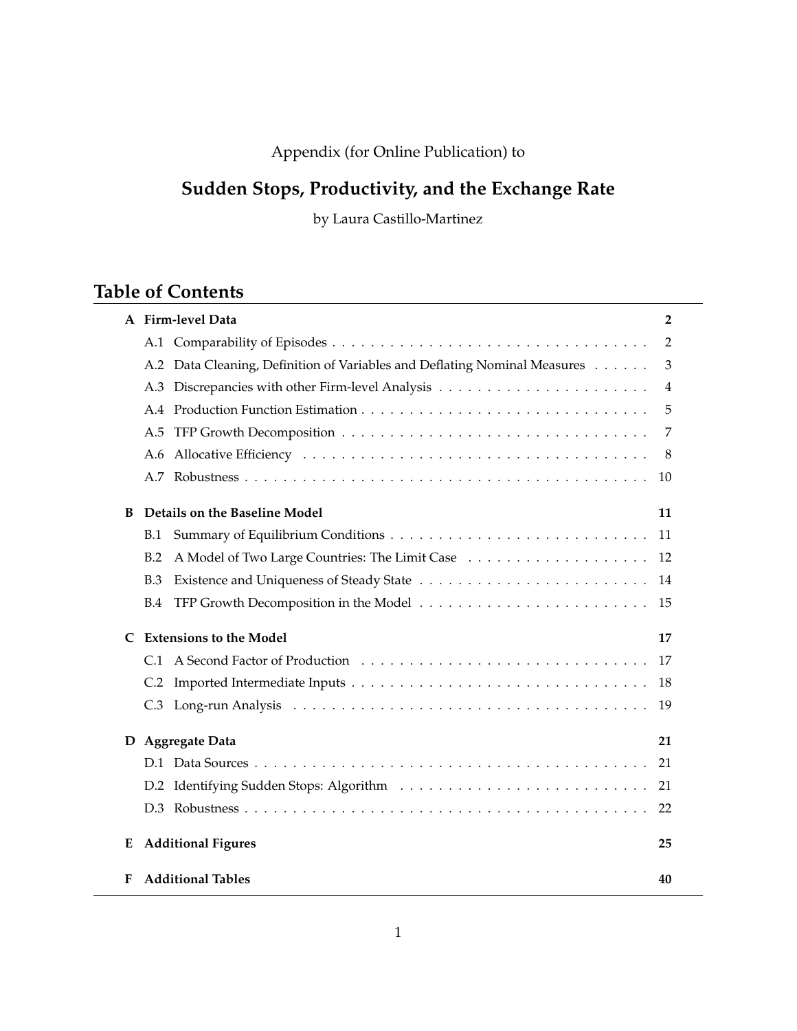# Appendix (for Online Publication) to

# **Sudden Stops, Productivity, and the Exchange Rate**

by Laura Castillo-Martinez

# **Table of Contents**

| A Firm-level Data                                                         | 2              |
|---------------------------------------------------------------------------|----------------|
|                                                                           | $\overline{2}$ |
| A.2 Data Cleaning, Definition of Variables and Deflating Nominal Measures | 3              |
| A.3                                                                       | 4              |
| A.4                                                                       | 5              |
| A.5                                                                       | 7              |
| A.6                                                                       | 8              |
| A.7                                                                       | 10             |
| Details on the Baseline Model<br>B                                        | 11             |
| B.1                                                                       | 11             |
| B.2                                                                       | 12             |
| <b>B.3</b>                                                                | 14             |
| <b>B.4</b>                                                                | 15             |
| <b>Extensions to the Model</b><br>C                                       | 17             |
| C.1                                                                       | 17             |
|                                                                           | 18             |
|                                                                           | 19             |
| <b>Aggregate Data</b><br>D                                                | 21             |
|                                                                           | 21             |
|                                                                           | 21             |
|                                                                           | 22             |
| <b>Additional Figures</b><br>E                                            | 25             |
| <b>Additional Tables</b><br>F                                             | 40             |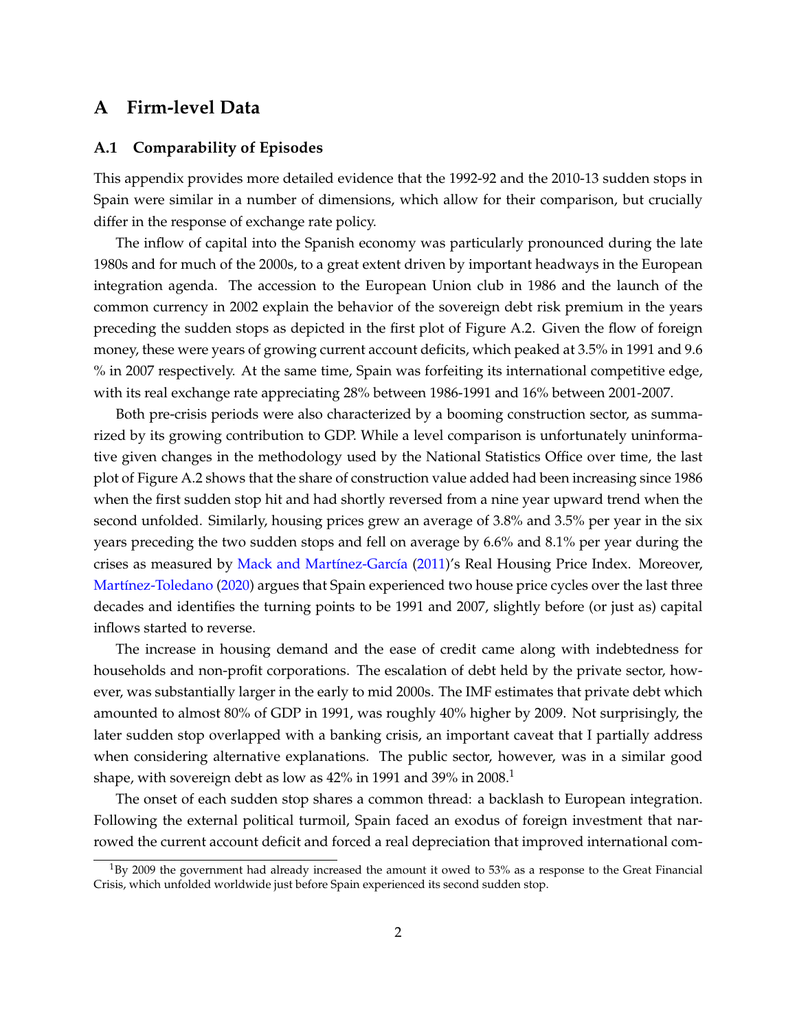# **A Firm-level Data**

#### **A.1 Comparability of Episodes**

This appendix provides more detailed evidence that the 1992-92 and the 2010-13 sudden stops in Spain were similar in a number of dimensions, which allow for their comparison, but crucially differ in the response of exchange rate policy.

The inflow of capital into the Spanish economy was particularly pronounced during the late 1980s and for much of the 2000s, to a great extent driven by important headways in the European integration agenda. The accession to the European Union club in 1986 and the launch of the common currency in 2002 explain the behavior of the sovereign debt risk premium in the years preceding the sudden stops as depicted in the first plot of Figure A.2. Given the flow of foreign money, these were years of growing current account deficits, which peaked at 3.5% in 1991 and 9.6 % in 2007 respectively. At the same time, Spain was forfeiting its international competitive edge, with its real exchange rate appreciating 28% between 1986-1991 and 16% between 2001-2007.

Both pre-crisis periods were also characterized by a booming construction sector, as summarized by its growing contribution to GDP. While a level comparison is unfortunately uninformative given changes in the methodology used by the National Statistics Office over time, the last plot of Figure A.2 shows that the share of construction value added had been increasing since 1986 when the first sudden stop hit and had shortly reversed from a nine year upward trend when the second unfolded. Similarly, housing prices grew an average of 3.8% and 3.5% per year in the six years preceding the two sudden stops and fell on average by 6.6% and 8.1% per year during the crises as measured by Mack and Martínez-García (2011)'s Real Housing Price Index. Moreover, Martínez-Toledano (2020) argues that Spain experienced two house price cycles over the last three decades and identifies the turning points to be 1991 and 2007, slightly before (or just as) capital inflows started to reverse.

The increase in housing demand and the ease of credit came along with indebtedness for households and non-profit corporations. The escalation of debt held by the private sector, however, was substantially larger in the early to mid 2000s. The IMF estimates that private debt which amounted to almost 80% of GDP in 1991, was roughly 40% higher by 2009. Not surprisingly, the later sudden stop overlapped with a banking crisis, an important caveat that I partially address when considering alternative explanations. The public sector, however, was in a similar good shape, with sovereign debt as low as  $42\%$  in 1991 and 39% in 2008.<sup>1</sup>

The onset of each sudden stop shares a common thread: a backlash to European integration. Following the external political turmoil, Spain faced an exodus of foreign investment that narrowed the current account deficit and forced a real depreciation that improved international com-

 $1_{\rm BV}$  2009 the government had already increased the amount it owed to 53% as a response to the Great Financial Crisis, which unfolded worldwide just before Spain experienced its second sudden stop.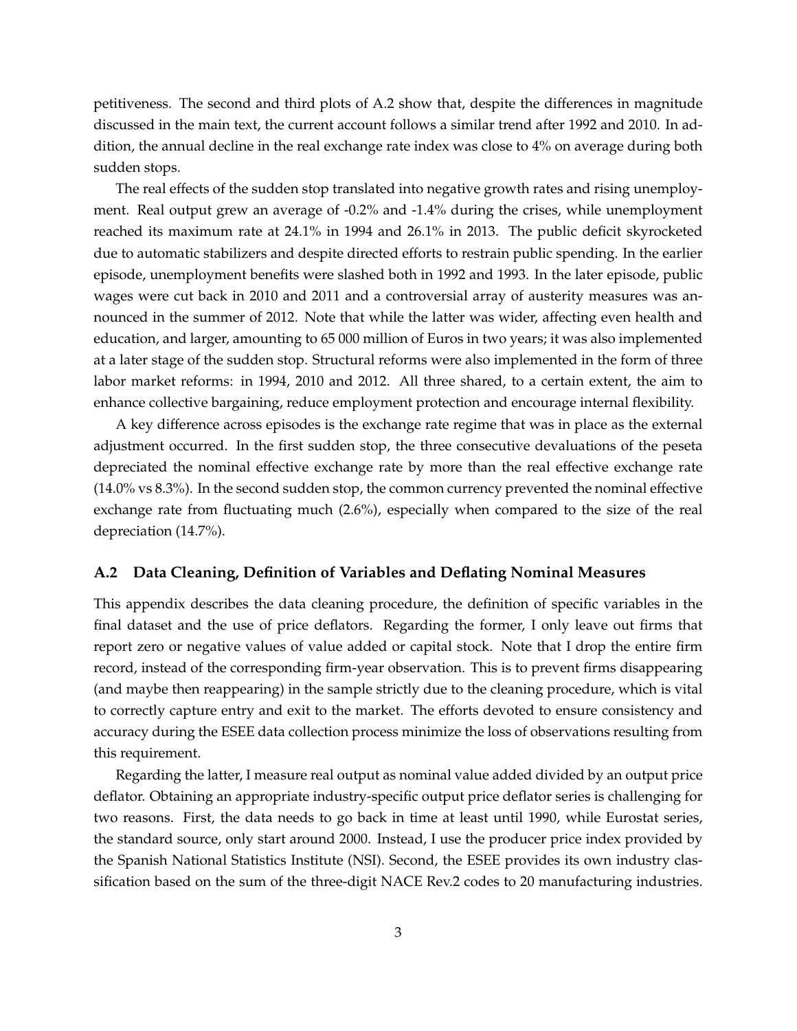petitiveness. The second and third plots of A.2 show that, despite the differences in magnitude discussed in the main text, the current account follows a similar trend after 1992 and 2010. In addition, the annual decline in the real exchange rate index was close to 4% on average during both sudden stops.

The real effects of the sudden stop translated into negative growth rates and rising unemployment. Real output grew an average of -0.2% and -1.4% during the crises, while unemployment reached its maximum rate at 24.1% in 1994 and 26.1% in 2013. The public deficit skyrocketed due to automatic stabilizers and despite directed efforts to restrain public spending. In the earlier episode, unemployment benefits were slashed both in 1992 and 1993. In the later episode, public wages were cut back in 2010 and 2011 and a controversial array of austerity measures was announced in the summer of 2012. Note that while the latter was wider, affecting even health and education, and larger, amounting to 65 000 million of Euros in two years; it was also implemented at a later stage of the sudden stop. Structural reforms were also implemented in the form of three labor market reforms: in 1994, 2010 and 2012. All three shared, to a certain extent, the aim to enhance collective bargaining, reduce employment protection and encourage internal flexibility.

A key difference across episodes is the exchange rate regime that was in place as the external adjustment occurred. In the first sudden stop, the three consecutive devaluations of the peseta depreciated the nominal effective exchange rate by more than the real effective exchange rate (14.0% vs 8.3%). In the second sudden stop, the common currency prevented the nominal effective exchange rate from fluctuating much (2.6%), especially when compared to the size of the real depreciation (14.7%).

## **A.2 Data Cleaning, Definition of Variables and Deflating Nominal Measures**

This appendix describes the data cleaning procedure, the definition of specific variables in the final dataset and the use of price deflators. Regarding the former, I only leave out firms that report zero or negative values of value added or capital stock. Note that I drop the entire firm record, instead of the corresponding firm-year observation. This is to prevent firms disappearing (and maybe then reappearing) in the sample strictly due to the cleaning procedure, which is vital to correctly capture entry and exit to the market. The efforts devoted to ensure consistency and accuracy during the ESEE data collection process minimize the loss of observations resulting from this requirement.

Regarding the latter, I measure real output as nominal value added divided by an output price deflator. Obtaining an appropriate industry-specific output price deflator series is challenging for two reasons. First, the data needs to go back in time at least until 1990, while Eurostat series, the standard source, only start around 2000. Instead, I use the producer price index provided by the Spanish National Statistics Institute (NSI). Second, the ESEE provides its own industry classification based on the sum of the three-digit NACE Rev.2 codes to 20 manufacturing industries.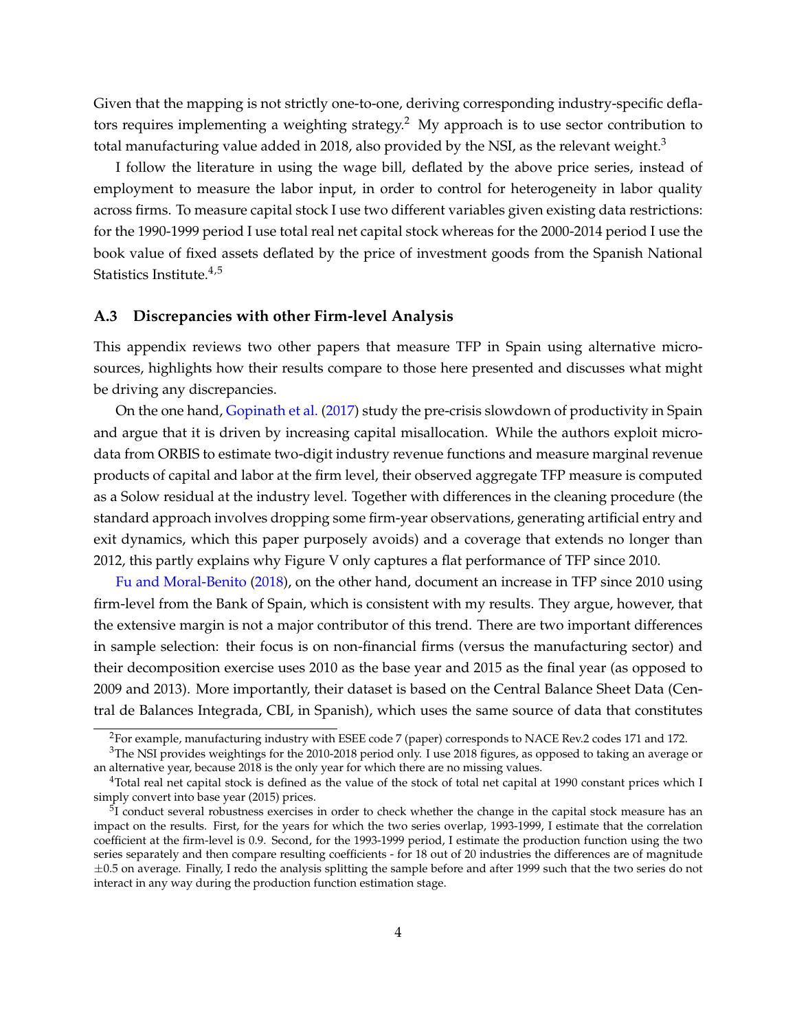Given that the mapping is not strictly one-to-one, deriving corresponding industry-specific deflators requires implementing a weighting strategy.<sup>2</sup> My approach is to use sector contribution to total manufacturing value added in 2018, also provided by the NSI, as the relevant weight. $3$ 

I follow the literature in using the wage bill, deflated by the above price series, instead of employment to measure the labor input, in order to control for heterogeneity in labor quality across firms. To measure capital stock I use two different variables given existing data restrictions: for the 1990-1999 period I use total real net capital stock whereas for the 2000-2014 period I use the book value of fixed assets deflated by the price of investment goods from the Spanish National Statistics Institute. $4,5$ 

#### **A.3 Discrepancies with other Firm-level Analysis**

This appendix reviews two other papers that measure TFP in Spain using alternative microsources, highlights how their results compare to those here presented and discusses what might be driving any discrepancies.

On the one hand, Gopinath et al. (2017) study the pre-crisis slowdown of productivity in Spain and argue that it is driven by increasing capital misallocation. While the authors exploit microdata from ORBIS to estimate two-digit industry revenue functions and measure marginal revenue products of capital and labor at the firm level, their observed aggregate TFP measure is computed as a Solow residual at the industry level. Together with differences in the cleaning procedure (the standard approach involves dropping some firm-year observations, generating artificial entry and exit dynamics, which this paper purposely avoids) and a coverage that extends no longer than 2012, this partly explains why Figure V only captures a flat performance of TFP since 2010.

Fu and Moral-Benito (2018), on the other hand, document an increase in TFP since 2010 using firm-level from the Bank of Spain, which is consistent with my results. They argue, however, that the extensive margin is not a major contributor of this trend. There are two important differences in sample selection: their focus is on non-financial firms (versus the manufacturing sector) and their decomposition exercise uses 2010 as the base year and 2015 as the final year (as opposed to 2009 and 2013). More importantly, their dataset is based on the Central Balance Sheet Data (Central de Balances Integrada, CBI, in Spanish), which uses the same source of data that constitutes

<sup>2</sup>For example, manufacturing industry with ESEE code 7 (paper) corresponds to NACE Rev.2 codes 171 and 172.

 $3$ The NSI provides weightings for the 2010-2018 period only. I use 2018 figures, as opposed to taking an average or an alternative year, because 2018 is the only year for which there are no missing values.

<sup>&</sup>lt;sup>4</sup>Total real net capital stock is defined as the value of the stock of total net capital at 1990 constant prices which I simply convert into base year (2015) prices.

<sup>&</sup>lt;sup>5</sup>I conduct several robustness exercises in order to check whether the change in the capital stock measure has an impact on the results. First, for the years for which the two series overlap, 1993-1999, I estimate that the correlation coefficient at the firm-level is 0.9. Second, for the 1993-1999 period, I estimate the production function using the two series separately and then compare resulting coefficients - for 18 out of 20 industries the differences are of magnitude *±*0.5 on average. Finally, I redo the analysis splitting the sample before and after 1999 such that the two series do not interact in any way during the production function estimation stage.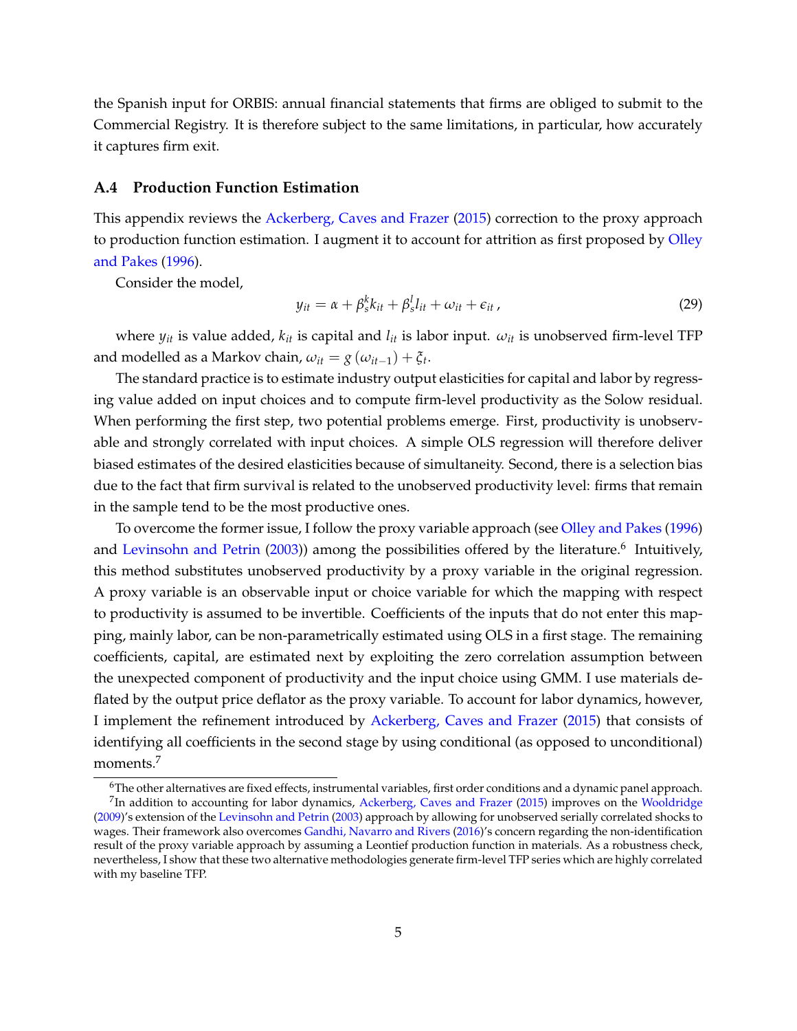the Spanish input for ORBIS: annual financial statements that firms are obliged to submit to the Commercial Registry. It is therefore subject to the same limitations, in particular, how accurately it captures firm exit.

## **A.4 Production Function Estimation**

This appendix reviews the Ackerberg, Caves and Frazer (2015) correction to the proxy approach to production function estimation. I augment it to account for attrition as first proposed by Olley and Pakes (1996).

Consider the model,

$$
y_{it} = \alpha + \beta_s^k k_{it} + \beta_s^l l_{it} + \omega_{it} + \epsilon_{it}, \qquad (29)
$$

where  $y_{it}$  is value added,  $k_{it}$  is capital and  $l_{it}$  is labor input.  $\omega_{it}$  is unobserved firm-level TFP and modelled as a Markov chain,  $\omega_{it} = g(\omega_{it-1}) + \xi_t$ .

The standard practice is to estimate industry output elasticities for capital and labor by regressing value added on input choices and to compute firm-level productivity as the Solow residual. When performing the first step, two potential problems emerge. First, productivity is unobservable and strongly correlated with input choices. A simple OLS regression will therefore deliver biased estimates of the desired elasticities because of simultaneity. Second, there is a selection bias due to the fact that firm survival is related to the unobserved productivity level: firms that remain in the sample tend to be the most productive ones.

To overcome the former issue, I follow the proxy variable approach (see Olley and Pakes (1996) and Levinsohn and Petrin  $(2003)$  among the possibilities offered by the literature.<sup>6</sup> Intuitively, this method substitutes unobserved productivity by a proxy variable in the original regression. A proxy variable is an observable input or choice variable for which the mapping with respect to productivity is assumed to be invertible. Coefficients of the inputs that do not enter this mapping, mainly labor, can be non-parametrically estimated using OLS in a first stage. The remaining coefficients, capital, are estimated next by exploiting the zero correlation assumption between the unexpected component of productivity and the input choice using GMM. I use materials deflated by the output price deflator as the proxy variable. To account for labor dynamics, however, I implement the refinement introduced by Ackerberg, Caves and Frazer (2015) that consists of identifying all coefficients in the second stage by using conditional (as opposed to unconditional) moments.7

<sup>&</sup>lt;sup>6</sup>The other alternatives are fixed effects, instrumental variables, first order conditions and a dynamic panel approach. 7In addition to accounting for labor dynamics, Ackerberg, Caves and Frazer (2015) improves on the Wooldridge

<sup>(2009)&#</sup>x27;s extension of the Levinsohn and Petrin (2003) approach by allowing for unobserved serially correlated shocks to wages. Their framework also overcomes Gandhi, Navarro and Rivers (2016)'s concern regarding the non-identification result of the proxy variable approach by assuming a Leontief production function in materials. As a robustness check, nevertheless, I show that these two alternative methodologies generate firm-level TFP series which are highly correlated with my baseline TFP.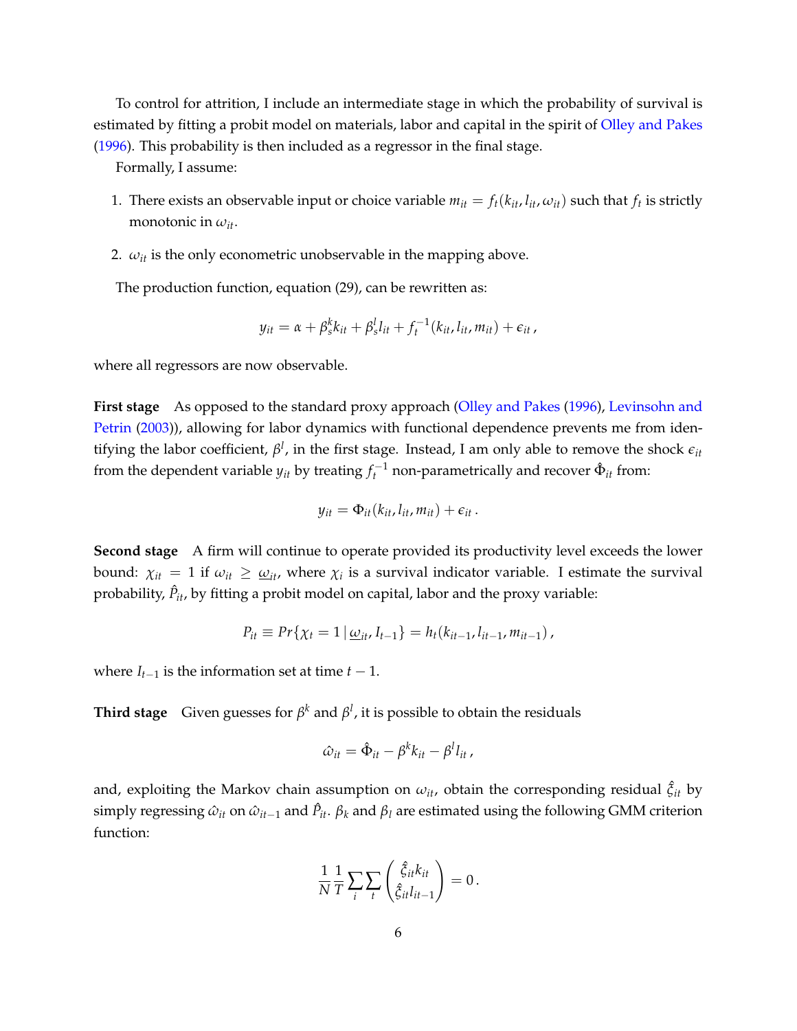To control for attrition, I include an intermediate stage in which the probability of survival is estimated by fitting a probit model on materials, labor and capital in the spirit of Olley and Pakes (1996). This probability is then included as a regressor in the final stage.

Formally, I assume:

- 1. There exists an observable input or choice variable  $m_{it} = f_t(k_{it}, l_{it}, \omega_{it})$  such that  $f_t$  is strictly monotonic in  $\omega_{it}$ .
- 2.  $\omega_{it}$  is the only econometric unobservable in the mapping above.

The production function, equation (29), can be rewritten as:

$$
y_{it} = \alpha + \beta_s^k k_{it} + \beta_s^l l_{it} + f_t^{-1}(k_{it}, l_{it}, m_{it}) + \epsilon_{it},
$$

where all regressors are now observable.

**First stage** As opposed to the standard proxy approach (Olley and Pakes (1996), Levinsohn and Petrin (2003)), allowing for labor dynamics with functional dependence prevents me from identifying the labor coefficient,  $\beta^l$ , in the first stage. Instead, I am only able to remove the shock  $\epsilon_{it}$ from the dependent variable  $y_{it}$  by treating  $f_t^{-1}$  non-parametrically and recover  $\hat{\Phi}_{it}$  from:

$$
y_{it} = \Phi_{it}(k_{it}, l_{it}, m_{it}) + \epsilon_{it}.
$$

**Second stage** A firm will continue to operate provided its productivity level exceeds the lower bound:  $\chi_{it} = 1$  if  $\omega_{it} \geq \omega_{it}$ , where  $\chi_i$  is a survival indicator variable. I estimate the survival probability,  $\hat{P}_{it}$ , by fitting a probit model on capital, labor and the proxy variable:

$$
P_{it} \equiv Pr\{\chi_t = 1 \,|\, \underline{\omega}_{it}, I_{t-1}\} = h_t(k_{it-1}, l_{it-1}, m_{it-1}),
$$

where  $I_{t-1}$  is the information set at time  $t-1$ .

**Third stage** Given guesses for  $\beta^k$  and  $\beta^l$ , it is possible to obtain the residuals

$$
\hat{\omega}_{it} = \hat{\Phi}_{it} - \beta^k k_{it} - \beta^l l_{it},
$$

and, exploiting the Markov chain assumption on  $\omega_{it}$ , obtain the corresponding residual  $\hat{\xi}_{it}$  by simply regressing  $\hat{\omega}_{it}$  on  $\hat{\omega}_{it-1}$  and  $\hat{P}_{it}$ .  $\beta_k$  and  $\beta_l$  are estimated using the following GMM criterion function:

$$
\frac{1}{N}\frac{1}{T}\sum_{i}\sum_{t}\left(\frac{\hat{\xi}_{it}k_{it}}{\hat{\xi}_{it}l_{it-1}}\right)=0.
$$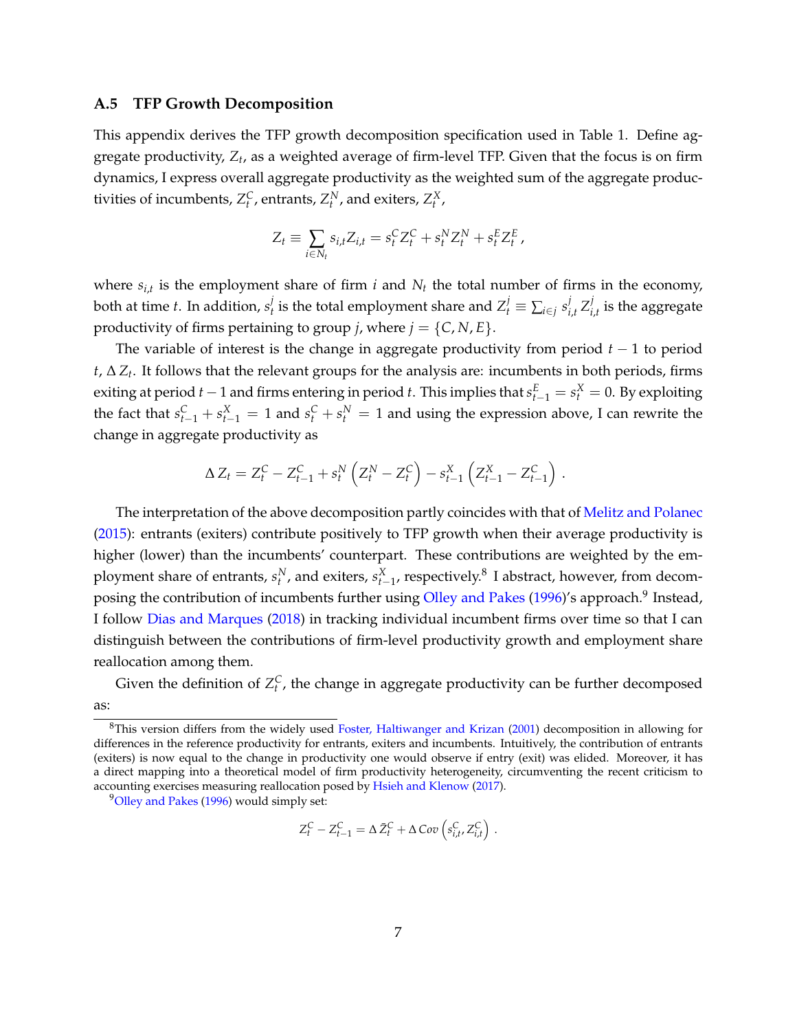#### **A.5 TFP Growth Decomposition**

This appendix derives the TFP growth decomposition specification used in Table 1. Define aggregate productivity, *Zt*, as a weighted average of firm-level TFP. Given that the focus is on firm dynamics, I express overall aggregate productivity as the weighted sum of the aggregate productivities of incumbents,  $Z_t^C$ , entrants,  $Z_t^N$ , and exiters,  $Z_t^X$ ,

$$
Z_t \equiv \sum_{i \in N_t} s_{i,t} Z_{i,t} = s_t^C Z_t^C + s_t^N Z_t^N + s_t^E Z_t^E,
$$

where  $s_{i,t}$  is the employment share of firm *i* and  $N_t$  the total number of firms in the economy, both at time t. In addition,  $s_t^j$  is the total employment share and  $Z_t^j\equiv\sum_{i\in j}s_{i,t}^j\,Z_{i,t}^j$  is the aggregate productivity of firms pertaining to group *j*, where  $j = \{C, N, E\}$ .

The variable of interest is the change in aggregate productivity from period  $t-1$  to period  $t$ ,  $\Delta Z_t$ . It follows that the relevant groups for the analysis are: incumbents in both periods, firms exiting at period  $t-1$  and firms entering in period  $t$ . This implies that  $s_{t-1}^E = s_t^X = 0$ . By exploiting the fact that  $s_{t-1}^C + s_{t-1}^X = 1$  and  $s_t^C + s_t^N = 1$  and using the expression above, I can rewrite the change in aggregate productivity as

$$
\Delta Z_t = Z_t^C - Z_{t-1}^C + s_t^N \left( Z_t^N - Z_t^C \right) - s_{t-1}^X \left( Z_{t-1}^X - Z_{t-1}^C \right) .
$$

The interpretation of the above decomposition partly coincides with that of Melitz and Polanec (2015): entrants (exiters) contribute positively to TFP growth when their average productivity is higher (lower) than the incumbents' counterpart. These contributions are weighted by the employment share of entrants,  $s_t^N$ , and exiters,  $s_{t-1}^X$ , respectively.<sup>8</sup> I abstract, however, from decomposing the contribution of incumbents further using Olley and Pakes (1996)'s approach.<sup>9</sup> Instead, I follow Dias and Marques (2018) in tracking individual incumbent firms over time so that I can distinguish between the contributions of firm-level productivity growth and employment share reallocation among them.

Given the definition of  $Z_t^C$ , the change in aggregate productivity can be further decomposed as:

<sup>9</sup>Olley and Pakes (1996) would simply set:

$$
Z_t^C - Z_{t-1}^C = \Delta \bar{Z}_t^C + \Delta Cov\left(s_{i,t}^C, Z_{i,t}^C\right)
$$

.

<sup>&</sup>lt;sup>8</sup>This version differs from the widely used Foster, Haltiwanger and Krizan (2001) decomposition in allowing for differences in the reference productivity for entrants, exiters and incumbents. Intuitively, the contribution of entrants (exiters) is now equal to the change in productivity one would observe if entry (exit) was elided. Moreover, it has a direct mapping into a theoretical model of firm productivity heterogeneity, circumventing the recent criticism to accounting exercises measuring reallocation posed by Hsieh and Klenow (2017).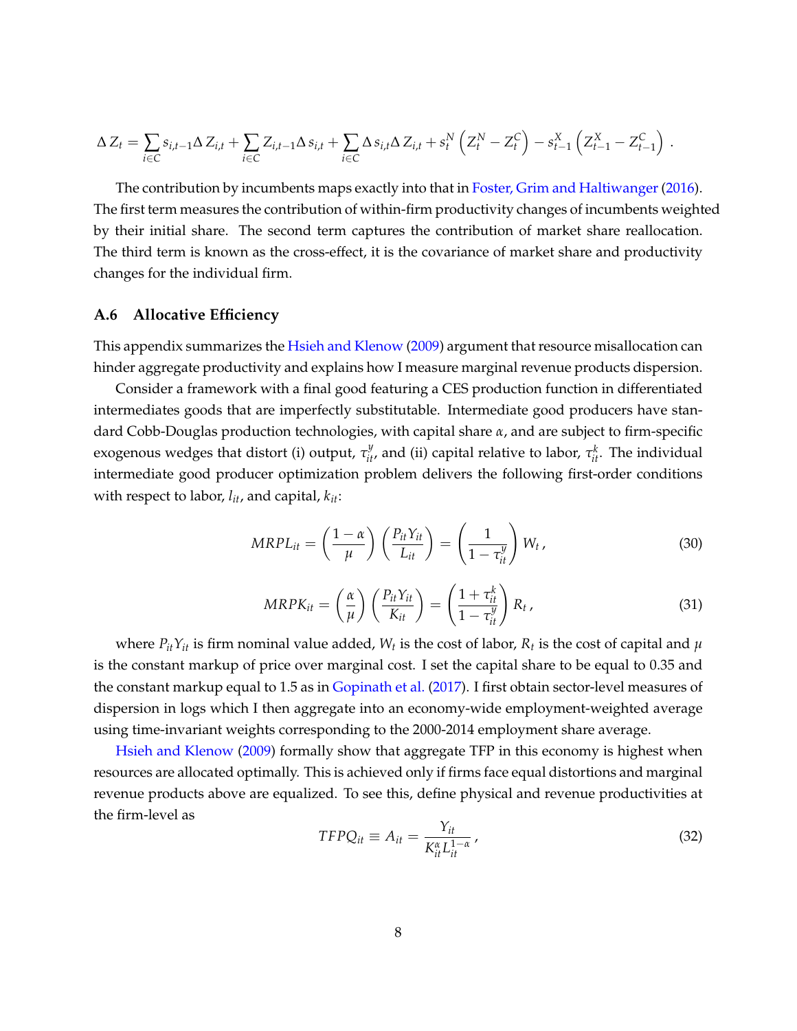$$
\Delta Z_t = \sum_{i \in C} s_{i,t-1} \Delta Z_{i,t} + \sum_{i \in C} Z_{i,t-1} \Delta s_{i,t} + \sum_{i \in C} \Delta s_{i,t} \Delta Z_{i,t} + s_t^N \left( Z_t^N - Z_t^C \right) - s_{t-1}^X \left( Z_{t-1}^X - Z_{t-1}^C \right) .
$$

The contribution by incumbents maps exactly into that in Foster, Grim and Haltiwanger (2016). The first term measures the contribution of within-firm productivity changes of incumbents weighted by their initial share. The second term captures the contribution of market share reallocation. The third term is known as the cross-effect, it is the covariance of market share and productivity changes for the individual firm.

#### **A.6 Allocative Efficiency**

This appendix summarizes the Hsieh and Klenow (2009) argument that resource misallocation can hinder aggregate productivity and explains how I measure marginal revenue products dispersion.

Consider a framework with a final good featuring a CES production function in differentiated intermediates goods that are imperfectly substitutable. Intermediate good producers have standard Cobb-Douglas production technologies, with capital share *a*, and are subject to firm-specific exogenous wedges that distort (i) output,  $\tau_{it'}^y$  and (ii) capital relative to labor,  $\tau_{it}^k$ . The individual intermediate good producer optimization problem delivers the following first-order conditions with respect to labor, *lit*, and capital, *kit*:

$$
MRPL_{it} = \left(\frac{1-\alpha}{\mu}\right) \left(\frac{P_{it}Y_{it}}{L_{it}}\right) = \left(\frac{1}{1-\tau_{it}^y}\right) W_t,
$$
\n(30)

$$
MRPK_{it} = \left(\frac{\alpha}{\mu}\right) \left(\frac{P_{it}Y_{it}}{K_{it}}\right) = \left(\frac{1+\tau_{it}^k}{1-\tau_{it}^y}\right) R_t,
$$
\n(31)

where  $P_{it}Y_{it}$  is firm nominal value added,  $W_t$  is the cost of labor,  $R_t$  is the cost of capital and  $\mu$ is the constant markup of price over marginal cost. I set the capital share to be equal to 0.35 and the constant markup equal to 1.5 as in Gopinath et al. (2017). I first obtain sector-level measures of dispersion in logs which I then aggregate into an economy-wide employment-weighted average using time-invariant weights corresponding to the 2000-2014 employment share average.

Hsieh and Klenow (2009) formally show that aggregate TFP in this economy is highest when resources are allocated optimally. This is achieved only if firms face equal distortions and marginal revenue products above are equalized. To see this, define physical and revenue productivities at the firm-level as

$$
TFPQ_{it} \equiv A_{it} = \frac{Y_{it}}{K_{it}^{\alpha}L_{it}^{1-\alpha}},\tag{32}
$$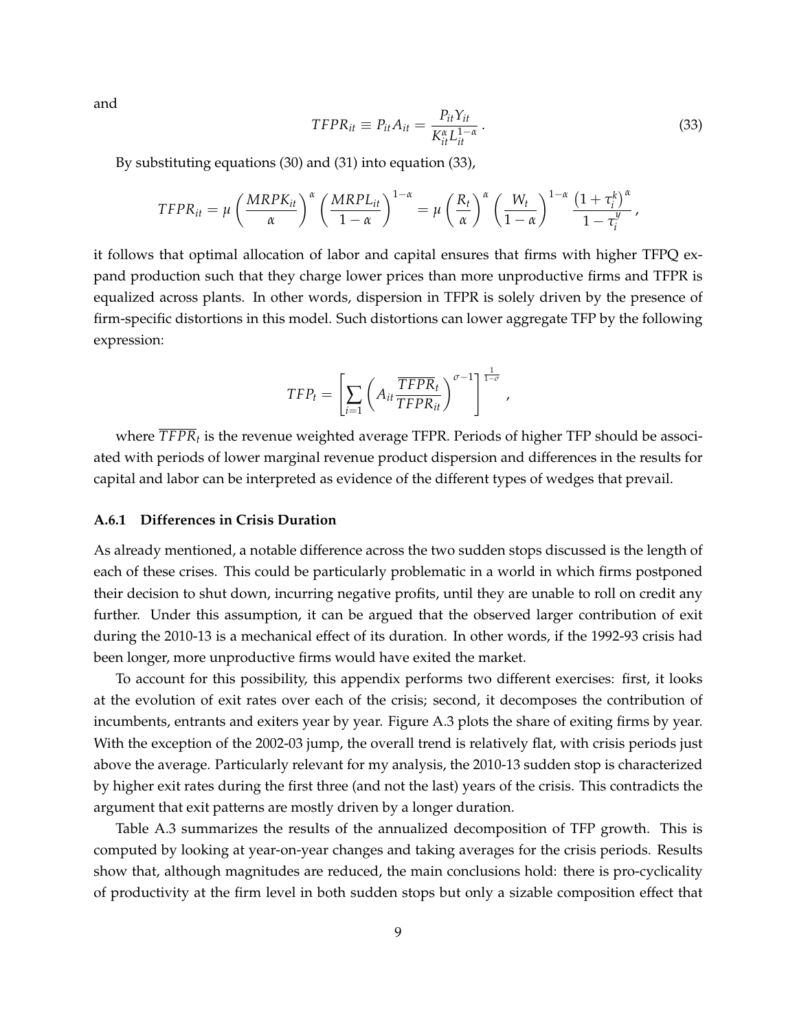and

$$
TFPR_{it} \equiv P_{it}A_{it} = \frac{P_{it}Y_{it}}{K_{it}^{\alpha}L_{it}^{1-\alpha}}.
$$
\n(33)

By substituting equations (30) and (31) into equation (33),

$$
TFPR_{it} = \mu \left(\frac{MRPK_{it}}{\alpha}\right)^{\alpha} \left(\frac{MRPL_{it}}{1-\alpha}\right)^{1-\alpha} = \mu \left(\frac{R_t}{\alpha}\right)^{\alpha} \left(\frac{W_t}{1-\alpha}\right)^{1-\alpha} \frac{\left(1+\tau_i^k\right)^{\alpha}}{1-\tau_i^y},
$$

it follows that optimal allocation of labor and capital ensures that firms with higher TFPQ expand production such that they charge lower prices than more unproductive firms and TFPR is equalized across plants. In other words, dispersion in TFPR is solely driven by the presence of firm-specific distortions in this model. Such distortions can lower aggregate TFP by the following expression:

$$
TFP_t = \left[\sum_{i=1} \left(A_{it} \frac{\overline{TFPR}_t}{TFPR_{it}}\right)^{\sigma-1}\right]^{\frac{1}{1-\sigma}},
$$

where  $\overline{TFPR}_t$  is the revenue weighted average TFPR. Periods of higher TFP should be associated with periods of lower marginal revenue product dispersion and differences in the results for capital and labor can be interpreted as evidence of the different types of wedges that prevail.

#### **A.6.1 Differences in Crisis Duration**

As already mentioned, a notable difference across the two sudden stops discussed is the length of each of these crises. This could be particularly problematic in a world in which firms postponed their decision to shut down, incurring negative profits, until they are unable to roll on credit any further. Under this assumption, it can be argued that the observed larger contribution of exit during the 2010-13 is a mechanical effect of its duration. In other words, if the 1992-93 crisis had been longer, more unproductive firms would have exited the market.

To account for this possibility, this appendix performs two different exercises: first, it looks at the evolution of exit rates over each of the crisis; second, it decomposes the contribution of incumbents, entrants and exiters year by year. Figure A.3 plots the share of exiting firms by year. With the exception of the 2002-03 jump, the overall trend is relatively flat, with crisis periods just above the average. Particularly relevant for my analysis, the 2010-13 sudden stop is characterized by higher exit rates during the first three (and not the last) years of the crisis. This contradicts the argument that exit patterns are mostly driven by a longer duration.

Table A.3 summarizes the results of the annualized decomposition of TFP growth. This is computed by looking at year-on-year changes and taking averages for the crisis periods. Results show that, although magnitudes are reduced, the main conclusions hold: there is pro-cyclicality of productivity at the firm level in both sudden stops but only a sizable composition effect that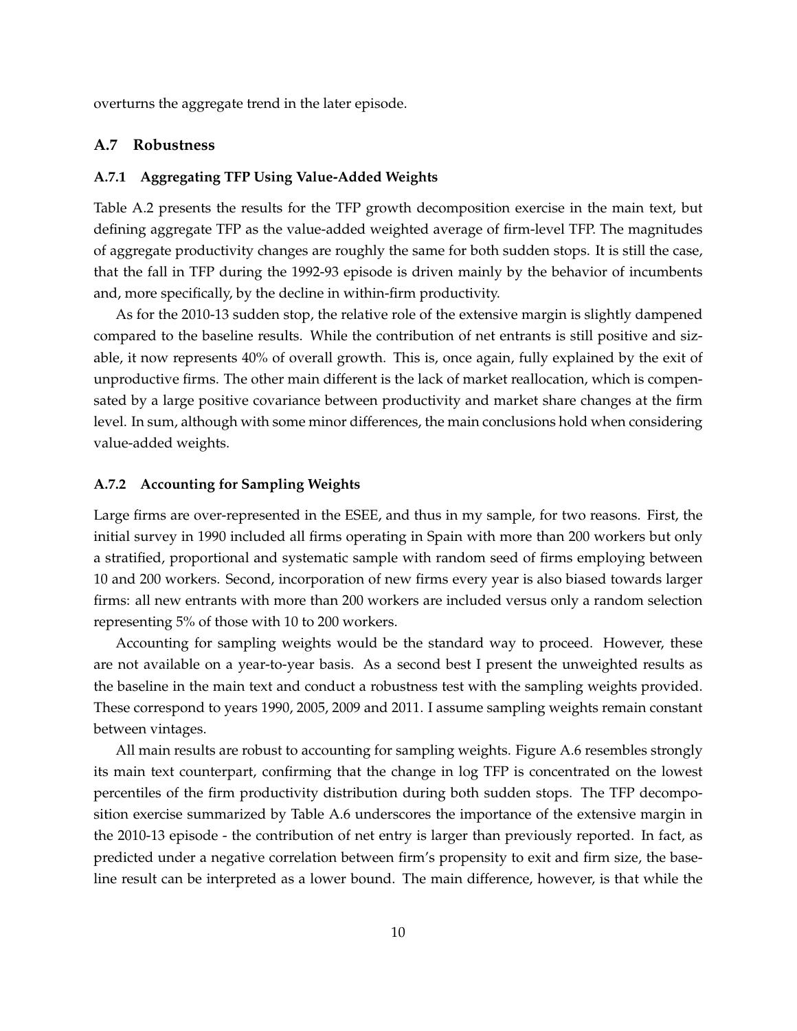overturns the aggregate trend in the later episode.

#### **A.7 Robustness**

#### **A.7.1 Aggregating TFP Using Value-Added Weights**

Table A.2 presents the results for the TFP growth decomposition exercise in the main text, but defining aggregate TFP as the value-added weighted average of firm-level TFP. The magnitudes of aggregate productivity changes are roughly the same for both sudden stops. It is still the case, that the fall in TFP during the 1992-93 episode is driven mainly by the behavior of incumbents and, more specifically, by the decline in within-firm productivity.

As for the 2010-13 sudden stop, the relative role of the extensive margin is slightly dampened compared to the baseline results. While the contribution of net entrants is still positive and sizable, it now represents 40% of overall growth. This is, once again, fully explained by the exit of unproductive firms. The other main different is the lack of market reallocation, which is compensated by a large positive covariance between productivity and market share changes at the firm level. In sum, although with some minor differences, the main conclusions hold when considering value-added weights.

#### **A.7.2 Accounting for Sampling Weights**

Large firms are over-represented in the ESEE, and thus in my sample, for two reasons. First, the initial survey in 1990 included all firms operating in Spain with more than 200 workers but only a stratified, proportional and systematic sample with random seed of firms employing between 10 and 200 workers. Second, incorporation of new firms every year is also biased towards larger firms: all new entrants with more than 200 workers are included versus only a random selection representing 5% of those with 10 to 200 workers.

Accounting for sampling weights would be the standard way to proceed. However, these are not available on a year-to-year basis. As a second best I present the unweighted results as the baseline in the main text and conduct a robustness test with the sampling weights provided. These correspond to years 1990, 2005, 2009 and 2011. I assume sampling weights remain constant between vintages.

All main results are robust to accounting for sampling weights. Figure A.6 resembles strongly its main text counterpart, confirming that the change in log TFP is concentrated on the lowest percentiles of the firm productivity distribution during both sudden stops. The TFP decomposition exercise summarized by Table A.6 underscores the importance of the extensive margin in the 2010-13 episode - the contribution of net entry is larger than previously reported. In fact, as predicted under a negative correlation between firm's propensity to exit and firm size, the baseline result can be interpreted as a lower bound. The main difference, however, is that while the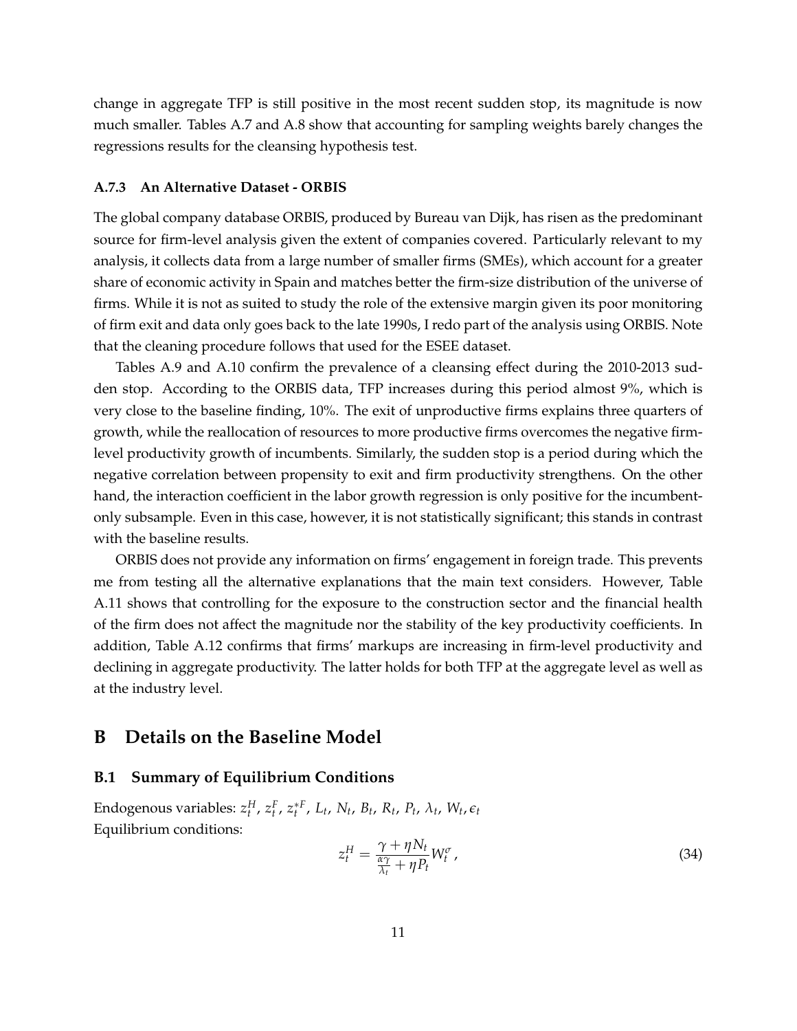change in aggregate TFP is still positive in the most recent sudden stop, its magnitude is now much smaller. Tables A.7 and A.8 show that accounting for sampling weights barely changes the regressions results for the cleansing hypothesis test.

#### **A.7.3 An Alternative Dataset - ORBIS**

The global company database ORBIS, produced by Bureau van Dijk, has risen as the predominant source for firm-level analysis given the extent of companies covered. Particularly relevant to my analysis, it collects data from a large number of smaller firms (SMEs), which account for a greater share of economic activity in Spain and matches better the firm-size distribution of the universe of firms. While it is not as suited to study the role of the extensive margin given its poor monitoring of firm exit and data only goes back to the late 1990s, I redo part of the analysis using ORBIS. Note that the cleaning procedure follows that used for the ESEE dataset.

Tables A.9 and A.10 confirm the prevalence of a cleansing effect during the 2010-2013 sudden stop. According to the ORBIS data, TFP increases during this period almost 9%, which is very close to the baseline finding, 10%. The exit of unproductive firms explains three quarters of growth, while the reallocation of resources to more productive firms overcomes the negative firmlevel productivity growth of incumbents. Similarly, the sudden stop is a period during which the negative correlation between propensity to exit and firm productivity strengthens. On the other hand, the interaction coefficient in the labor growth regression is only positive for the incumbentonly subsample. Even in this case, however, it is not statistically significant; this stands in contrast with the baseline results.

ORBIS does not provide any information on firms' engagement in foreign trade. This prevents me from testing all the alternative explanations that the main text considers. However, Table A.11 shows that controlling for the exposure to the construction sector and the financial health of the firm does not affect the magnitude nor the stability of the key productivity coefficients. In addition, Table A.12 confirms that firms' markups are increasing in firm-level productivity and declining in aggregate productivity. The latter holds for both TFP at the aggregate level as well as at the industry level.

# **B Details on the Baseline Model**

#### **B.1 Summary of Equilibrium Conditions**

Endogenous variables:  $z_t^H$ ,  $z_t^F$ ,  $z_t^{*F}$ ,  $L_t$ ,  $N_t$ ,  $B_t$ ,  $R_t$ ,  $P_t$ ,  $\lambda_t$ ,  $W_t$ ,  $\epsilon_t$ Equilibrium conditions:

$$
z_t^H = \frac{\gamma + \eta N_t}{\frac{\alpha \gamma}{\lambda_t} + \eta P_t} W_t^{\sigma}, \tag{34}
$$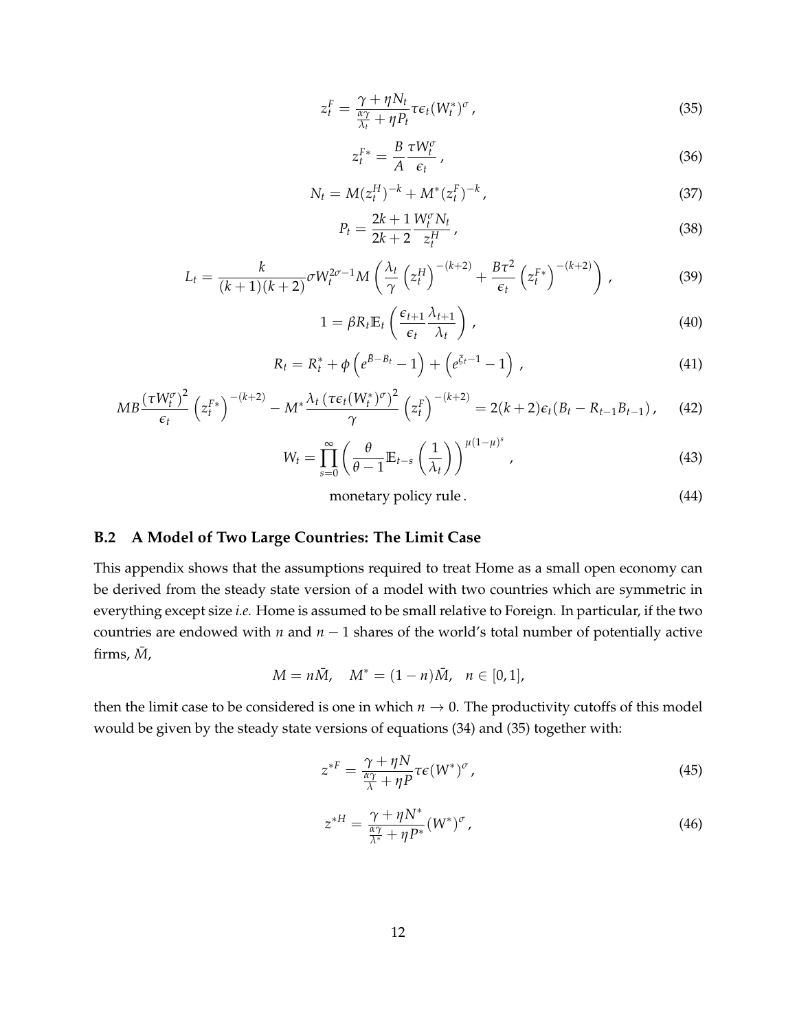$$
z_t^F = \frac{\gamma + \eta N_t}{\frac{\alpha \gamma}{\lambda_t} + \eta P_t} \tau \epsilon_t (W_t^*)^{\sigma}, \qquad (35)
$$

$$
z_t^{F*} = \frac{B}{A} \frac{\tau W_t^{\sigma}}{\epsilon_t},
$$
\n(36)

$$
N_t = M(z_t^H)^{-k} + M^*(z_t^F)^{-k}, \qquad (37)
$$

$$
P_t = \frac{2k+1}{2k+2} \frac{W_t^{\sigma} N_t}{z_t^H},
$$
\n(38)

$$
L_t = \frac{k}{(k+1)(k+2)} \sigma W_t^{2\sigma-1} M \left(\frac{\lambda_t}{\gamma} \left(z_t^H\right)^{-(k+2)} + \frac{B\tau^2}{\epsilon_t} \left(z_t^{F*}\right)^{-(k+2)}\right),\tag{39}
$$

$$
1 = \beta R_t \mathbb{E}_t \left( \frac{\epsilon_{t+1}}{\epsilon_t} \frac{\lambda_{t+1}}{\lambda_t} \right), \tag{40}
$$

$$
R_t = R_t^* + \phi \left( e^{\bar{B} - B_t} - 1 \right) + \left( e^{\xi_t - 1} - 1 \right) , \qquad (41)
$$

$$
MB\frac{(\tau W_t^{\sigma})^2}{\epsilon_t} \left(z_t^{F*}\right)^{-(k+2)} - M^* \frac{\lambda_t \left(\tau \epsilon_t (W_t^*)^{\sigma}\right)^2}{\gamma} \left(z_t^F\right)^{-(k+2)} = 2(k+2)\epsilon_t (B_t - R_{t-1}B_{t-1}), \quad (42)
$$

$$
W_t = \prod_{s=0}^{\infty} \left( \frac{\theta}{\theta - 1} \mathbb{E}_{t-s} \left( \frac{1}{\lambda_t} \right) \right)^{\mu (1 - \mu)^s}, \tag{43}
$$

monetary policy rule . (44)

# **B.2 A Model of Two Large Countries: The Limit Case**

This appendix shows that the assumptions required to treat Home as a small open economy can be derived from the steady state version of a model with two countries which are symmetric in everything except size *i.e.* Home is assumed to be small relative to Foreign. In particular, if the two countries are endowed with  $n$  and  $n-1$  shares of the world's total number of potentially active firms,  $\bar{M}$ ,

$$
M = n\overline{M}
$$
,  $M^* = (1 - n)\overline{M}$ ,  $n \in [0, 1]$ ,

then the limit case to be considered is one in which  $n \to 0$ . The productivity cutoffs of this model would be given by the steady state versions of equations (34) and (35) together with:

$$
z^{*F} = \frac{\gamma + \eta N}{\frac{\alpha \gamma}{\lambda} + \eta P} \tau \epsilon (W^*)^{\sigma}, \qquad (45)
$$

$$
z^{*H} = \frac{\gamma + \eta N^*}{\frac{\alpha \gamma}{\lambda^*} + \eta P^*} (W^*)^{\sigma}, \qquad (46)
$$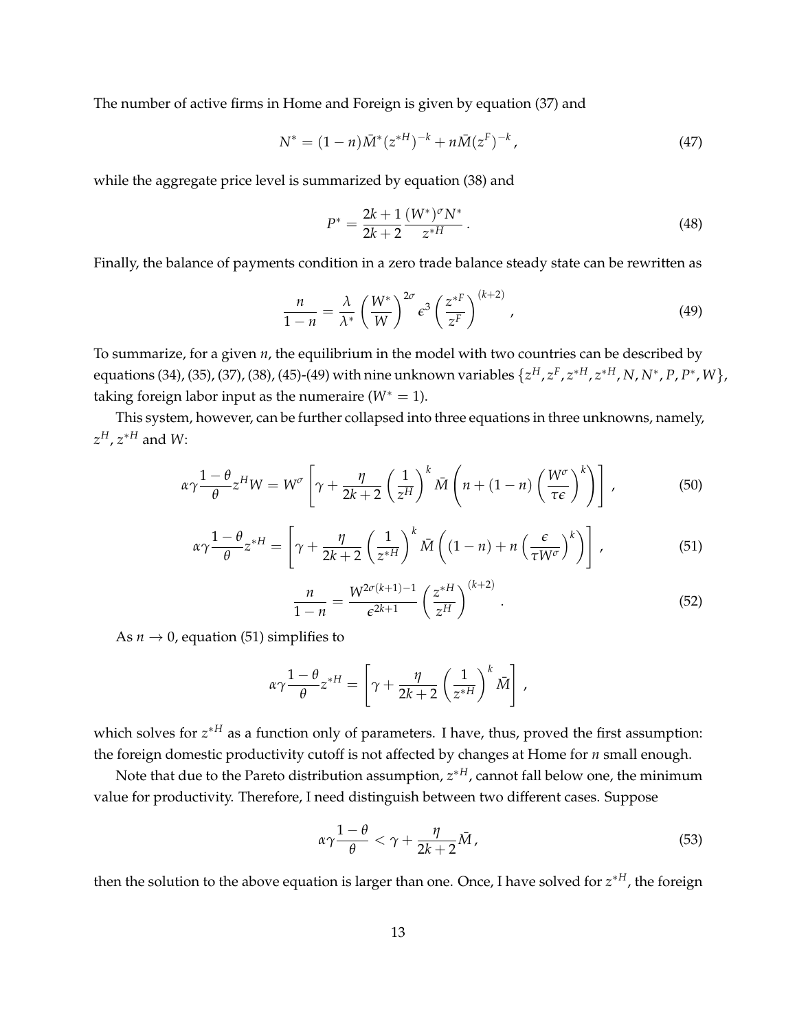The number of active firms in Home and Foreign is given by equation (37) and

$$
N^* = (1 - n)\bar{M}^*(z^{*H})^{-k} + n\bar{M}(z^F)^{-k}, \qquad (47)
$$

while the aggregate price level is summarized by equation (38) and

$$
P^* = \frac{2k+1}{2k+2} \frac{(W^*)^{\sigma} N^*}{z^{*H}}.
$$
\n(48)

Finally, the balance of payments condition in a zero trade balance steady state can be rewritten as

$$
\frac{n}{1-n} = \frac{\lambda}{\lambda^*} \left(\frac{W^*}{W}\right)^{2\sigma} \varepsilon^3 \left(\frac{z^{*F}}{z^F}\right)^{(k+2)},\tag{49}
$$

To summarize, for a given *n*, the equilibrium in the model with two countries can be described by equations (34), (35), (37), (38), (45)-(49) with nine unknown variables  $\{z^H, z^F, z^{*H}, z^{*H}, N, N^*, P, P^*, W\}$ taking foreign labor input as the numeraire  $(W^* = 1)$ .

This system, however, can be further collapsed into three equations in three unknowns, namely, *zH*, *z*⇤*<sup>H</sup>* and *W*:

$$
\alpha \gamma \frac{1-\theta}{\theta} z^H W = W^{\sigma} \left[ \gamma + \frac{\eta}{2k+2} \left( \frac{1}{z^H} \right)^k \bar{M} \left( n + (1-n) \left( \frac{W^{\sigma}}{\tau \epsilon} \right)^k \right) \right],
$$
 (50)

$$
\alpha \gamma \frac{1-\theta}{\theta} z^{*H} = \left[ \gamma + \frac{\eta}{2k+2} \left( \frac{1}{z^{*H}} \right)^k \bar{M} \left( (1-n) + n \left( \frac{\epsilon}{\tau W^{\sigma}} \right)^k \right) \right],
$$
 (51)

$$
\frac{n}{1-n} = \frac{W^{2\sigma(k+1)-1}}{\epsilon^{2k+1}} \left(\frac{z^{*H}}{z^H}\right)^{(k+2)}.
$$
\n(52)

As  $n \to 0$ , equation (51) simplifies to

$$
\alpha \gamma \frac{1-\theta}{\theta} z^{*H} = \left[ \gamma + \frac{\eta}{2k+2} \left( \frac{1}{z^{*H}} \right)^k \bar{M} \right],
$$

which solves for  $z^*$ <sup>*H*</sup> as a function only of parameters. I have, thus, proved the first assumption: the foreign domestic productivity cutoff is not affected by changes at Home for *n* small enough.

Note that due to the Pareto distribution assumption,  $z^{*H}$ , cannot fall below one, the minimum value for productivity. Therefore, I need distinguish between two different cases. Suppose

$$
\alpha \gamma \frac{1-\theta}{\theta} < \gamma + \frac{\eta}{2k+2} \bar{M},\tag{53}
$$

then the solution to the above equation is larger than one. Once, I have solved for  $z^{*H}$ , the foreign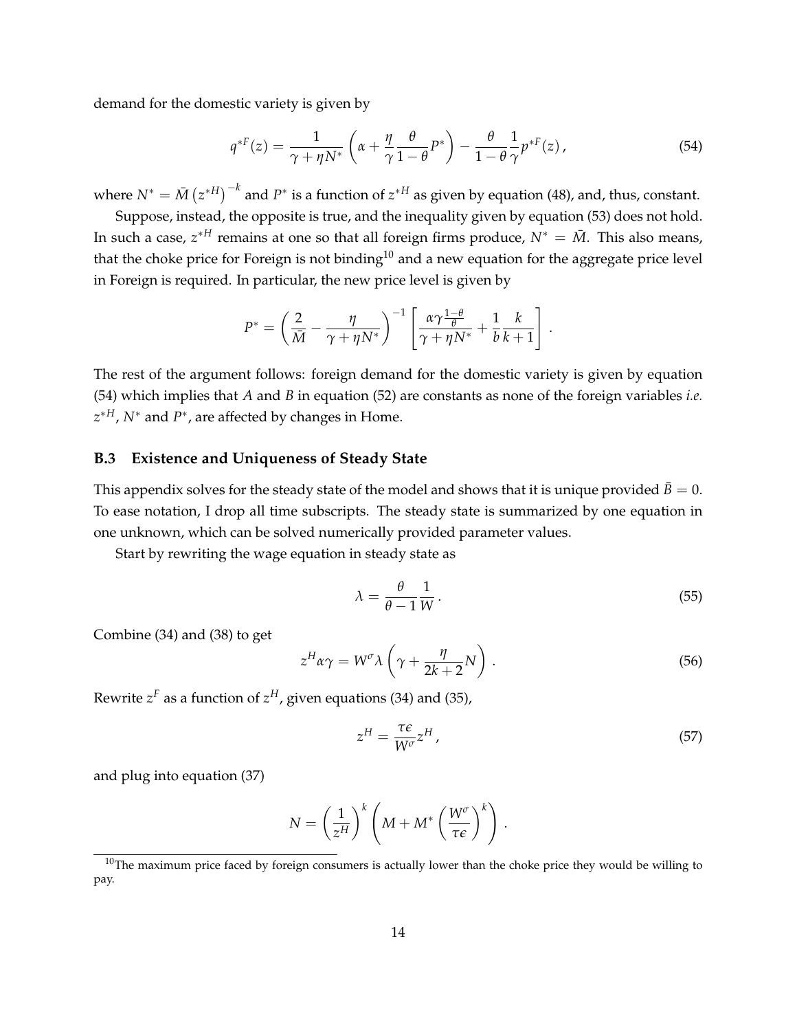demand for the domestic variety is given by

$$
q^{*F}(z) = \frac{1}{\gamma + \eta N^*} \left( \alpha + \frac{\eta}{\gamma} \frac{\theta}{1 - \theta} P^* \right) - \frac{\theta}{1 - \theta} \frac{1}{\gamma} p^{*F}(z), \tag{54}
$$

where  $N^* = \bar{M} \left( z^{*H} \right)^{-k}$  and  $P^*$  is a function of  $z^{*H}$  as given by equation (48), and, thus, constant.

Suppose, instead, the opposite is true, and the inequality given by equation (53) does not hold. In such a case,  $z^{*H}$  remains at one so that all foreign firms produce,  $N^* = \overline{M}$ . This also means, that the choke price for Foreign is not binding<sup>10</sup> and a new equation for the aggregate price level in Foreign is required. In particular, the new price level is given by

$$
P^* = \left(\frac{2}{\bar{M}} - \frac{\eta}{\gamma + \eta N^*}\right)^{-1} \left[\frac{\alpha \gamma \frac{1-\theta}{\theta}}{\gamma + \eta N^*} + \frac{1}{b} \frac{k}{k+1}\right]
$$

The rest of the argument follows: foreign demand for the domestic variety is given by equation (54) which implies that *A* and *B* in equation (52) are constants as none of the foreign variables *i.e.*  $z^{*H}$ ,  $N^*$  and  $P^*$ , are affected by changes in Home.

# **B.3 Existence and Uniqueness of Steady State**

This appendix solves for the steady state of the model and shows that it is unique provided  $\bar{B} = 0$ . To ease notation, I drop all time subscripts. The steady state is summarized by one equation in one unknown, which can be solved numerically provided parameter values.

Start by rewriting the wage equation in steady state as

$$
\lambda = \frac{\theta}{\theta - 1} \frac{1}{W} \,. \tag{55}
$$

.

Combine (34) and (38) to get

$$
z^{H}\alpha\gamma = W^{\sigma}\lambda\left(\gamma + \frac{\eta}{2k+2}N\right). \tag{56}
$$

Rewrite  $z^F$  as a function of  $z^H$ , given equations (34) and (35),

$$
z^H = \frac{\tau \epsilon}{W^{\sigma}} z^H \,,\tag{57}
$$

and plug into equation (37)

$$
N = \left(\frac{1}{z^H}\right)^k \left(M + M^* \left(\frac{W^{\sigma}}{\tau \epsilon}\right)^k\right).
$$

 $10$ The maximum price faced by foreign consumers is actually lower than the choke price they would be willing to pay.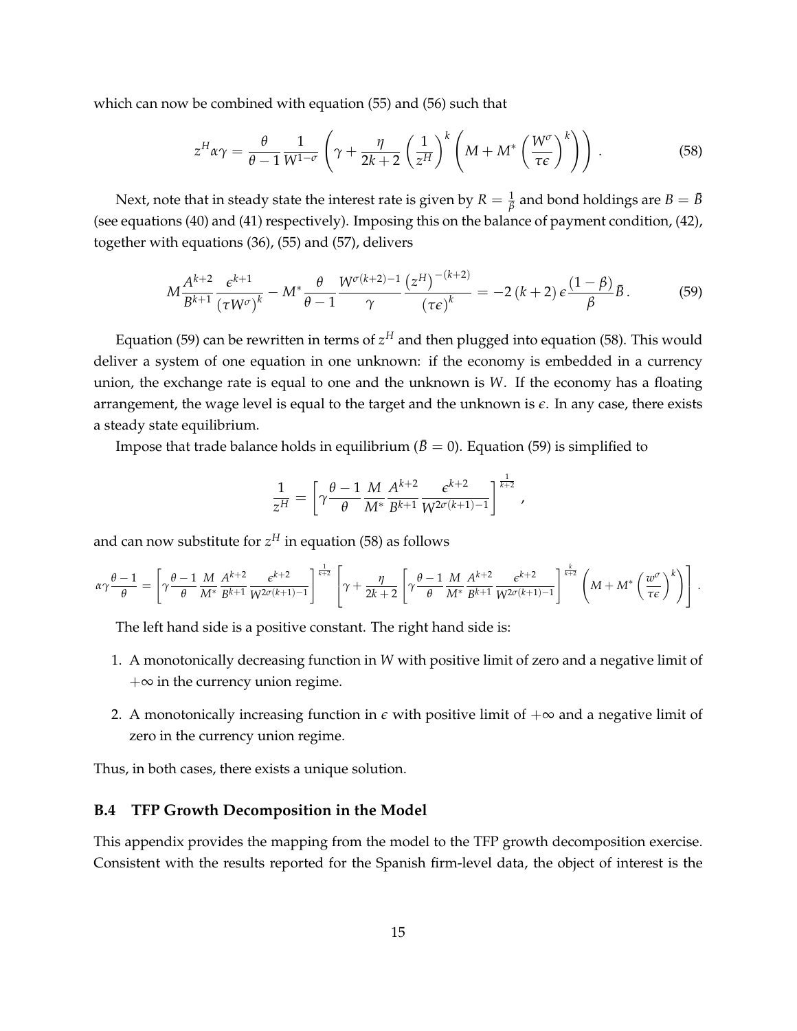which can now be combined with equation (55) and (56) such that

$$
z^{H} \alpha \gamma = \frac{\theta}{\theta - 1} \frac{1}{W^{1-\sigma}} \left( \gamma + \frac{\eta}{2k+2} \left( \frac{1}{z^{H}} \right)^{k} \left( M + M^{*} \left( \frac{W^{\sigma}}{\tau \epsilon} \right)^{k} \right) \right). \tag{58}
$$

Next, note that in steady state the interest rate is given by  $R=\frac{1}{\beta}$  and bond holdings are  $B=\bar{B}$ (see equations (40) and (41) respectively). Imposing this on the balance of payment condition, (42), together with equations (36), (55) and (57), delivers

$$
M\frac{A^{k+2}}{B^{k+1}}\frac{\epsilon^{k+1}}{\left(\tau W^{\sigma}\right)^k} - M^*\frac{\theta}{\theta-1}\frac{W^{\sigma(k+2)-1}}{\gamma}\frac{\left(z^H\right)^{-(k+2)}}{\left(\tau\epsilon\right)^k} = -2\left(k+2\right)\epsilon\frac{\left(1-\beta\right)}{\beta}\bar{B}.\tag{59}
$$

Equation (59) can be rewritten in terms of  $z<sup>H</sup>$  and then plugged into equation (58). This would deliver a system of one equation in one unknown: if the economy is embedded in a currency union, the exchange rate is equal to one and the unknown is *W*. If the economy has a floating arrangement, the wage level is equal to the target and the unknown is *e*. In any case, there exists a steady state equilibrium.

Impose that trade balance holds in equilibrium ( $\bar{B} = 0$ ). Equation (59) is simplified to

$$
\frac{1}{z^H} = \left[ \gamma \frac{\theta - 1}{\theta} \frac{M}{M^*} \frac{A^{k+2}}{B^{k+1}} \frac{\epsilon^{k+2}}{W^{2\sigma(k+1)-1}} \right]^{\frac{1}{k+2}},
$$

and can now substitute for  $z<sup>H</sup>$  in equation (58) as follows

$$
\alpha\gamma\frac{\theta-1}{\theta} = \left[\gamma\frac{\theta-1}{\theta}\frac{M}{M^*}\frac{A^{k+2}}{B^{k+1}}\frac{\epsilon^{k+2}}{W^{2\sigma(k+1)-1}}\right]^{\frac{1}{k+2}} \left[\gamma+\frac{\eta}{2k+2}\left[\gamma\frac{\theta-1}{\theta}\frac{M}{M^*}\frac{A^{k+2}}{B^{k+1}}\frac{\epsilon^{k+2}}{W^{2\sigma(k+1)-1}}\right]^{\frac{k}{k+2}}\left(M+M^*\left(\frac{w^{\sigma}}{\tau\epsilon}\right)^k\right)\right].
$$

The left hand side is a positive constant. The right hand side is:

- 1. A monotonically decreasing function in *W* with positive limit of zero and a negative limit of  $+\infty$  in the currency union regime.
- 2. A monotonically increasing function in  $\epsilon$  with positive limit of  $+\infty$  and a negative limit of zero in the currency union regime.

Thus, in both cases, there exists a unique solution.

#### **B.4 TFP Growth Decomposition in the Model**

This appendix provides the mapping from the model to the TFP growth decomposition exercise. Consistent with the results reported for the Spanish firm-level data, the object of interest is the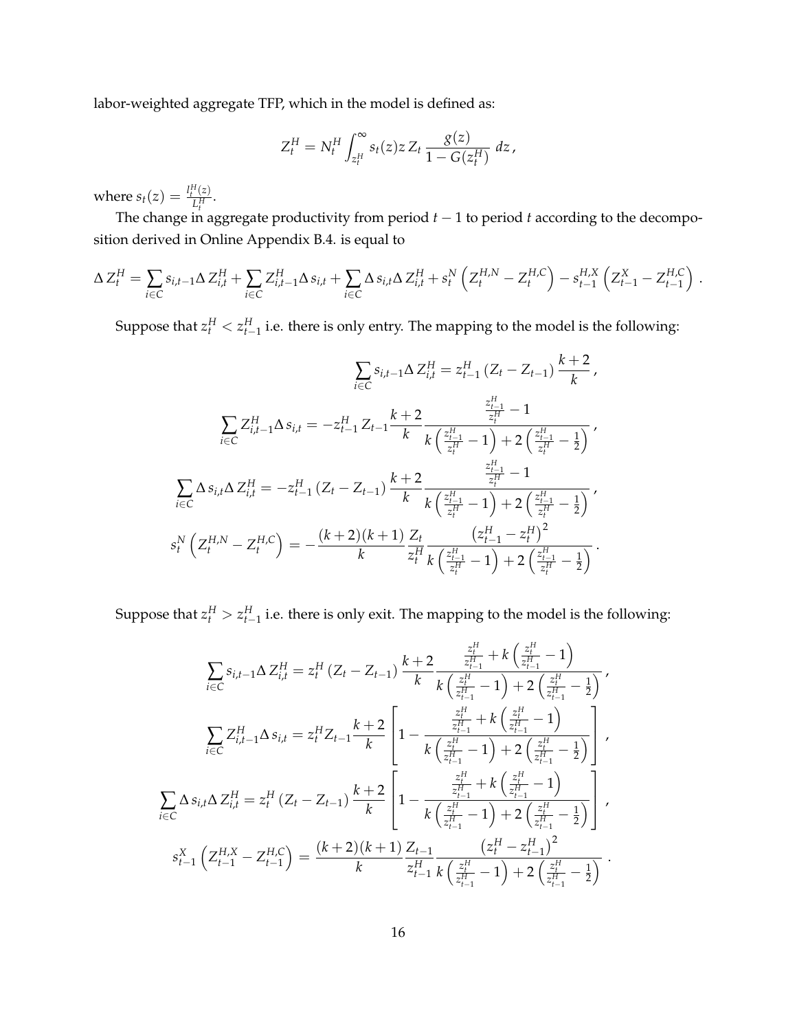labor-weighted aggregate TFP, which in the model is defined as:

$$
Z_t^H = N_t^H \int_{z_t^H}^{\infty} s_t(z) z Z_t \frac{g(z)}{1 - G(z_t^H)} dz,
$$

where  $s_t(z) = \frac{l_t^H(z)}{I^H}$  $\frac{(z)}{L_t^H}$ .

The change in aggregate productivity from period  $t-1$  to period  $t$  according to the decomposition derived in Online Appendix B.4. is equal to

$$
\Delta Z_t^H = \sum_{i \in C} s_{i,t-1} \Delta Z_{i,t}^H + \sum_{i \in C} Z_{i,t-1}^H \Delta s_{i,t} + \sum_{i \in C} \Delta s_{i,t} \Delta Z_{i,t}^H + s_t^N \left( Z_t^{H,N} - Z_t^{H,C} \right) - s_{t-1}^{H,X} \left( Z_{t-1}^X - Z_{t-1}^{H,C} \right) .
$$

Suppose that  $z_t^H < z_{t-1}^H$  i.e. there is only entry. The mapping to the model is the following:

$$
\sum_{i \in C} s_{i,t-1} \Delta Z_{i,t}^H = z_{t-1}^H (Z_t - Z_{t-1}) \frac{k+2}{k},
$$
\n
$$
\sum_{i \in C} Z_{i,t-1}^H \Delta s_{i,t} = -z_{t-1}^H Z_{t-1} \frac{k+2}{k} \frac{\frac{z_{t-1}^H}{z_t^H} - 1}{k \left(\frac{z_{t-1}^H}{z_t^H} - 1\right) + 2\left(\frac{z_{t-1}^H}{z_t^H} - \frac{1}{2}\right)},
$$
\n
$$
\sum_{i \in C} \Delta s_{i,t} \Delta Z_{i,t}^H = -z_{t-1}^H (Z_t - Z_{t-1}) \frac{k+2}{k} \frac{\frac{z_{t-1}^H}{z_t^H} - 1}{k \left(\frac{z_{t-1}^H}{z_t^H} - 1\right) + 2\left(\frac{z_{t-1}^H}{z_t^H} - \frac{1}{2}\right)},
$$
\n
$$
s_t^N \left(Z_t^{H,N} - Z_t^{H,C}\right) = -\frac{(k+2)(k+1)}{k} \frac{Z_t}{z_t^H} \frac{\left(z_{t-1}^H - z_t^H\right)^2}{k \left(\frac{z_{t-1}^H}{z_t^H} - 1\right) + 2\left(\frac{z_{t-1}^H}{z_t^H} - \frac{1}{2}\right)}{k}.
$$

Suppose that  $z_t^H > z_{t-1}^H$  i.e. there is only exit. The mapping to the model is the following:

$$
\sum_{i\in C} s_{i,t-1} \Delta Z_{i,t}^H = z_t^H (Z_t - Z_{t-1}) \frac{k+2}{k} \frac{\frac{z_t^H}{z_{t-1}^H} + k\left(\frac{z_t^H}{z_{t-1}^H} - 1\right)}{k\left(\frac{z_t^H}{z_{t-1}^H} - 1\right) + 2\left(\frac{z_t^H}{z_{t-1}^H} - \frac{1}{2}\right)},
$$
\n
$$
\sum_{i\in C} Z_{i,t-1}^H \Delta s_{i,t} = z_t^H Z_{t-1} \frac{k+2}{k} \left[ 1 - \frac{\frac{z_t^H}{z_{t-1}^H} + k\left(\frac{z_t^H}{z_{t-1}^H} - 1\right)}{k\left(\frac{z_t^H}{z_{t-1}^H} - 1\right) + 2\left(\frac{z_t^H}{z_{t-1}^H} - \frac{1}{2}\right)} \right],
$$
\n
$$
\sum_{i\in C} \Delta s_{i,t} \Delta Z_{i,t}^H = z_t^H (Z_t - Z_{t-1}) \frac{k+2}{k} \left[ 1 - \frac{\frac{z_t^H}{z_{t-1}^H} + k\left(\frac{z_t^H}{z_{t-1}^H} - 1\right)}{k\left(\frac{z_t^H}{z_{t-1}^H} - 1\right) + 2\left(\frac{z_t^H}{z_{t-1}^H} - \frac{1}{2}\right)} \right],
$$
\n
$$
s_{t-1}^X \left(Z_{t-1}^H - Z_{t-1}^H\right) = \frac{(k+2)(k+1)}{k} \frac{Z_{t-1}}{z_{t-1}^H} \frac{\left(z_t^H - z_{t-1}^H\right)^2}{k\left(\frac{z_t^H}{z_{t-1}^H} - 1\right) + 2\left(\frac{z_t^H}{z_{t-1}^H} - \frac{1}{2}\right)}.
$$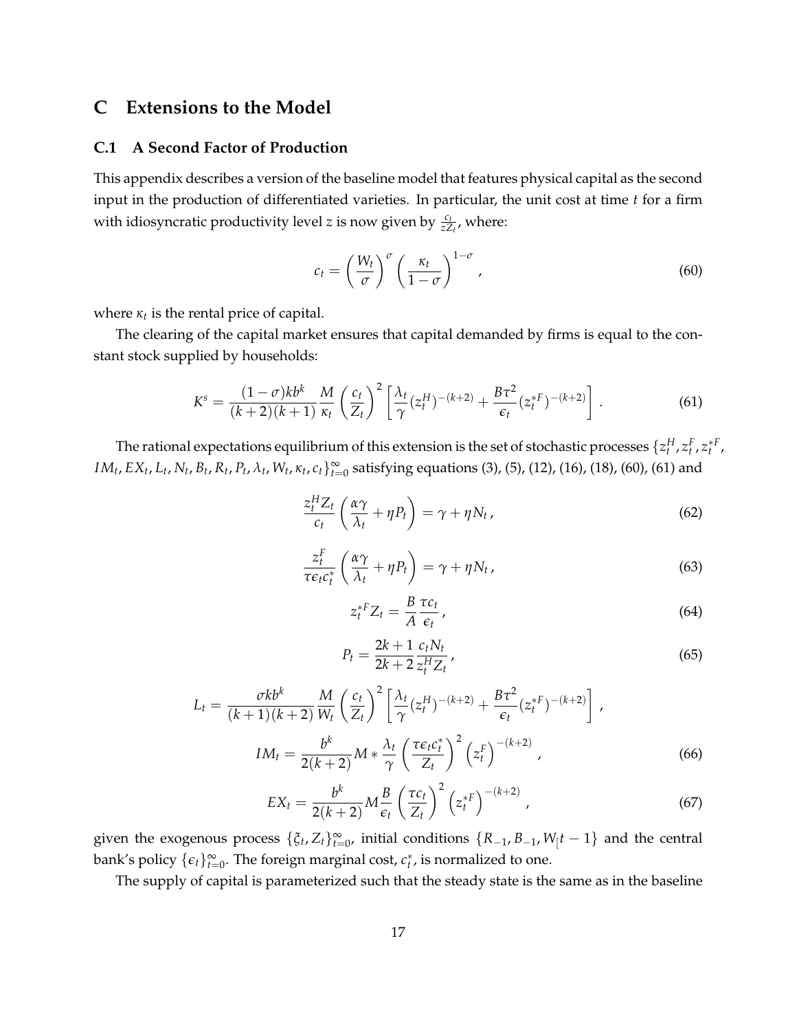# **C Extensions to the Model**

## **C.1 A Second Factor of Production**

This appendix describes a version of the baseline model that features physical capital as the second input in the production of differentiated varieties. In particular, the unit cost at time *t* for a firm with idiosyncratic productivity level *z* is now given by  $\frac{c_t}{z Z_t}$ , where:

$$
c_t = \left(\frac{W_t}{\sigma}\right)^{\sigma} \left(\frac{\kappa_t}{1-\sigma}\right)^{1-\sigma},\tag{60}
$$

where  $\kappa_t$  is the rental price of capital.

The clearing of the capital market ensures that capital demanded by firms is equal to the constant stock supplied by households:

$$
K^{s} = \frac{(1-\sigma)kb^{k}}{(k+2)(k+1)} \frac{M}{\kappa_{t}} \left(\frac{c_{t}}{Z_{t}}\right)^{2} \left[\frac{\lambda_{t}}{\gamma}(z_{t}^{H})^{-(k+2)} + \frac{B\tau^{2}}{\epsilon_{t}}(z_{t}^{*F})^{-(k+2)}\right].
$$
 (61)

The rational expectations equilibrium of this extension is the set of stochastic processes  $\{z_t^H, z_t^F, z_t^{*F}$ , *IM<sub>t</sub>*, *EX<sub>t</sub>*, *L<sub>t</sub>*, *N<sub>t</sub>*, *B<sub>t</sub>*, *R<sub>t</sub>*, *P<sub>t</sub>*, *λ<sub>t</sub>*, *W<sub>t</sub>*, *κ<sub>t</sub>*, *c<sub>t</sub>*}<sup>2</sup><sub>*t*</sub>=0 satisfying equations (3), (5), (12), (16), (18), (60), (61) and

$$
\frac{z_t^H Z_t}{c_t} \left( \frac{\alpha \gamma}{\lambda_t} + \eta P_t \right) = \gamma + \eta N_t, \tag{62}
$$

$$
\frac{z_t^F}{\tau \epsilon_t c_t^*} \left( \frac{\alpha \gamma}{\lambda_t} + \eta P_t \right) = \gamma + \eta N_t,
$$
\n(63)

$$
z_t^{*F} Z_t = \frac{B}{A} \frac{\tau c_t}{\epsilon_t},
$$
\n(64)

$$
P_t = \frac{2k+1}{2k+2} \frac{c_t N_t}{z_t^H Z_t},
$$
\n(65)

$$
L_t = \frac{\sigma k b^k}{(k+1)(k+2)} \frac{M}{W_t} \left(\frac{c_t}{Z_t}\right)^2 \left[\frac{\lambda_t}{\gamma} (z_t^H)^{-(k+2)} + \frac{B\tau^2}{\epsilon_t} (z_t^{*F})^{-(k+2)}\right],
$$
  

$$
IM_t = \frac{b^k}{2(k+2)} M * \frac{\lambda_t}{\gamma} \left(\frac{\tau \epsilon_t c_t^*}{Z_t}\right)^2 \left(z_t^F\right)^{-(k+2)},
$$
(66)

$$
EX_t = \frac{b^k}{2(k+2)} M \frac{B}{\epsilon_t} \left(\frac{\tau c_t}{Z_t}\right)^2 \left(z_t^{*F}\right)^{-(k+2)},\tag{67}
$$

given the exogenous process  $\{\xi_t, Z_t\}_{t=0}^{\infty}$ , initial conditions  $\{R_{-1}, B_{-1}, W_{t}$  $t-1\}$  and the central bank's policy  $\{\epsilon_t\}_{t=0}^{\infty}$ . The foreign marginal cost,  $c_t^*$ , is normalized to one.

The supply of capital is parameterized such that the steady state is the same as in the baseline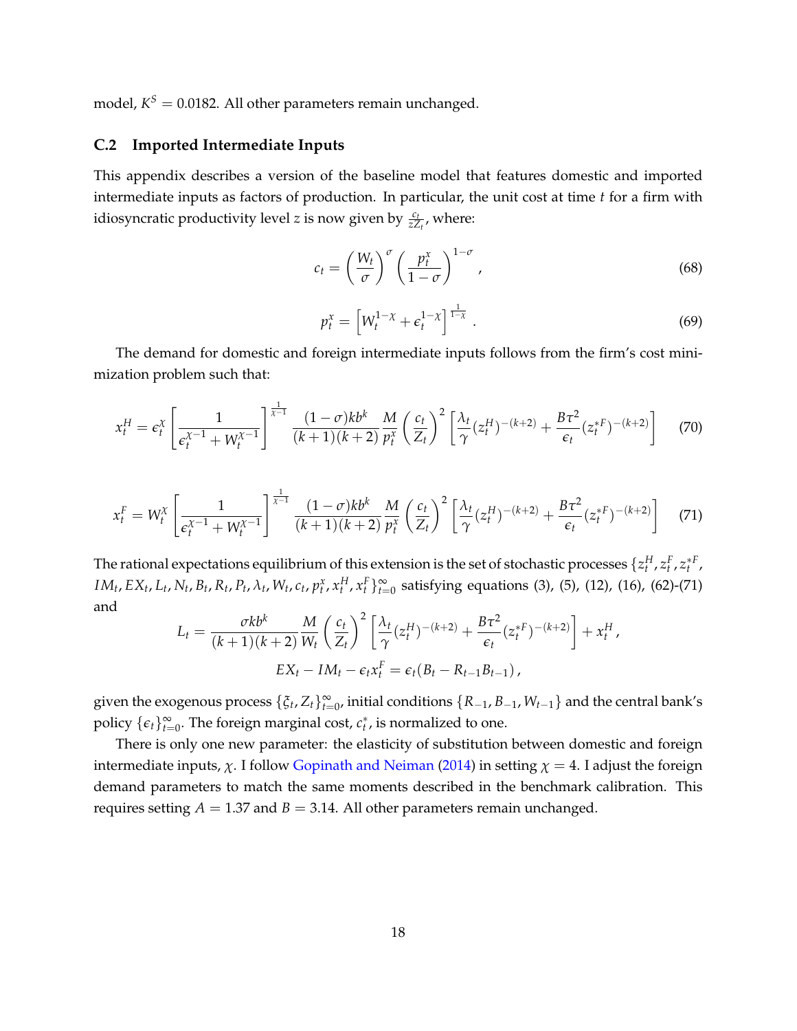model,  $K^S = 0.0182$ . All other parameters remain unchanged.

## **C.2 Imported Intermediate Inputs**

This appendix describes a version of the baseline model that features domestic and imported intermediate inputs as factors of production. In particular, the unit cost at time *t* for a firm with idiosyncratic productivity level *z* is now given by  $\frac{c_t}{z Z_t}$ , where:

$$
c_t = \left(\frac{W_t}{\sigma}\right)^{\sigma} \left(\frac{p_t^x}{1-\sigma}\right)^{1-\sigma},\tag{68}
$$

$$
p_t^x = \left[ W_t^{1-\chi} + \epsilon_t^{1-\chi} \right]^{\frac{1}{1-\chi}}.
$$
\n(69)

The demand for domestic and foreign intermediate inputs follows from the firm's cost minimization problem such that:

$$
x_t^H = \epsilon_t^{\chi} \left[ \frac{1}{\epsilon_t^{\chi-1} + W_t^{\chi-1}} \right]^{\frac{1}{\chi-1}} \frac{(1-\sigma)kb^k}{(k+1)(k+2)} \frac{M}{p_t^{\chi}} \left( \frac{c_t}{Z_t} \right)^2 \left[ \frac{\lambda_t}{\gamma} (z_t^H)^{-(k+2)} + \frac{B\tau^2}{\epsilon_t} (z_t^{*F})^{-(k+2)} \right] \tag{70}
$$

$$
x_t^F = W_t^{\chi} \left[ \frac{1}{\epsilon_t^{\chi-1} + W_t^{\chi-1}} \right]^{\frac{1}{\chi-1}} \frac{(1-\sigma)kb^k}{(k+1)(k+2)} \frac{M}{p_t^{\chi}} \left( \frac{c_t}{Z_t} \right)^2 \left[ \frac{\lambda_t}{\gamma} (z_t^H)^{-(k+2)} + \frac{B\tau^2}{\epsilon_t} (z_t^{*F})^{-(k+2)} \right] \tag{71}
$$

The rational expectations equilibrium of this extension is the set of stochastic processes  $\{z_t^H, z_t^F, z_t^{*F}$ ,  $IM_t, EX_t, L_t, N_t, B_t, R_t, P_t, \lambda_t, W_t, c_t, p_t^x, x_t^H, x_t^F\}_{t=0}^{\infty}$  satisfying equations (3), (5), (12), (16), (62)-(71) and

$$
L_t = \frac{\sigma k b^k}{(k+1)(k+2)} \frac{M}{W_t} \left(\frac{c_t}{Z_t}\right)^2 \left[\frac{\lambda_t}{\gamma} (z_t^H)^{-(k+2)} + \frac{B\tau^2}{\epsilon_t} (z_t^{*F})^{-(k+2)}\right] + x_t^H,
$$
  

$$
EX_t - IM_t - \epsilon_t x_t^F = \epsilon_t (B_t - R_{t-1}B_{t-1}),
$$

given the exogenous process  $\{\xi_t, Z_t\}_{t=0}^{\infty}$ , initial conditions  $\{R_{-1}, B_{-1}, W_{t-1}\}$  and the central bank's policy  $\{\epsilon_t\}_{t=0}^{\infty}$ . The foreign marginal cost,  $c_t^*$ , is normalized to one.

There is only one new parameter: the elasticity of substitution between domestic and foreign intermediate inputs,  $\chi$ . I follow Gopinath and Neiman (2014) in setting  $\chi = 4$ . I adjust the foreign demand parameters to match the same moments described in the benchmark calibration. This requires setting  $A = 1.37$  and  $B = 3.14$ . All other parameters remain unchanged.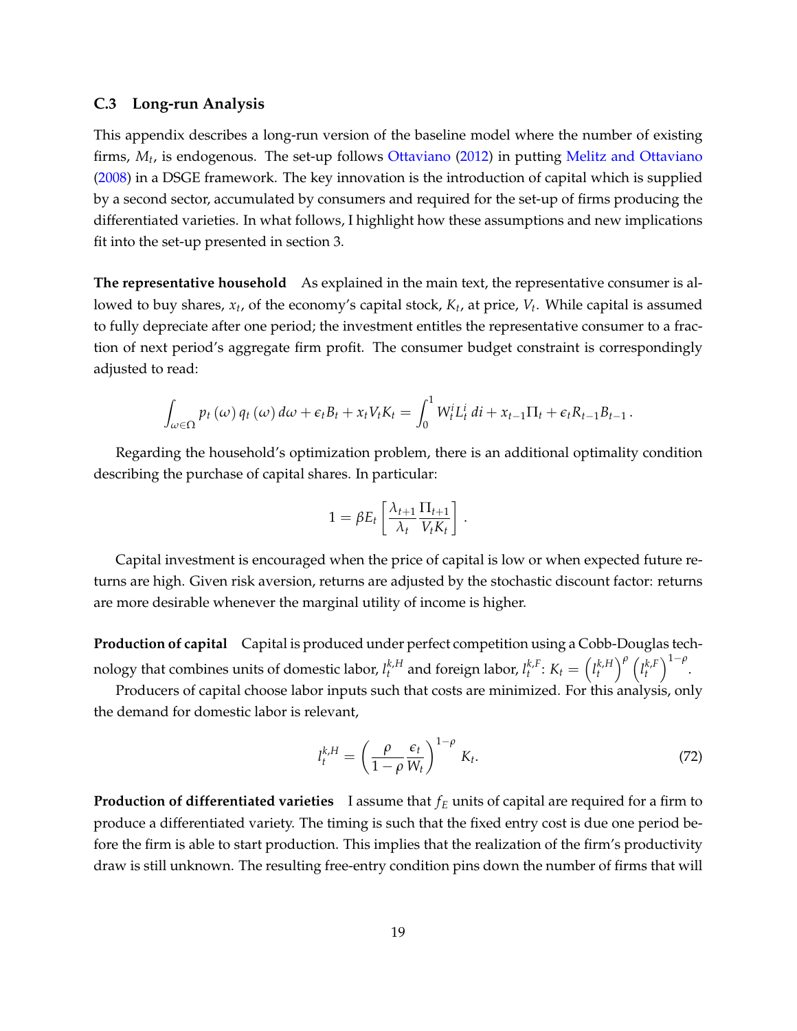#### **C.3 Long-run Analysis**

This appendix describes a long-run version of the baseline model where the number of existing firms, *Mt*, is endogenous. The set-up follows Ottaviano (2012) in putting Melitz and Ottaviano (2008) in a DSGE framework. The key innovation is the introduction of capital which is supplied by a second sector, accumulated by consumers and required for the set-up of firms producing the differentiated varieties. In what follows, I highlight how these assumptions and new implications fit into the set-up presented in section 3.

**The representative household** As explained in the main text, the representative consumer is allowed to buy shares, *xt*, of the economy's capital stock, *Kt*, at price, *Vt*. While capital is assumed to fully depreciate after one period; the investment entitles the representative consumer to a fraction of next period's aggregate firm profit. The consumer budget constraint is correspondingly adjusted to read:

$$
\int_{\omega \in \Omega} p_t(\omega) q_t(\omega) d\omega + \epsilon_t B_t + x_t V_t K_t = \int_0^1 W_t^i L_t^i dt + x_{t-1} \Pi_t + \epsilon_t R_{t-1} B_{t-1}.
$$

Regarding the household's optimization problem, there is an additional optimality condition describing the purchase of capital shares. In particular:

$$
1 = \beta E_t \left[ \frac{\lambda_{t+1}}{\lambda_t} \frac{\Pi_{t+1}}{V_t K_t} \right].
$$

Capital investment is encouraged when the price of capital is low or when expected future returns are high. Given risk aversion, returns are adjusted by the stochastic discount factor: returns are more desirable whenever the marginal utility of income is higher.

**Production of capital** Capital is produced under perfect competition using a Cobb-Douglas technology that combines units of domestic labor,  $l_t^{k,H}$  and foreign labor,  $l_t^{k,F}\colon K_t={l_t^{k,H}}$ *t*  $\int_{0}^{p}$   $\left(l_{t}^{k,F}\right)$ *t*  $\bigg)^{1-\rho}$ .

Producers of capital choose labor inputs such that costs are minimized. For this analysis, only the demand for domestic labor is relevant,

$$
l_t^{k,H} = \left(\frac{\rho}{1-\rho} \frac{\epsilon_t}{W_t}\right)^{1-\rho} K_t.
$$
 (72)

**Production of differentiated varieties** I assume that  $f_E$  units of capital are required for a firm to produce a differentiated variety. The timing is such that the fixed entry cost is due one period before the firm is able to start production. This implies that the realization of the firm's productivity draw is still unknown. The resulting free-entry condition pins down the number of firms that will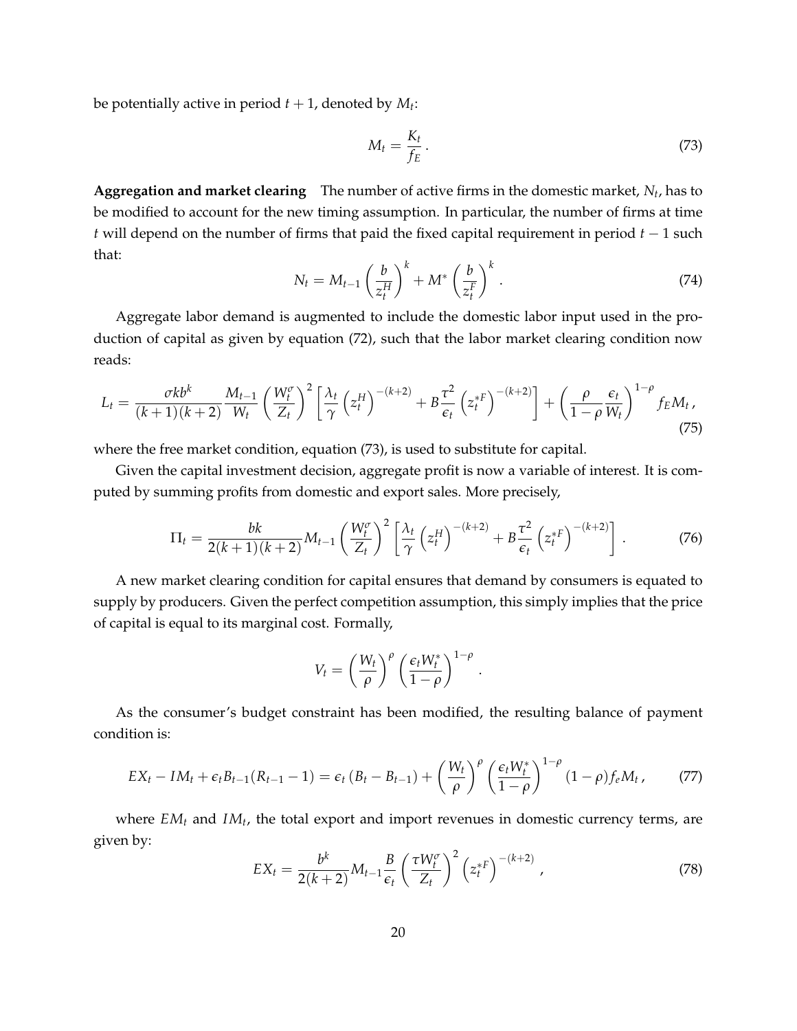be potentially active in period  $t + 1$ , denoted by  $M_t$ :

$$
M_t = \frac{K_t}{f_E} \,. \tag{73}
$$

**Aggregation and market clearing** The number of active firms in the domestic market, *Nt*, has to be modified to account for the new timing assumption. In particular, the number of firms at time *t* will depend on the number of firms that paid the fixed capital requirement in period  $t - 1$  such that:

$$
N_t = M_{t-1} \left(\frac{b}{z_t^H}\right)^k + M^* \left(\frac{b}{z_t^F}\right)^k.
$$
\n(74)

Aggregate labor demand is augmented to include the domestic labor input used in the production of capital as given by equation (72), such that the labor market clearing condition now reads:

$$
L_t = \frac{\sigma k b^k}{(k+1)(k+2)} \frac{M_{t-1}}{W_t} \left(\frac{W_t^{\sigma}}{Z_t}\right)^2 \left[\frac{\lambda_t}{\gamma} \left(z_t^H\right)^{-(k+2)} + B \frac{\tau^2}{\epsilon_t} \left(z_t^{*F}\right)^{-(k+2)}\right] + \left(\frac{\rho}{1-\rho} \frac{\epsilon_t}{W_t}\right)^{1-\rho} f_E M_t,
$$
\n(75)

where the free market condition, equation (73), is used to substitute for capital.

Given the capital investment decision, aggregate profit is now a variable of interest. It is computed by summing profits from domestic and export sales. More precisely,

$$
\Pi_t = \frac{bk}{2(k+1)(k+2)} M_{t-1} \left(\frac{W_t^{\sigma}}{Z_t}\right)^2 \left[\frac{\lambda_t}{\gamma} \left(z_t^H\right)^{-(k+2)} + B \frac{\tau^2}{\epsilon_t} \left(z_t^{*F}\right)^{-(k+2)}\right].
$$
 (76)

A new market clearing condition for capital ensures that demand by consumers is equated to supply by producers. Given the perfect competition assumption, this simply implies that the price of capital is equal to its marginal cost. Formally,

$$
V_t = \left(\frac{W_t}{\rho}\right)^{\rho} \left(\frac{\epsilon_t W_t^*}{1-\rho}\right)^{1-\rho}
$$

As the consumer's budget constraint has been modified, the resulting balance of payment condition is:

$$
EX_t - IM_t + \epsilon_t B_{t-1}(R_{t-1} - 1) = \epsilon_t (B_t - B_{t-1}) + \left(\frac{W_t}{\rho}\right)^{\rho} \left(\frac{\epsilon_t W_t^*}{1 - \rho}\right)^{1 - \rho} (1 - \rho) f_e M_t, \tag{77}
$$

where  $EM_t$  and  $IM_t$ , the total export and import revenues in domestic currency terms, are given by:

$$
EX_t = \frac{b^k}{2(k+2)} M_{t-1} \frac{B}{\epsilon_t} \left(\frac{\tau W_t^{\sigma}}{Z_t}\right)^2 \left(z_t^{*F}\right)^{-(k+2)}, \qquad (78)
$$

.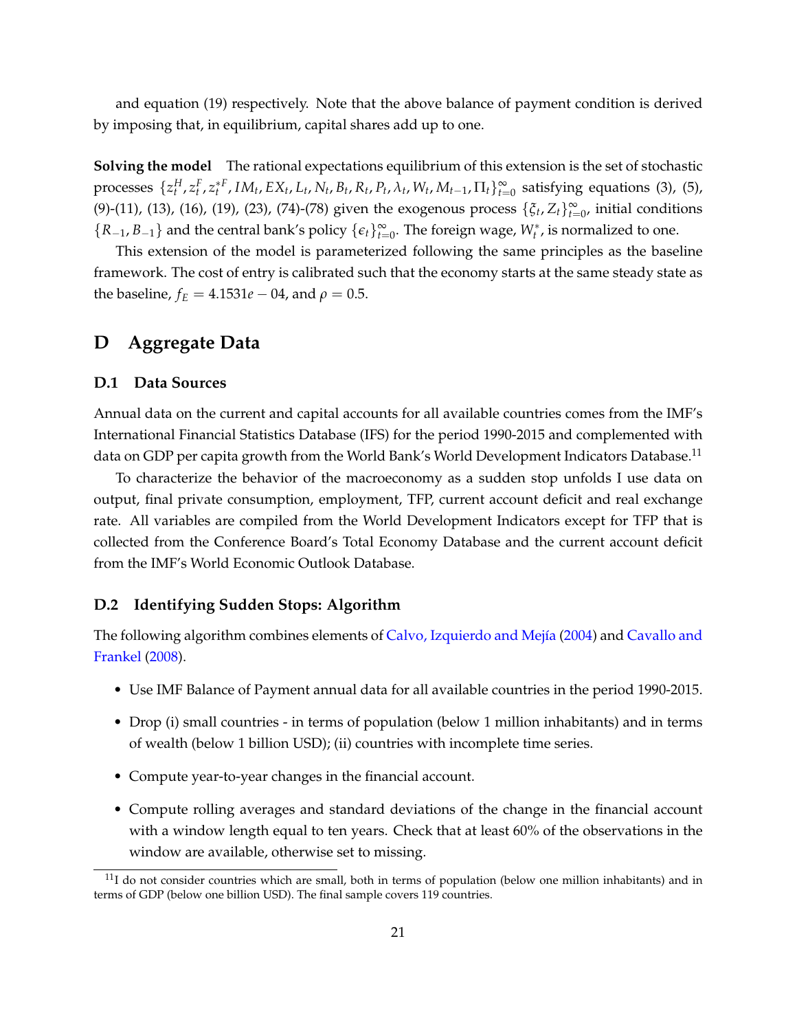and equation (19) respectively. Note that the above balance of payment condition is derived by imposing that, in equilibrium, capital shares add up to one.

**Solving the model** The rational expectations equilibrium of this extension is the set of stochastic processes  $\{z_t^H, z_t^F, z_t^{*F}, IM_t, EX_t, L_t, N_t, B_t, R_t, P_t, \lambda_t, W_t, M_{t-1}, \Pi_t\}_{t=0}^{\infty}$  satisfying equations (3), (5), (9)-(11), (13), (16), (19), (23), (74)-(78) given the exogenous process  $\{\xi_t, Z_t\}_{t=0}^{\infty}$ , initial conditions  ${R_{-1}, B_{-1}}$  and the central bank's policy  ${e_t}_{t=0}^{\infty}$ . The foreign wage,  $W_t^*$ , is normalized to one.

This extension of the model is parameterized following the same principles as the baseline framework. The cost of entry is calibrated such that the economy starts at the same steady state as the baseline,  $f_E = 4.1531e - 04$ , and  $\rho = 0.5$ .

# **D Aggregate Data**

# **D.1 Data Sources**

Annual data on the current and capital accounts for all available countries comes from the IMF's International Financial Statistics Database (IFS) for the period 1990-2015 and complemented with data on GDP per capita growth from the World Bank's World Development Indicators Database.<sup>11</sup>

To characterize the behavior of the macroeconomy as a sudden stop unfolds I use data on output, final private consumption, employment, TFP, current account deficit and real exchange rate. All variables are compiled from the World Development Indicators except for TFP that is collected from the Conference Board's Total Economy Database and the current account deficit from the IMF's World Economic Outlook Database.

## **D.2 Identifying Sudden Stops: Algorithm**

The following algorithm combines elements of Calvo, Izquierdo and Mejía (2004) and Cavallo and Frankel (2008).

- Use IMF Balance of Payment annual data for all available countries in the period 1990-2015.
- Drop (i) small countries in terms of population (below 1 million inhabitants) and in terms of wealth (below 1 billion USD); (ii) countries with incomplete time series.
- Compute year-to-year changes in the financial account.
- Compute rolling averages and standard deviations of the change in the financial account with a window length equal to ten years. Check that at least 60% of the observations in the window are available, otherwise set to missing.

 $11$ I do not consider countries which are small, both in terms of population (below one million inhabitants) and in terms of GDP (below one billion USD). The final sample covers 119 countries.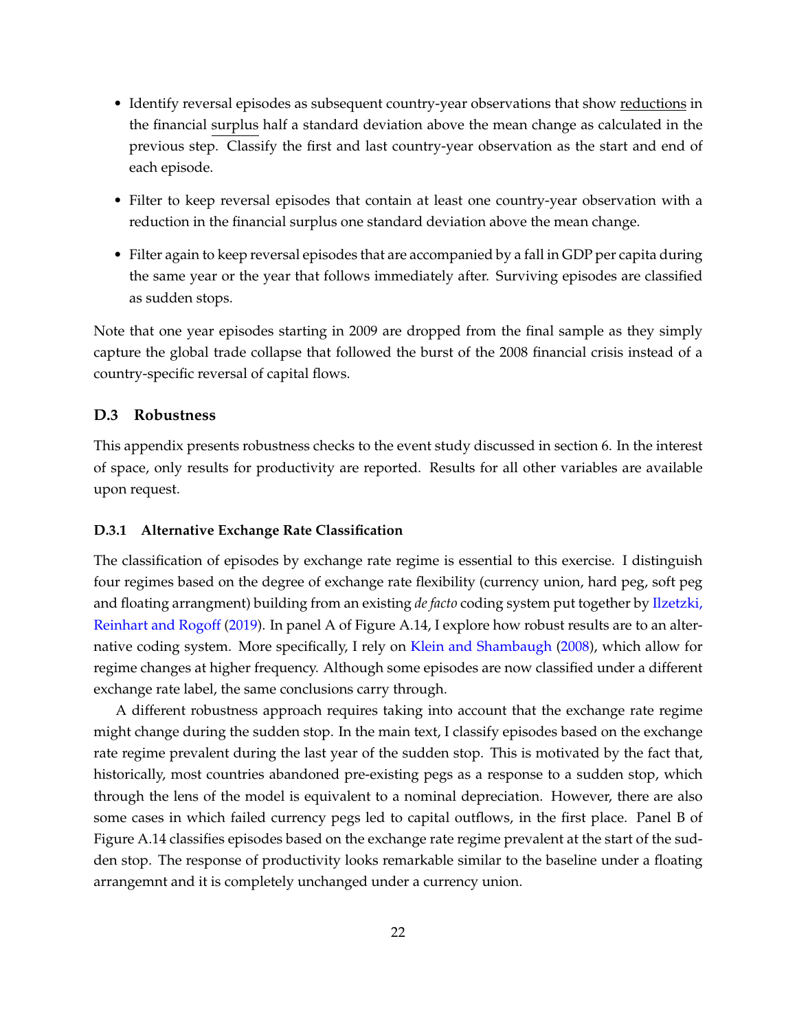- Identify reversal episodes as subsequent country-year observations that show reductions in the financial surplus half a standard deviation above the mean change as calculated in the previous step. Classify the first and last country-year observation as the start and end of each episode.
- Filter to keep reversal episodes that contain at least one country-year observation with a reduction in the financial surplus one standard deviation above the mean change.
- Filter again to keep reversal episodes that are accompanied by a fall in GDP per capita during the same year or the year that follows immediately after. Surviving episodes are classified as sudden stops.

Note that one year episodes starting in 2009 are dropped from the final sample as they simply capture the global trade collapse that followed the burst of the 2008 financial crisis instead of a country-specific reversal of capital flows.

#### **D.3 Robustness**

This appendix presents robustness checks to the event study discussed in section 6. In the interest of space, only results for productivity are reported. Results for all other variables are available upon request.

#### **D.3.1 Alternative Exchange Rate Classification**

The classification of episodes by exchange rate regime is essential to this exercise. I distinguish four regimes based on the degree of exchange rate flexibility (currency union, hard peg, soft peg and floating arrangment) building from an existing *de facto* coding system put together by Ilzetzki, Reinhart and Rogoff (2019). In panel A of Figure A.14, I explore how robust results are to an alternative coding system. More specifically, I rely on Klein and Shambaugh (2008), which allow for regime changes at higher frequency. Although some episodes are now classified under a different exchange rate label, the same conclusions carry through.

A different robustness approach requires taking into account that the exchange rate regime might change during the sudden stop. In the main text, I classify episodes based on the exchange rate regime prevalent during the last year of the sudden stop. This is motivated by the fact that, historically, most countries abandoned pre-existing pegs as a response to a sudden stop, which through the lens of the model is equivalent to a nominal depreciation. However, there are also some cases in which failed currency pegs led to capital outflows, in the first place. Panel B of Figure A.14 classifies episodes based on the exchange rate regime prevalent at the start of the sudden stop. The response of productivity looks remarkable similar to the baseline under a floating arrangemnt and it is completely unchanged under a currency union.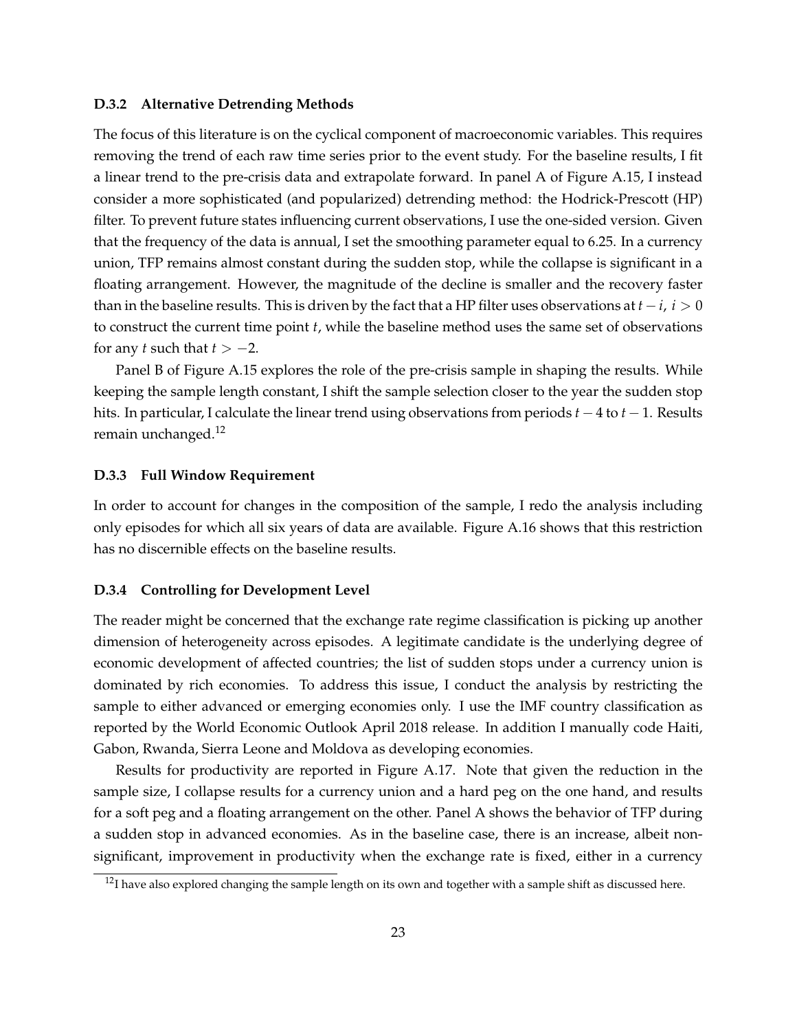#### **D.3.2 Alternative Detrending Methods**

The focus of this literature is on the cyclical component of macroeconomic variables. This requires removing the trend of each raw time series prior to the event study. For the baseline results, I fit a linear trend to the pre-crisis data and extrapolate forward. In panel A of Figure A.15, I instead consider a more sophisticated (and popularized) detrending method: the Hodrick-Prescott (HP) filter. To prevent future states influencing current observations, I use the one-sided version. Given that the frequency of the data is annual, I set the smoothing parameter equal to 6.25. In a currency union, TFP remains almost constant during the sudden stop, while the collapse is significant in a floating arrangement. However, the magnitude of the decline is smaller and the recovery faster than in the baseline results. This is driven by the fact that a HP filter uses observations at  $t - i$ ,  $i > 0$ to construct the current time point *t*, while the baseline method uses the same set of observations for any *t* such that  $t > -2$ .

Panel B of Figure A.15 explores the role of the pre-crisis sample in shaping the results. While keeping the sample length constant, I shift the sample selection closer to the year the sudden stop hits. In particular, I calculate the linear trend using observations from periods  $t - 4$  to  $t - 1$ . Results remain unchanged. $12$ 

#### **D.3.3 Full Window Requirement**

In order to account for changes in the composition of the sample, I redo the analysis including only episodes for which all six years of data are available. Figure A.16 shows that this restriction has no discernible effects on the baseline results.

#### **D.3.4 Controlling for Development Level**

The reader might be concerned that the exchange rate regime classification is picking up another dimension of heterogeneity across episodes. A legitimate candidate is the underlying degree of economic development of affected countries; the list of sudden stops under a currency union is dominated by rich economies. To address this issue, I conduct the analysis by restricting the sample to either advanced or emerging economies only. I use the IMF country classification as reported by the World Economic Outlook April 2018 release. In addition I manually code Haiti, Gabon, Rwanda, Sierra Leone and Moldova as developing economies.

Results for productivity are reported in Figure A.17. Note that given the reduction in the sample size, I collapse results for a currency union and a hard peg on the one hand, and results for a soft peg and a floating arrangement on the other. Panel A shows the behavior of TFP during a sudden stop in advanced economies. As in the baseline case, there is an increase, albeit nonsignificant, improvement in productivity when the exchange rate is fixed, either in a currency

 $12$ I have also explored changing the sample length on its own and together with a sample shift as discussed here.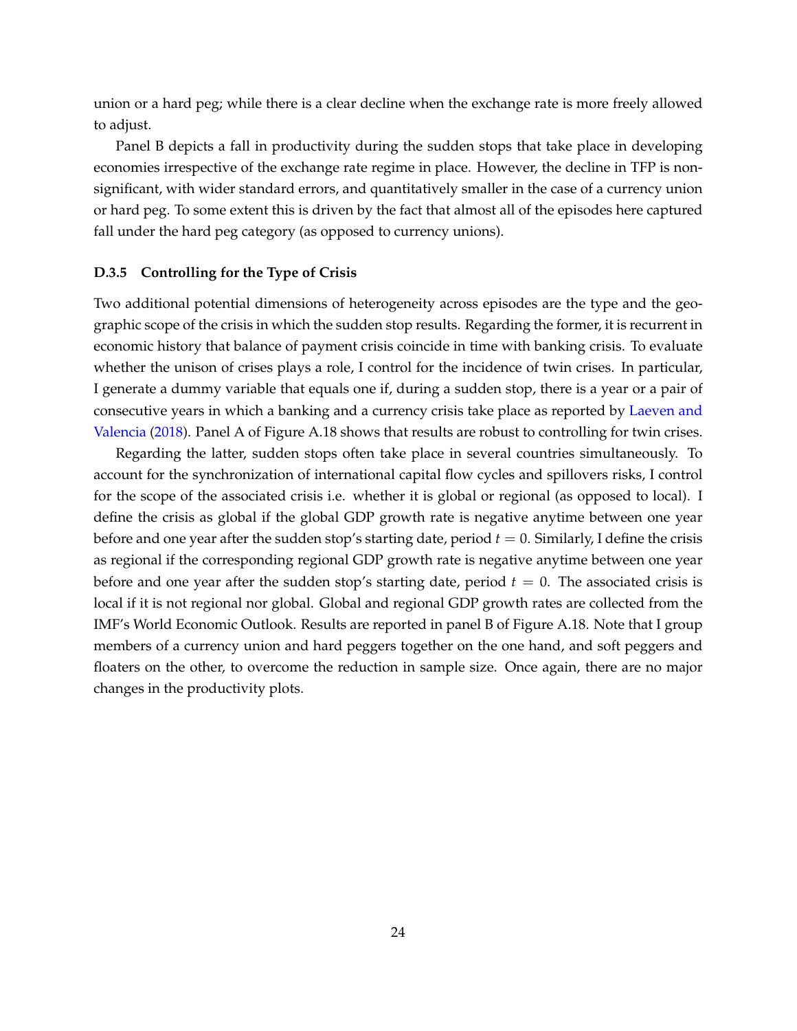union or a hard peg; while there is a clear decline when the exchange rate is more freely allowed to adjust.

Panel B depicts a fall in productivity during the sudden stops that take place in developing economies irrespective of the exchange rate regime in place. However, the decline in TFP is nonsignificant, with wider standard errors, and quantitatively smaller in the case of a currency union or hard peg. To some extent this is driven by the fact that almost all of the episodes here captured fall under the hard peg category (as opposed to currency unions).

#### **D.3.5 Controlling for the Type of Crisis**

Two additional potential dimensions of heterogeneity across episodes are the type and the geographic scope of the crisis in which the sudden stop results. Regarding the former, it is recurrent in economic history that balance of payment crisis coincide in time with banking crisis. To evaluate whether the unison of crises plays a role, I control for the incidence of twin crises. In particular, I generate a dummy variable that equals one if, during a sudden stop, there is a year or a pair of consecutive years in which a banking and a currency crisis take place as reported by Laeven and Valencia (2018). Panel A of Figure A.18 shows that results are robust to controlling for twin crises.

Regarding the latter, sudden stops often take place in several countries simultaneously. To account for the synchronization of international capital flow cycles and spillovers risks, I control for the scope of the associated crisis i.e. whether it is global or regional (as opposed to local). I define the crisis as global if the global GDP growth rate is negative anytime between one year before and one year after the sudden stop's starting date, period  $t = 0$ . Similarly, I define the crisis as regional if the corresponding regional GDP growth rate is negative anytime between one year before and one year after the sudden stop's starting date, period  $t = 0$ . The associated crisis is local if it is not regional nor global. Global and regional GDP growth rates are collected from the IMF's World Economic Outlook. Results are reported in panel B of Figure A.18. Note that I group members of a currency union and hard peggers together on the one hand, and soft peggers and floaters on the other, to overcome the reduction in sample size. Once again, there are no major changes in the productivity plots.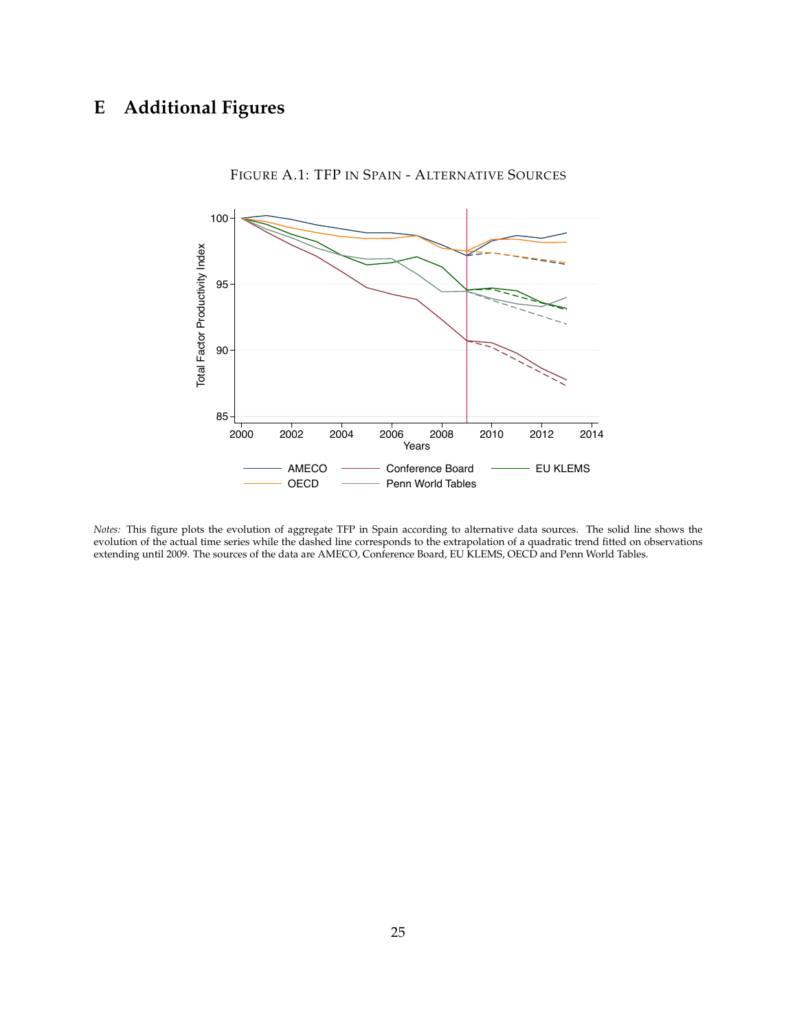# **E Additional Figures**



FIGURE A.1: TFP IN SPAIN - ALTERNATIVE SOURCES

*Notes:* This figure plots the evolution of aggregate TFP in Spain according to alternative data sources. The solid line shows the evolution of the actual time series while the dashed line corresponds to the extrapolation of a quadratic trend fitted on observations extending until 2009. The sources of the data are AMECO, Conference Board, EU KLEMS, OECD and Penn World Tables.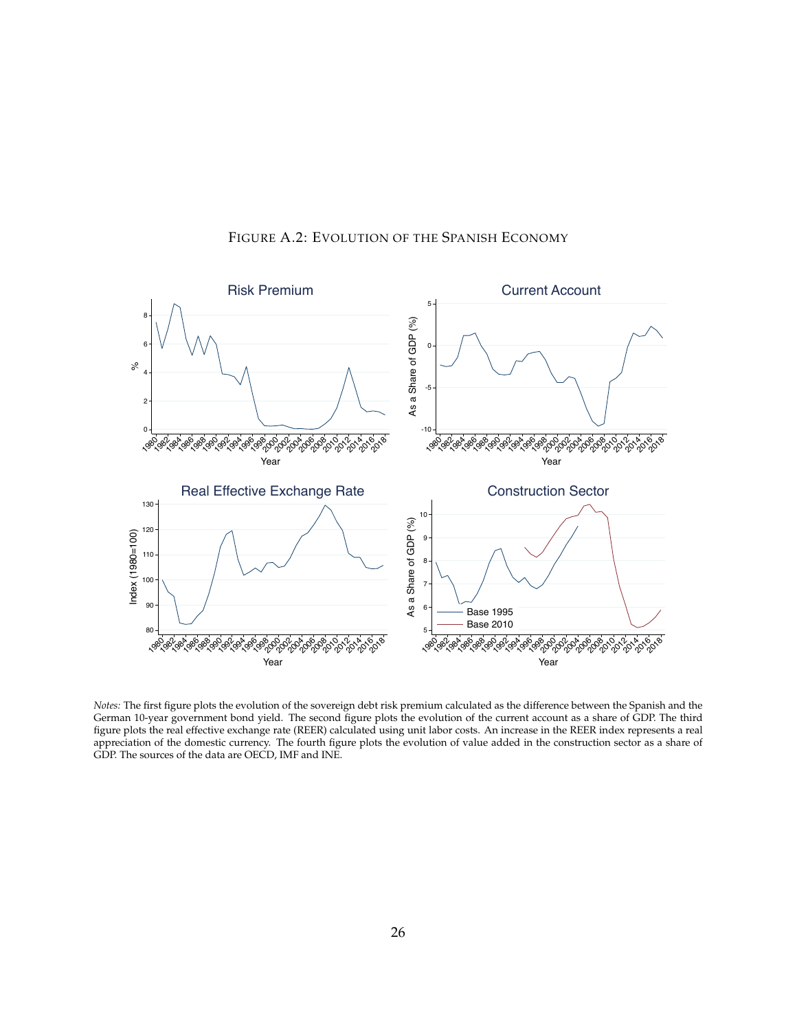

# FIGURE A.2: EVOLUTION OF THE SPANISH ECONOMY

*Notes:* The first figure plots the evolution of the sovereign debt risk premium calculated as the difference between the Spanish and the German 10-year government bond yield. The second figure plots the evolution of the current account as a share of GDP. The third figure plots the real effective exchange rate (REER) calculated using unit labor costs. An increase in the REER index represents a real appreciation of the domestic currency. The fourth figure plots the evolution of value added in the construction sector as a share of GDP. The sources of the data are OECD, IMF and INE.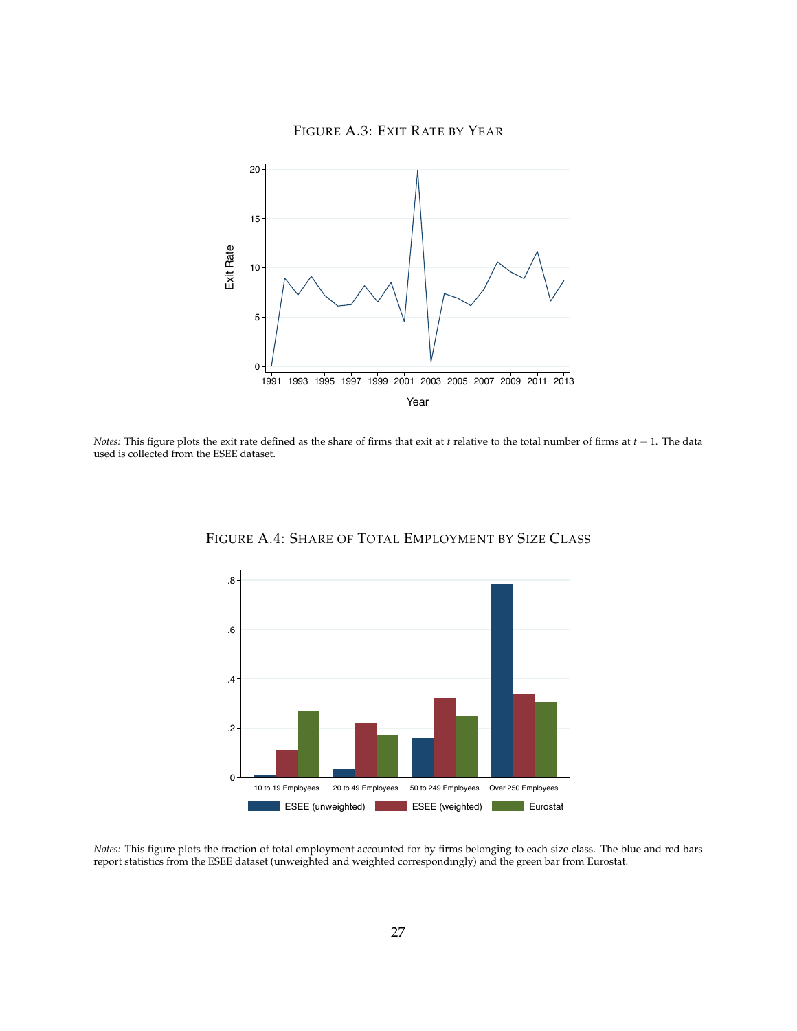



*Notes:* This figure plots the exit rate defined as the share of firms that exit at *t* relative to the total number of firms at  $t - 1$ . The data used is collected from the ESEE dataset.



FIGURE A.4: SHARE OF TOTAL EMPLOYMENT BY SIZE CLASS

*Notes:* This figure plots the fraction of total employment accounted for by firms belonging to each size class. The blue and red bars report statistics from the ESEE dataset (unweighted and weighted correspondingly) and the green bar from Eurostat.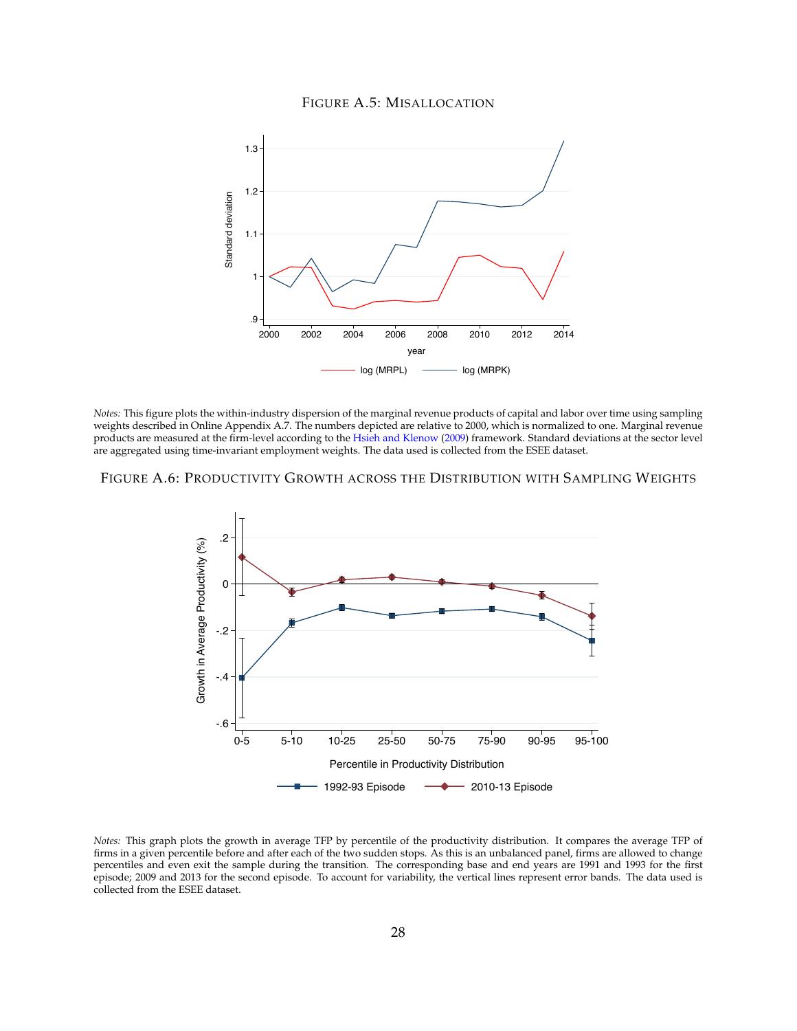#### FIGURE A.5: MISALLOCATION



*Notes:* This figure plots the within-industry dispersion of the marginal revenue products of capital and labor over time using sampling weights described in Online Appendix A.7. The numbers depicted are relative to 2000, which is normalized to one. Marginal revenue products are measured at the firm-level according to the Hsieh and Klenow (2009) framework. Standard deviations at the sector level are aggregated using time-invariant employment weights. The data used is collected from the ESEE dataset.

#### FIGURE A.6: PRODUCTIVITY GROWTH ACROSS THE DISTRIBUTION WITH SAMPLING WEIGHTS



*Notes:* This graph plots the growth in average TFP by percentile of the productivity distribution. It compares the average TFP of firms in a given percentile before and after each of the two sudden stops. As this is an unbalanced panel, firms are allowed to change percentiles and even exit the sample during the transition. The corresponding base and end years are 1991 and 1993 for the first episode; 2009 and 2013 for the second episode. To account for variability, the vertical lines represent error bands. The data used is collected from the ESEE dataset.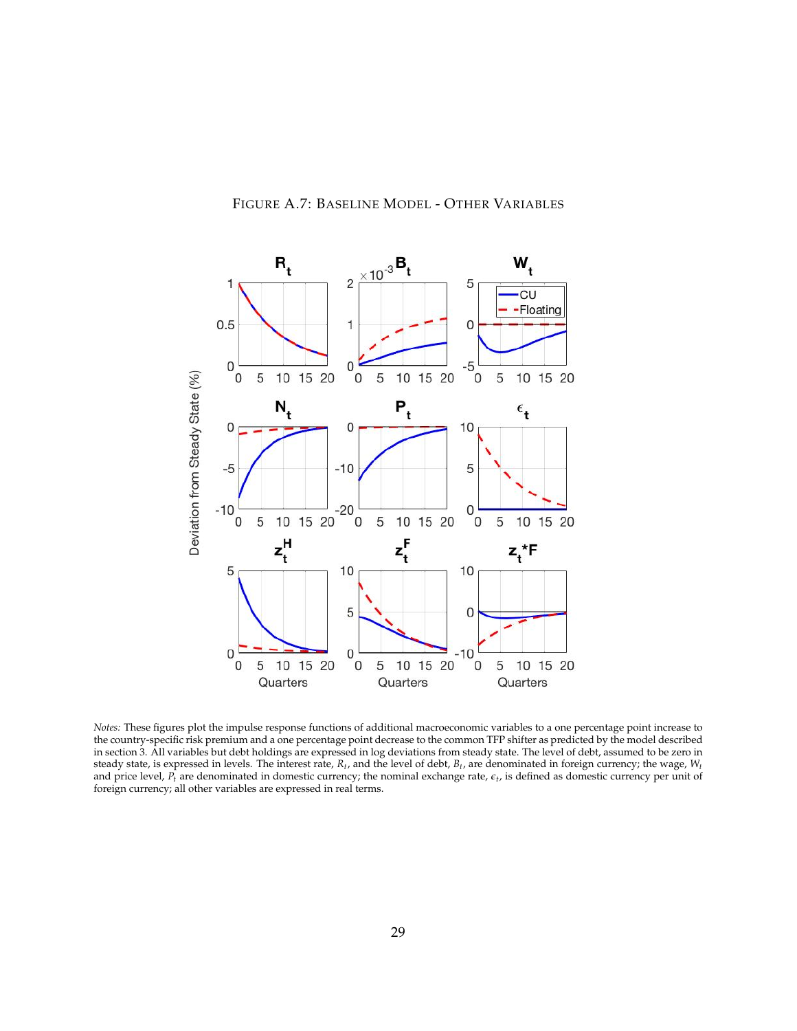

# FIGURE A.7: BASELINE MODEL - OTHER VARIABLES

*Notes:* These figures plot the impulse response functions of additional macroeconomic variables to a one percentage point increase to the country-specific risk premium and a one percentage point decrease to the common TFP shifter as predicted by the model described in section 3. All variables but debt holdings are expressed in log deviations from steady state. The level of debt, assumed to be zero in steady state, is expressed in levels. The interest rate, *Rt*, and the level of debt, *Bt*, are denominated in foreign currency; the wage, *Wt* and price level,  $P_t$  are denominated in domestic currency; the nominal exchange rate,  $\epsilon_t$ , is defined as domestic currency per unit of foreign currency; all other variables are expressed in real terms.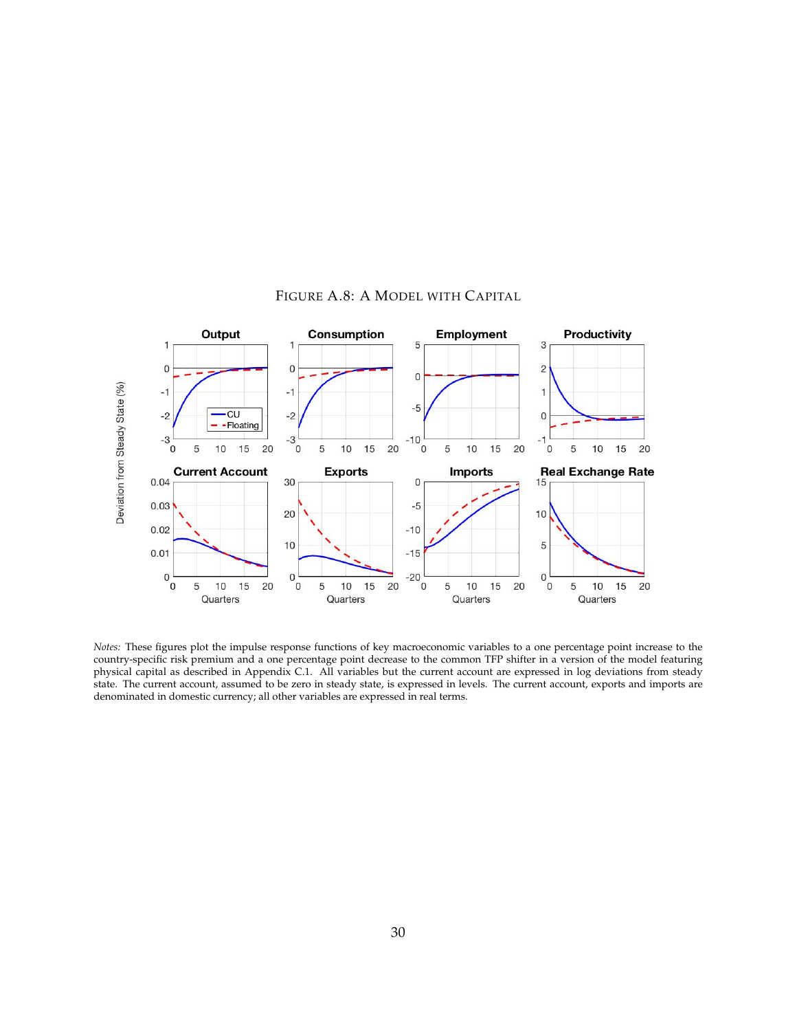

#### FIGURE A.8: A MODEL WITH CAPITAL

*Notes:* These figures plot the impulse response functions of key macroeconomic variables to a one percentage point increase to the country-specific risk premium and a one percentage point decrease to the common TFP shifter in a version of the model featuring physical capital as described in Appendix C.1. All variables but the current account are expressed in log deviations from steady state. The current account, assumed to be zero in steady state, is expressed in levels. The current account, exports and imports are denominated in domestic currency; all other variables are expressed in real terms.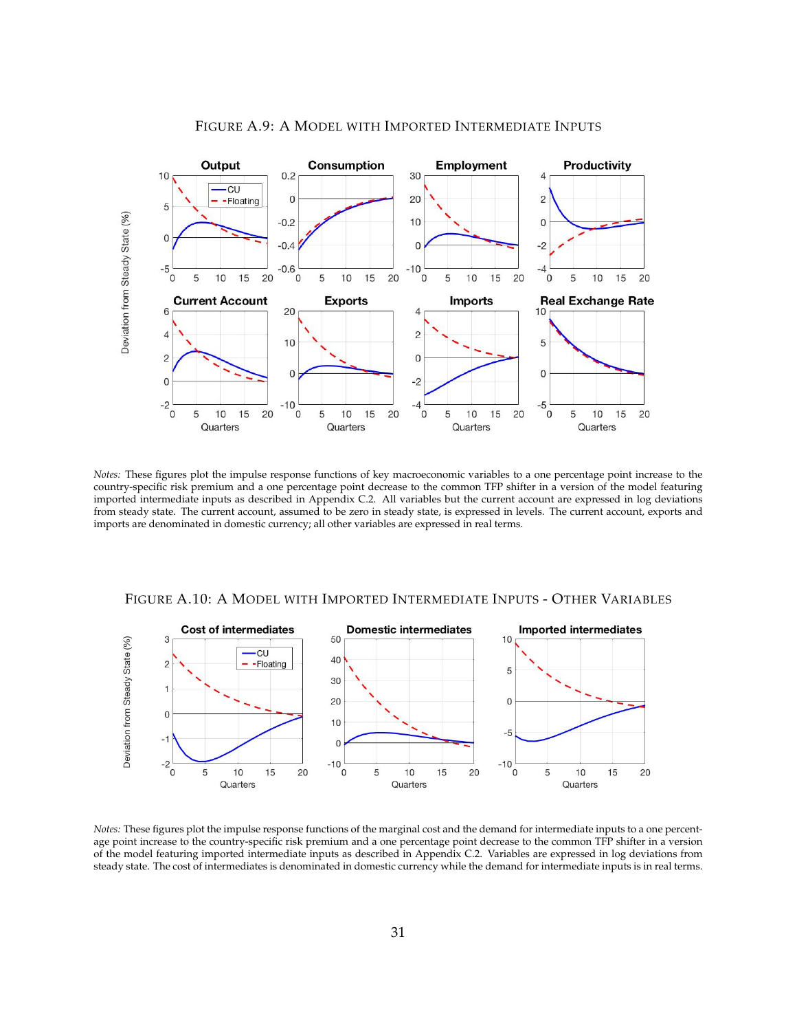

#### FIGURE A.9: A MODEL WITH IMPORTED INTERMEDIATE INPUTS

*Notes:* These figures plot the impulse response functions of key macroeconomic variables to a one percentage point increase to the country-specific risk premium and a one percentage point decrease to the common TFP shifter in a version of the model featuring imported intermediate inputs as described in Appendix C.2. All variables but the current account are expressed in log deviations from steady state. The current account, assumed to be zero in steady state, is expressed in levels. The current account, exports and imports are denominated in domestic currency; all other variables are expressed in real terms.



FIGURE A.10: A MODEL WITH IMPORTED INTERMEDIATE INPUTS - OTHER VARIABLES

*Notes:* These figures plot the impulse response functions of the marginal cost and the demand for intermediate inputs to a one percentage point increase to the country-specific risk premium and a one percentage point decrease to the common TFP shifter in a version of the model featuring imported intermediate inputs as described in Appendix C.2. Variables are expressed in log deviations from steady state. The cost of intermediates is denominated in domestic currency while the demand for intermediate inputs is in real terms.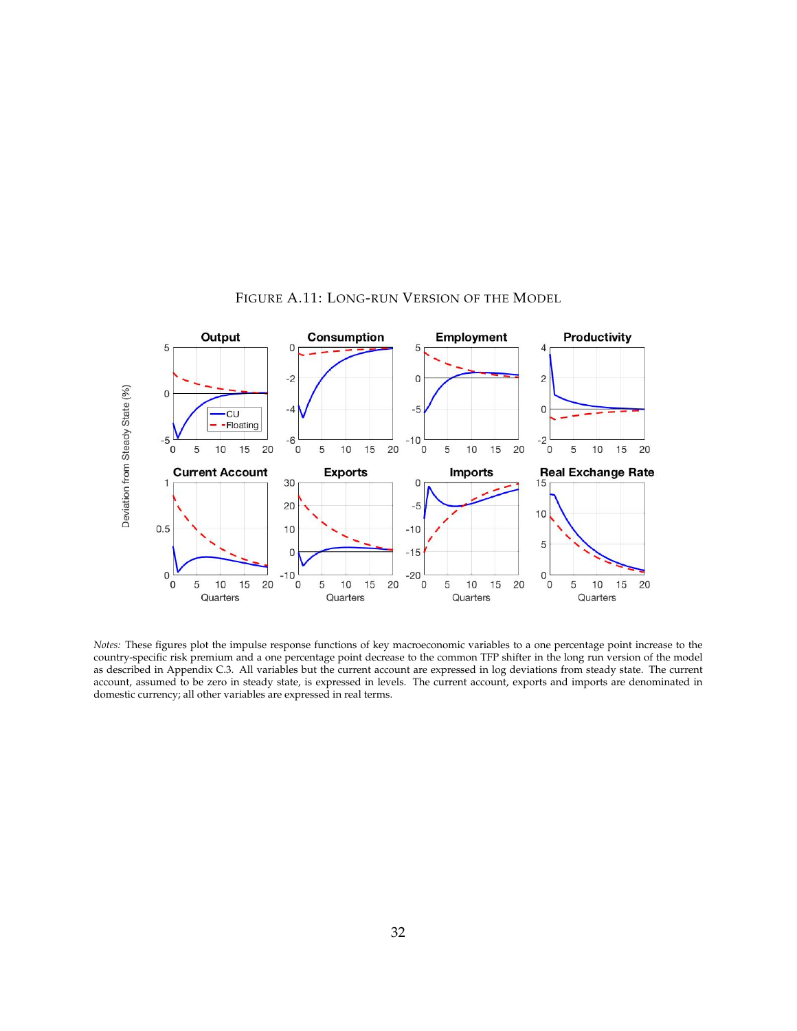

#### FIGURE A.11: LONG-RUN VERSION OF THE MODEL

*Notes:* These figures plot the impulse response functions of key macroeconomic variables to a one percentage point increase to the country-specific risk premium and a one percentage point decrease to the common TFP shifter in the long run version of the model as described in Appendix C.3. All variables but the current account are expressed in log deviations from steady state. The current account, assumed to be zero in steady state, is expressed in levels. The current account, exports and imports are denominated in domestic currency; all other variables are expressed in real terms.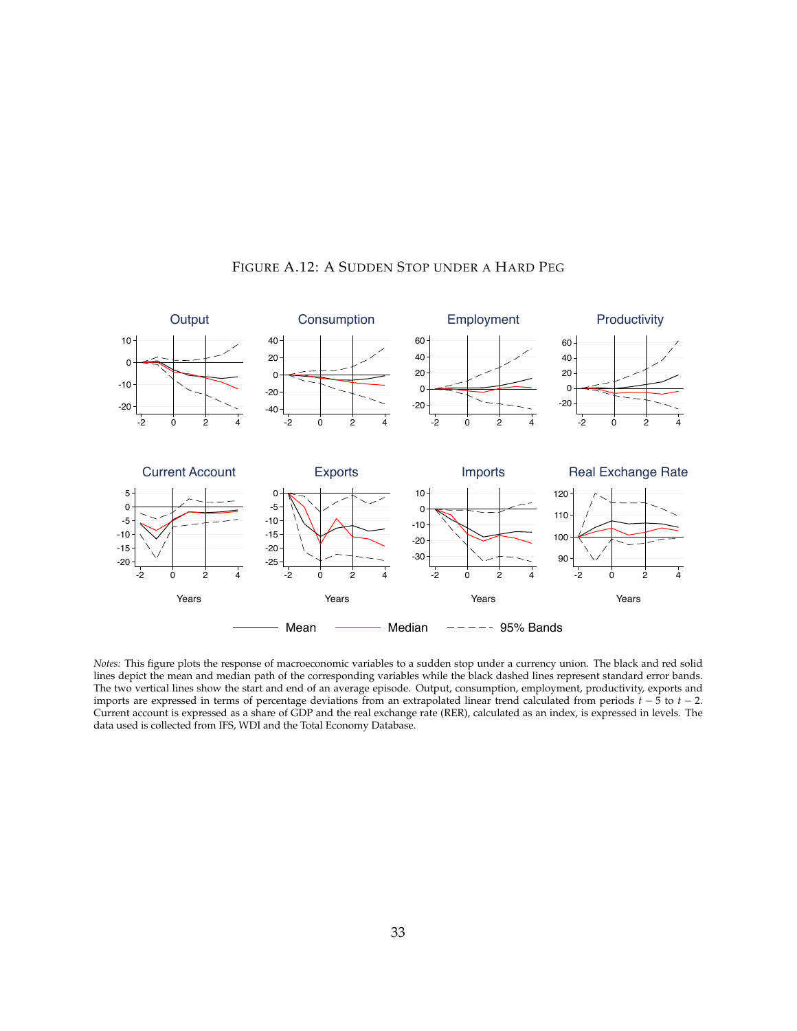

#### FIGURE A.12: A SUDDEN STOP UNDER A HARD PEG

*Notes:* This figure plots the response of macroeconomic variables to a sudden stop under a currency union. The black and red solid lines depict the mean and median path of the corresponding variables while the black dashed lines represent standard error bands. The two vertical lines show the start and end of an average episode. Output, consumption, employment, productivity, exports and imports are expressed in terms of percentage deviations from an extrapolated linear trend calculated from periods  $t - 5$  to  $t - 2$ . Current account is expressed as a share of GDP and the real exchange rate (RER), calculated as an index, is expressed in levels. The data used is collected from IFS, WDI and the Total Economy Database.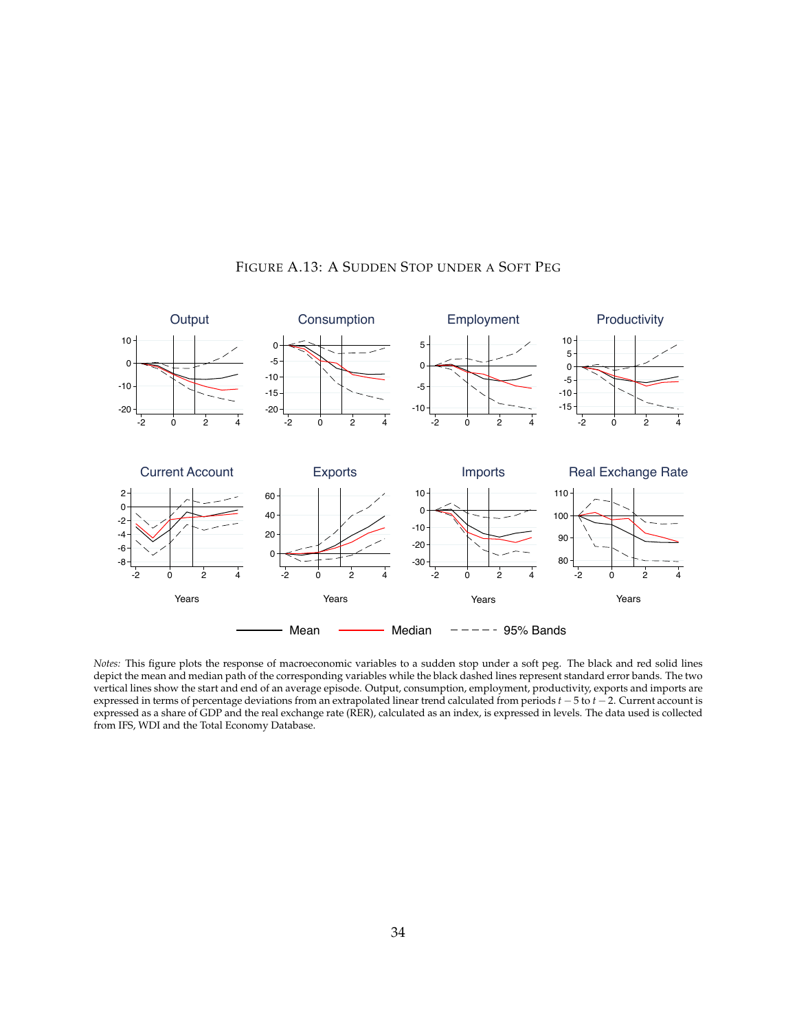

# FIGURE A.13: A SUDDEN STOP UNDER A SOFT PEG

*Notes:* This figure plots the response of macroeconomic variables to a sudden stop under a soft peg. The black and red solid lines depict the mean and median path of the corresponding variables while the black dashed lines represent standard error bands. The two vertical lines show the start and end of an average episode. Output, consumption, employment, productivity, exports and imports are expressed in terms of percentage deviations from an extrapolated linear trend calculated from periods  $t - 5$  to  $t - 2$ . Current account is expressed as a share of GDP and the real exchange rate (RER), calculated as an index, is expressed in levels. The data used is collected from IFS, WDI and the Total Economy Database.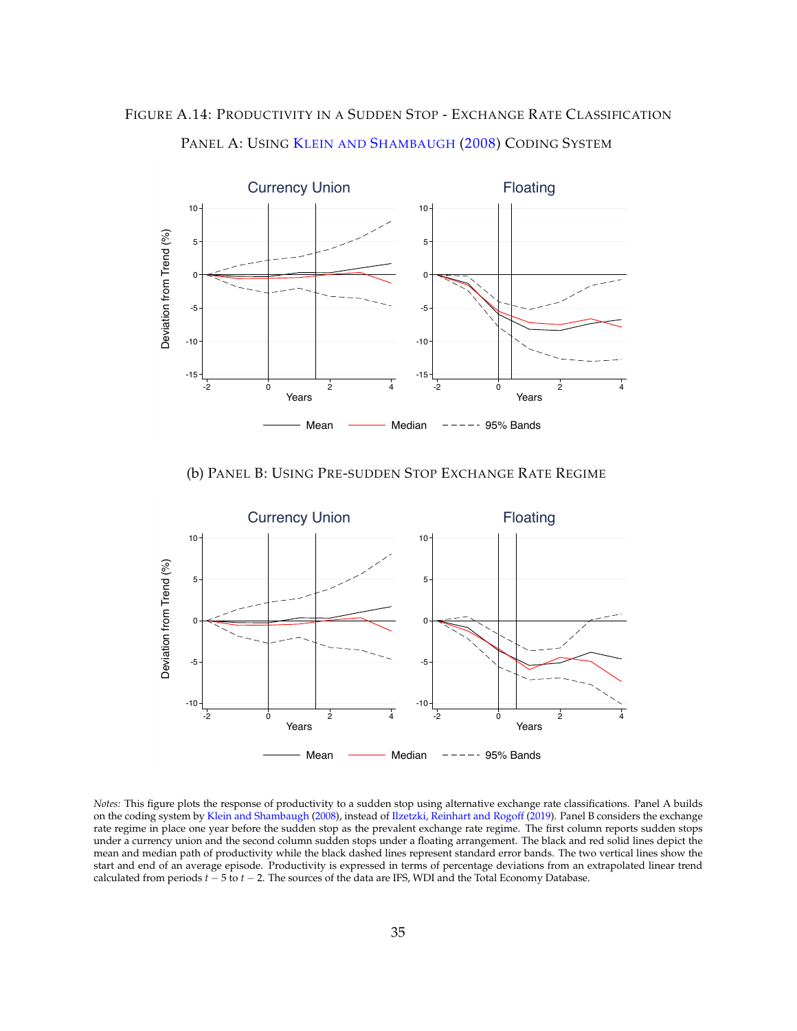



PANEL A: USING KLEIN AND SHAMBAUGH (2008) CODING SYSTEM





*Notes:* This figure plots the response of productivity to a sudden stop using alternative exchange rate classifications. Panel A builds on the coding system by Klein and Shambaugh (2008), instead of Ilzetzki, Reinhart and Rogoff (2019). Panel B considers the exchange rate regime in place one year before the sudden stop as the prevalent exchange rate regime. The first column reports sudden stops under a currency union and the second column sudden stops under a floating arrangement. The black and red solid lines depict the mean and median path of productivity while the black dashed lines represent standard error bands. The two vertical lines show the start and end of an average episode. Productivity is expressed in terms of percentage deviations from an extrapolated linear trend calculated from periods  $t - 5$  to  $t - 2$ . The sources of the data are IFS, WDI and the Total Economy Database.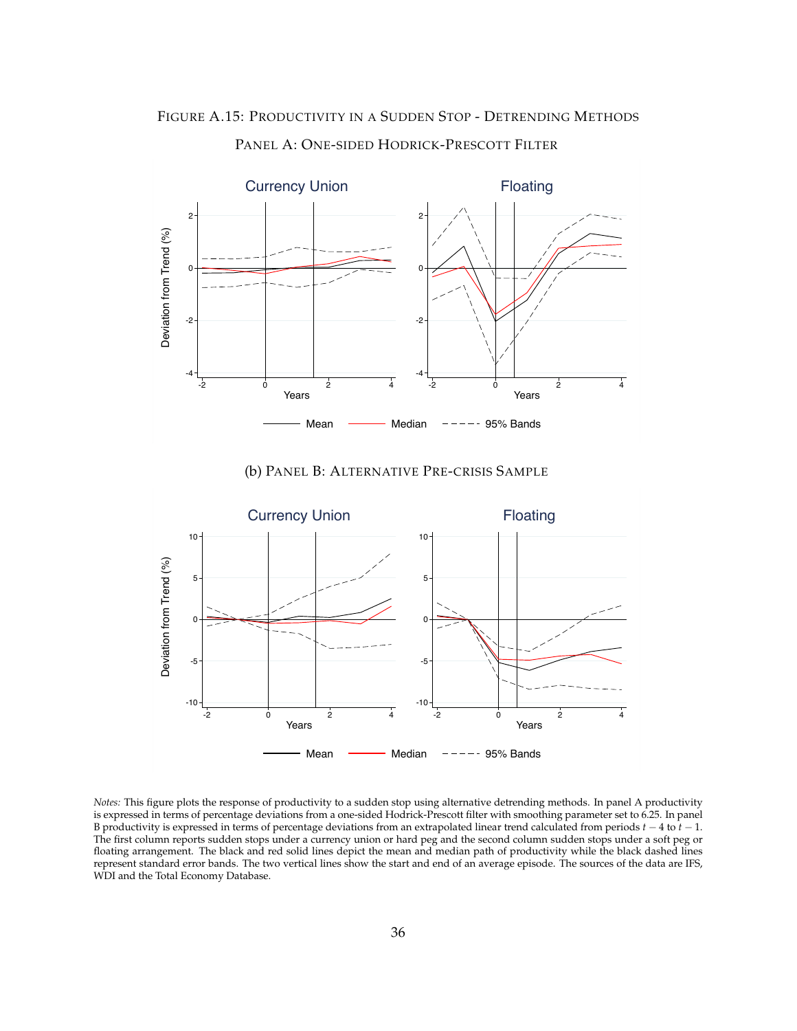

PANEL A: ONE-SIDED HODRICK-PRESCOTT FILTER





*Notes:* This figure plots the response of productivity to a sudden stop using alternative detrending methods. In panel A productivity is expressed in terms of percentage deviations from a one-sided Hodrick-Prescott filter with smoothing parameter set to 6.25. In panel B productivity is expressed in terms of percentage deviations from an extrapolated linear trend calculated from periods  $t - 4$  to  $t - 1$ . The first column reports sudden stops under a currency union or hard peg and the second column sudden stops under a soft peg or floating arrangement. The black and red solid lines depict the mean and median path of productivity while the black dashed lines represent standard error bands. The two vertical lines show the start and end of an average episode. The sources of the data are IFS, WDI and the Total Economy Database.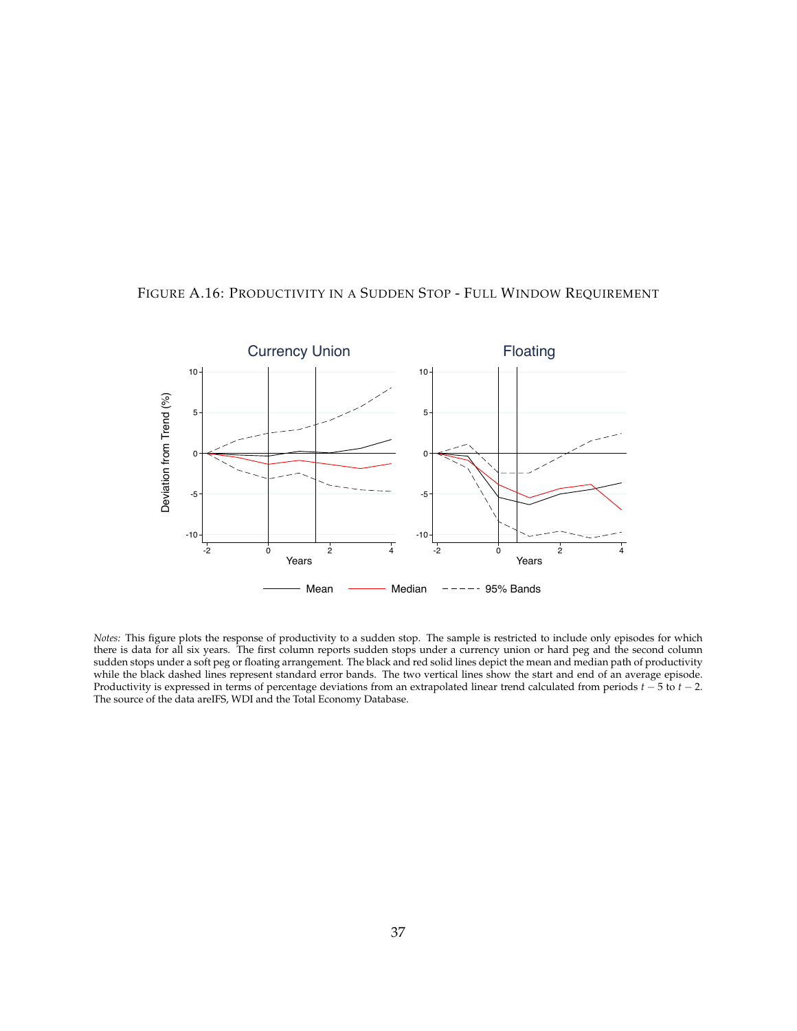

FIGURE A.16: PRODUCTIVITY IN A SUDDEN STOP - FULL WINDOW REQUIREMENT

*Notes:* This figure plots the response of productivity to a sudden stop. The sample is restricted to include only episodes for which there is data for all six years. The first column reports sudden stops under a currency union or hard peg and the second column sudden stops under a soft peg or floating arrangement. The black and red solid lines depict the mean and median path of productivity while the black dashed lines represent standard error bands. The two vertical lines show the start and end of an average episode. Productivity is expressed in terms of percentage deviations from an extrapolated linear trend calculated from periods  $t - 5$  to  $t - 2$ . The source of the data areIFS, WDI and the Total Economy Database.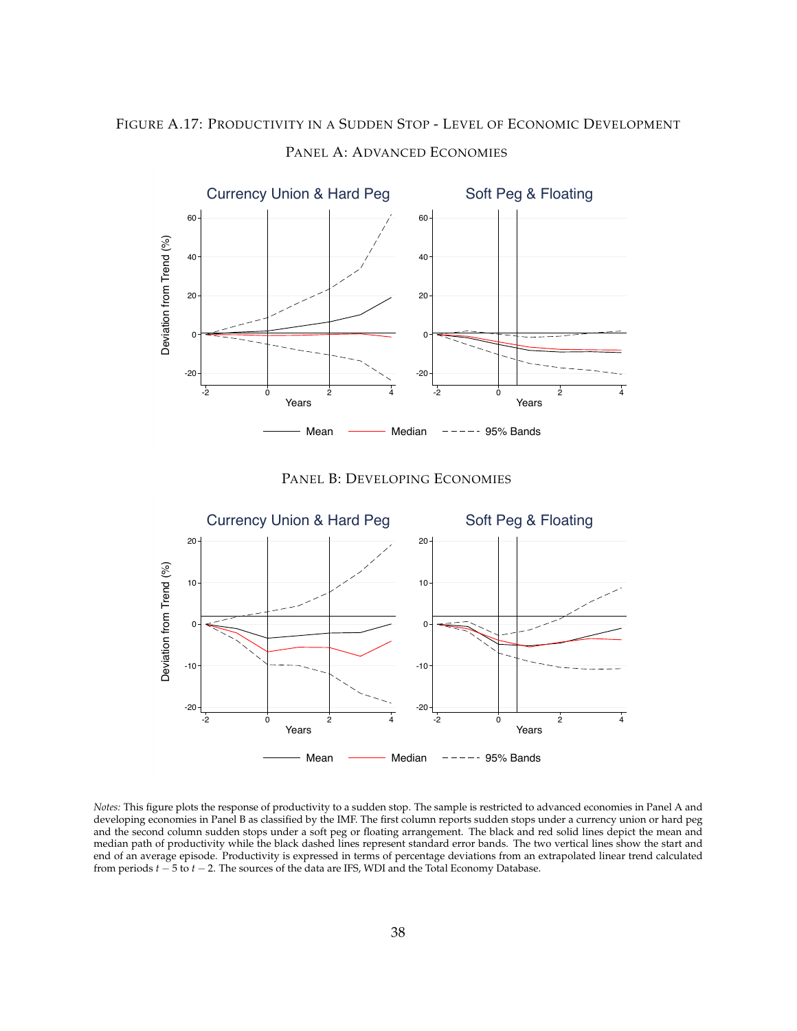# FIGURE A.17: PRODUCTIVITY IN A SUDDEN STOP - LEVEL OF ECONOMIC DEVELOPMENT



# PANEL A: ADVANCED ECONOMIES





*Notes:* This figure plots the response of productivity to a sudden stop. The sample is restricted to advanced economies in Panel A and developing economies in Panel B as classified by the IMF. The first column reports sudden stops under a currency union or hard peg and the second column sudden stops under a soft peg or floating arrangement. The black and red solid lines depict the mean and median path of productivity while the black dashed lines represent standard error bands. The two vertical lines show the start and end of an average episode. Productivity is expressed in terms of percentage deviations from an extrapolated linear trend calculated from periods  $t - 5$  to  $t - 2$ . The sources of the data are IFS, WDI and the Total Economy Database.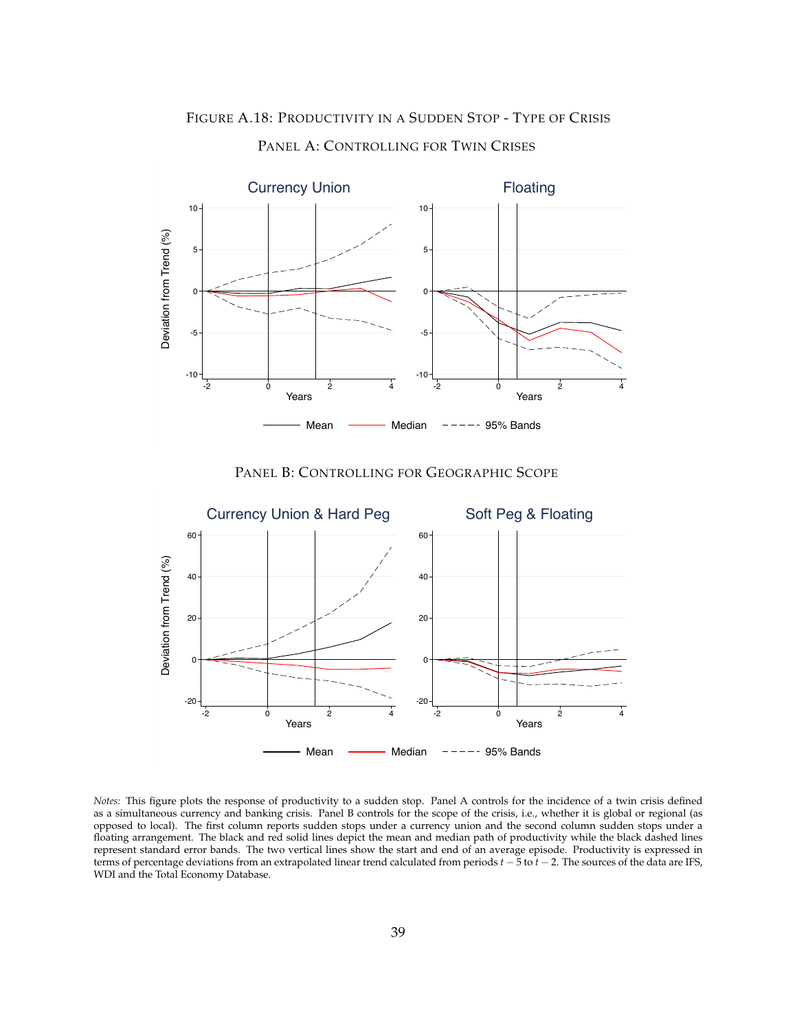



PANEL A: CONTROLLING FOR TWIN CRISES





*Notes:* This figure plots the response of productivity to a sudden stop. Panel A controls for the incidence of a twin crisis defined as a simultaneous currency and banking crisis. Panel B controls for the scope of the crisis, i.e., whether it is global or regional (as opposed to local). The first column reports sudden stops under a currency union and the second column sudden stops under a floating arrangement. The black and red solid lines depict the mean and median path of productivity while the black dashed lines represent standard error bands. The two vertical lines show the start and end of an average episode. Productivity is expressed in terms of percentage deviations from an extrapolated linear trend calculated from periods  $t - 5$  to  $t - 2$ . The sources of the data are IFS, WDI and the Total Economy Database.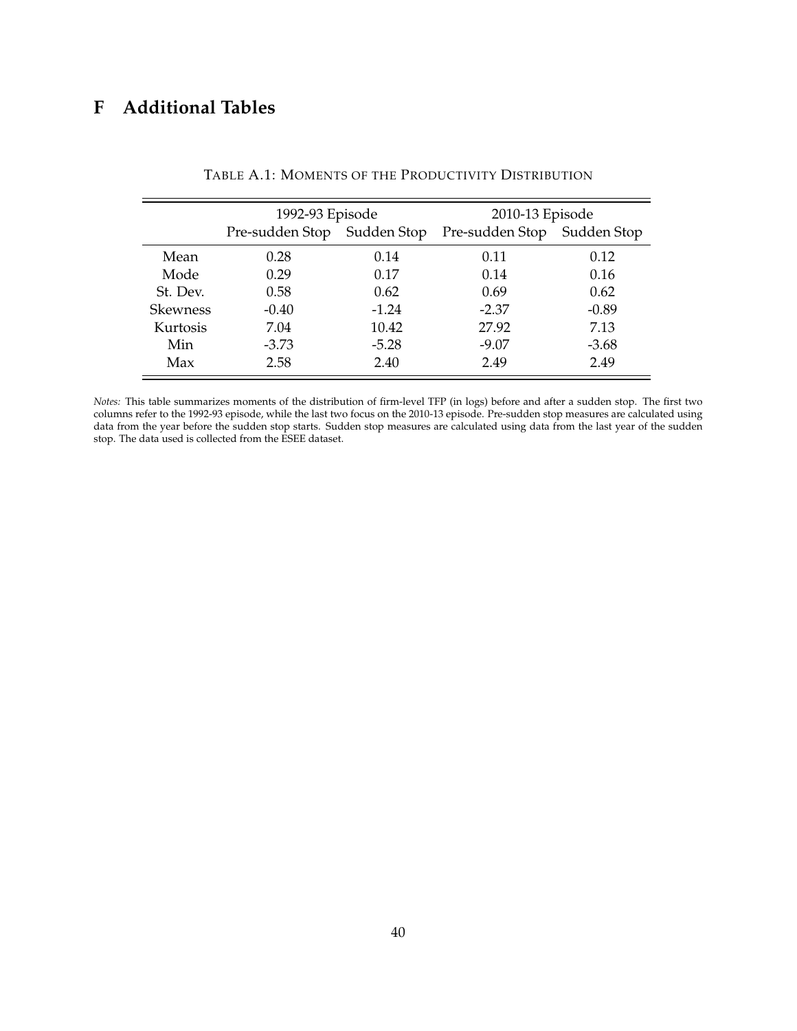# **F Additional Tables**

|                 | 1992-93 Episode             |         | 2010-13 Episode             |         |
|-----------------|-----------------------------|---------|-----------------------------|---------|
|                 | Pre-sudden Stop Sudden Stop |         | Pre-sudden Stop Sudden Stop |         |
| Mean            | 0.28                        | 0.14    | 0.11                        | 0.12    |
| Mode            | 0.29                        | 0.17    | 0.14                        | 0.16    |
| St. Dev.        | 0.58                        | 0.62    | 0.69                        | 0.62    |
| <b>Skewness</b> | $-0.40$                     | $-1.24$ | $-2.37$                     | $-0.89$ |
| Kurtosis        | 7.04                        | 10.42   | 27.92                       | 7.13    |
| Min             | $-3.73$                     | $-5.28$ | $-9.07$                     | $-3.68$ |
| Max             | 2.58                        | 2.40    | 2.49                        | 2.49    |

TABLE A.1: MOMENTS OF THE PRODUCTIVITY DISTRIBUTION

*Notes:* This table summarizes moments of the distribution of firm-level TFP (in logs) before and after a sudden stop. The first two columns refer to the 1992-93 episode, while the last two focus on the 2010-13 episode. Pre-sudden stop measures are calculated using data from the year before the sudden stop starts. Sudden stop measures are calculated using data from the last year of the sudden stop. The data used is collected from the ESEE dataset.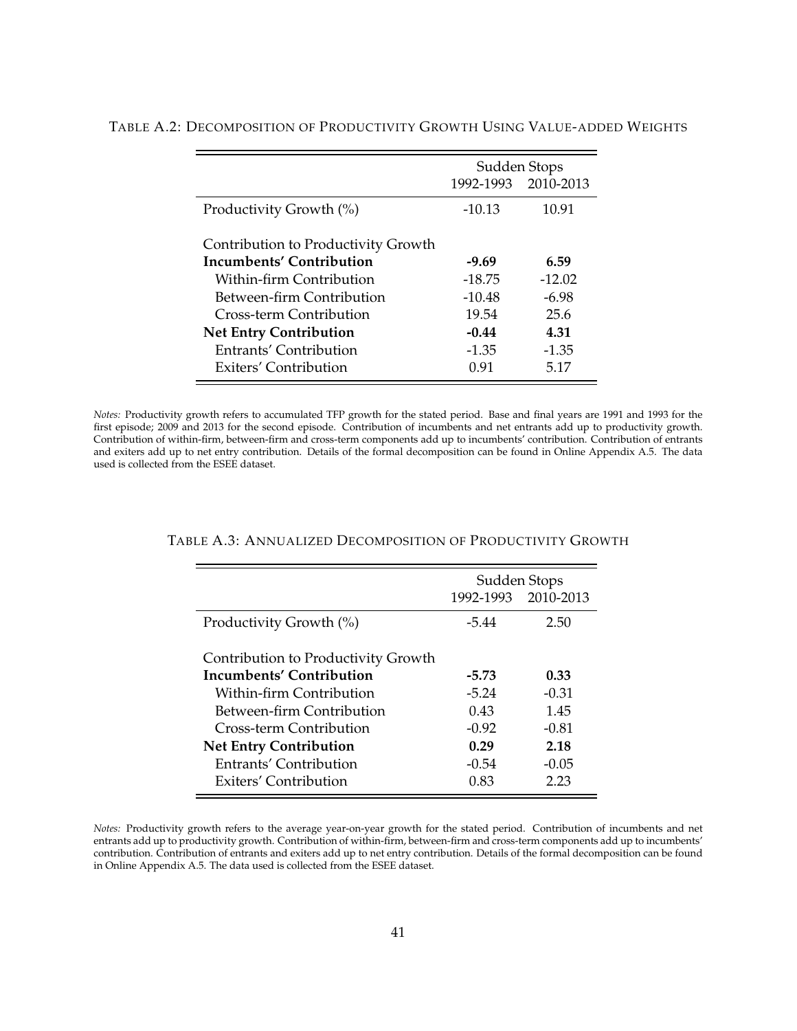|                                     | Sudden Stops        |          |  |
|-------------------------------------|---------------------|----------|--|
|                                     | 1992-1993 2010-2013 |          |  |
| Productivity Growth (%)             | $-10.13$            | 10.91    |  |
|                                     |                     |          |  |
| Contribution to Productivity Growth |                     |          |  |
| Incumbents' Contribution            | $-9.69$             | 6.59     |  |
| Within-firm Contribution            | $-18.75$            | $-12.02$ |  |
| Between-firm Contribution           | $-10.48$            | $-6.98$  |  |
| Cross-term Contribution             | 19.54               | 25.6     |  |
| <b>Net Entry Contribution</b>       | $-0.44$             | 4.31     |  |
| <b>Entrants' Contribution</b>       | $-1.35$             | $-1.35$  |  |
| Exiters' Contribution               | 0.91                | 5.17     |  |

TABLE A.2: DECOMPOSITION OF PRODUCTIVITY GROWTH USING VALUE-ADDED WEIGHTS

*Notes:* Productivity growth refers to accumulated TFP growth for the stated period. Base and final years are 1991 and 1993 for the first episode; 2009 and 2013 for the second episode. Contribution of incumbents and net entrants add up to productivity growth. Contribution of within-firm, between-firm and cross-term components add up to incumbents' contribution. Contribution of entrants and exiters add up to net entry contribution. Details of the formal decomposition can be found in Online Appendix A.5. The data used is collected from the ESEE dataset.

| Sudden Stops |                     |  |
|--------------|---------------------|--|
|              | 1992-1993 2010-2013 |  |
| $-5.44$      | 2.50                |  |
|              |                     |  |
|              |                     |  |
| -5.73        | 0.33                |  |
| $-5.24$      | $-0.31$             |  |
| 0.43         | 1.45                |  |
| $-0.92$      | $-0.81$             |  |
| 0.29         | 2.18                |  |
| $-0.54$      | $-0.05$             |  |
| 0.83         | 2.23                |  |
|              |                     |  |

#### TABLE A.3: ANNUALIZED DECOMPOSITION OF PRODUCTIVITY GROWTH

*Notes:* Productivity growth refers to the average year-on-year growth for the stated period. Contribution of incumbents and net entrants add up to productivity growth. Contribution of within-firm, between-firm and cross-term components add up to incumbents' contribution. Contribution of entrants and exiters add up to net entry contribution. Details of the formal decomposition can be found in Online Appendix A.5. The data used is collected from the ESEE dataset.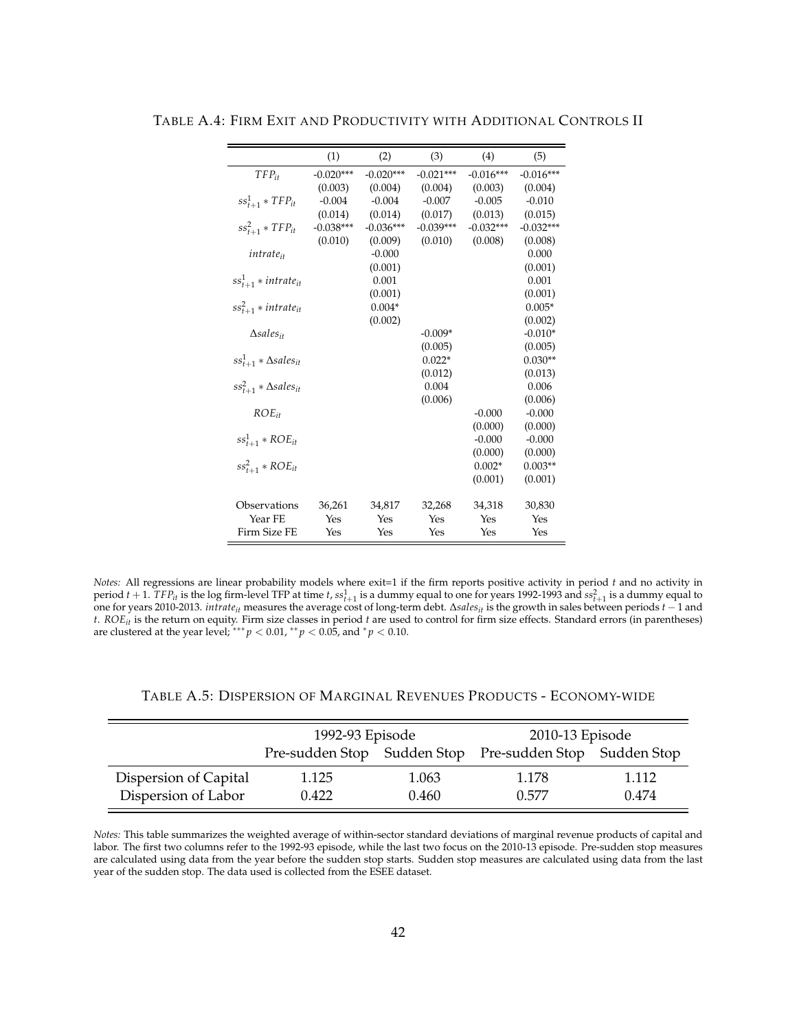|                                  | (1)         | (2)         | (3)         | (4)         | (5)         |
|----------------------------------|-------------|-------------|-------------|-------------|-------------|
| $TFP_{it}$                       | $-0.020***$ | $-0.020***$ | $-0.021***$ | $-0.016***$ | $-0.016***$ |
|                                  | (0.003)     | (0.004)     | (0.004)     | (0.003)     | (0.004)     |
| $ss_{t+1}^1 * TFP_{it}$          | $-0.004$    | $-0.004$    | $-0.007$    | $-0.005$    | $-0.010$    |
|                                  | (0.014)     | (0.014)     | (0.017)     | (0.013)     | (0.015)     |
| $ss_{t+1}^2 * TFP_{it}$          | $-0.038***$ | $-0.036***$ | $-0.039***$ | $-0.032***$ | $-0.032***$ |
|                                  | (0.010)     | (0.009)     | (0.010)     | (0.008)     | (0.008)     |
| <i>intrate</i> <sub>it</sub>     |             | $-0.000$    |             |             | 0.000       |
|                                  |             | (0.001)     |             |             | (0.001)     |
| $ss_{t+1}^1 * intrate_{it}$      |             | 0.001       |             |             | 0.001       |
|                                  |             | (0.001)     |             |             | (0.001)     |
| $ss_{t+1}^2 * intrate_{it}$      |             | $0.004*$    |             |             | $0.005*$    |
|                                  |             | (0.002)     |             |             | (0.002)     |
| $\triangle$ sales <sub>it</sub>  |             |             | $-0.009*$   |             | $-0.010*$   |
|                                  |             |             | (0.005)     |             | (0.005)     |
| $ss_{t+1}^1 * \Delta sales_{it}$ |             |             | $0.022*$    |             | $0.030**$   |
|                                  |             |             | (0.012)     |             | (0.013)     |
| $ss_{t+1}^2 * \Delta sales_{it}$ |             |             | 0.004       |             | 0.006       |
|                                  |             |             | (0.006)     |             | (0.006)     |
| $ROE_{it}$                       |             |             |             | $-0.000$    | $-0.000$    |
|                                  |             |             |             | (0.000)     | (0.000)     |
| $ss_{t+1}^1 * ROE_{it}$          |             |             |             | $-0.000$    | $-0.000$    |
|                                  |             |             |             | (0.000)     | (0.000)     |
| $ss_{t+1}^2 * ROE_{it}$          |             |             |             | $0.002*$    | $0.003**$   |
|                                  |             |             |             | (0.001)     | (0.001)     |
|                                  |             |             |             |             |             |
| Observations                     | 36,261      | 34,817      | 32,268      | 34,318      | 30,830      |
| Year FE                          | Yes         | Yes         | Yes         | Yes         | Yes         |
| Firm Size FE                     | Yes         | Yes         | Yes         | Yes         | Yes         |

TABLE A.4: FIRM EXIT AND PRODUCTIVITY WITH ADDITIONAL CONTROLS II

*Notes:* All regressions are linear probability models where exit=1 if the firm reports positive activity in period *t* and no activity in period  $t + 1$ .  $TFP_{it}$  is the log firm-level TFP at time  $t$ ,  $ss_{t+1}^1$  is a dummy equal to one for years 1992-1993 and  $ss_{t+1}^2$  is a dummy equal to one for years 2010-2013. *intrate<sub>it</sub>* measures the average cost of long-term debt. Δs*ales<sub>it</sub>* is the growth in sales between periods *t* – 1 and<br>*t. ROE<sub>it</sub>* is the return on equity. Firm size classes in period *t* are are clustered at the year level;  $^{***}p < 0.01$ ,  $^{**}p < 0.05$ , and  $^{*}p < 0.10$ .

|                       | 1992-93 Episode<br>Pre-sudden Stop Sudden Stop Pre-sudden Stop Sudden Stop |       | 2010-13 Episode |       |
|-----------------------|----------------------------------------------------------------------------|-------|-----------------|-------|
|                       |                                                                            |       |                 |       |
| Dispersion of Capital | 1.125                                                                      | 1.063 | 1.178           | 1.112 |
| Dispersion of Labor   | 0.422                                                                      | 0.460 | 0.577           | 0.474 |

*Notes:* This table summarizes the weighted average of within-sector standard deviations of marginal revenue products of capital and labor. The first two columns refer to the 1992-93 episode, while the last two focus on the 2010-13 episode. Pre-sudden stop measures are calculated using data from the year before the sudden stop starts. Sudden stop measures are calculated using data from the last year of the sudden stop. The data used is collected from the ESEE dataset.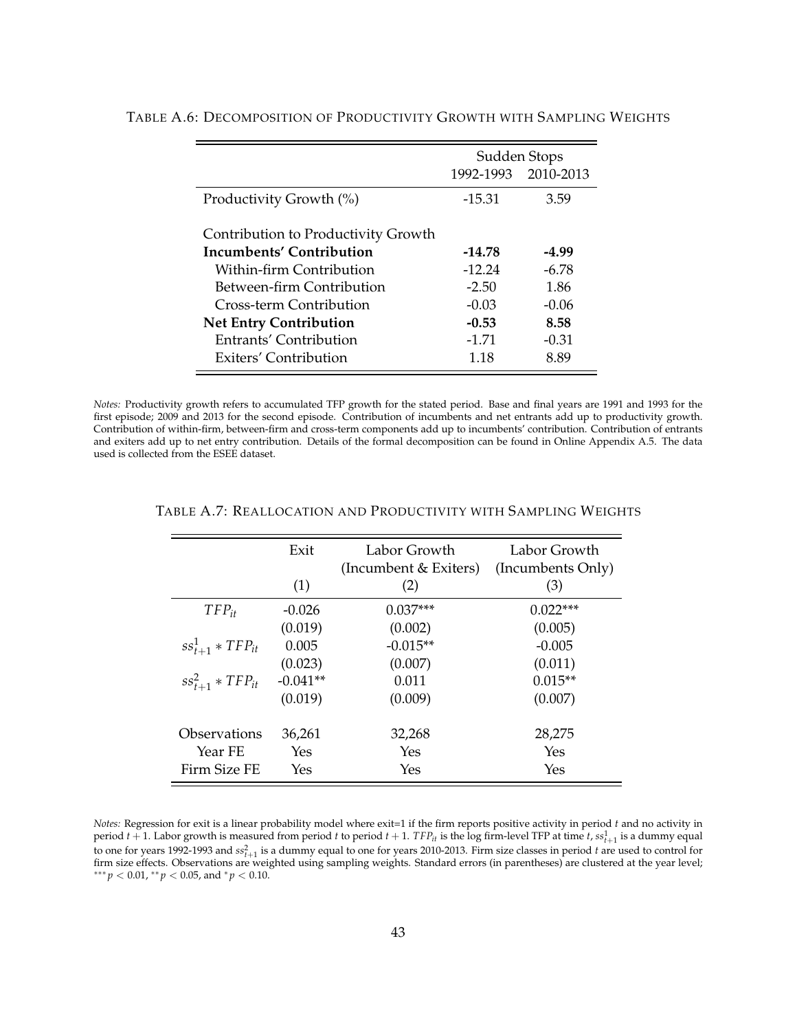|                                     | Sudden Stops |                     |  |
|-------------------------------------|--------------|---------------------|--|
|                                     |              | 1992-1993 2010-2013 |  |
| Productivity Growth (%)             | $-15.31$     | 3.59                |  |
|                                     |              |                     |  |
| Contribution to Productivity Growth |              |                     |  |
| Incumbents' Contribution            | $-14.78$     | -4.99               |  |
| Within-firm Contribution            | $-12.24$     | $-6.78$             |  |
| Between-firm Contribution           | $-2.50$      | 1.86                |  |
| Cross-term Contribution             | $-0.03$      | $-0.06$             |  |
| <b>Net Entry Contribution</b>       | $-0.53$      | 8.58                |  |
| Entrants' Contribution              | $-1.71$      | $-0.31$             |  |
| Exiters' Contribution               | 1.18         | 8.89                |  |

#### TABLE A.6: DECOMPOSITION OF PRODUCTIVITY GROWTH WITH SAMPLING WEIGHTS

*Notes:* Productivity growth refers to accumulated TFP growth for the stated period. Base and final years are 1991 and 1993 for the first episode; 2009 and 2013 for the second episode. Contribution of incumbents and net entrants add up to productivity growth. Contribution of within-firm, between-firm and cross-term components add up to incumbents' contribution. Contribution of entrants and exiters add up to net entry contribution. Details of the formal decomposition can be found in Online Appendix A.5. The data used is collected from the ESEE dataset.

|                            | Exit       | Labor Growth<br>(Incumbent & Exiters) | Labor Growth<br>(Incumbents Only) |
|----------------------------|------------|---------------------------------------|-----------------------------------|
|                            | (1)        | (2)                                   | (3)                               |
| $TFP_{it}$                 | $-0.026$   | $0.037***$                            | $0.022***$                        |
|                            | (0.019)    | (0.002)                               | (0.005)                           |
| $ss_{t+1}^1 * TFP_{it}$    | 0.005      | $-0.015**$                            | $-0.005$                          |
|                            | (0.023)    | (0.007)                               | (0.011)                           |
| $ss_{t+1}^2 * TFP_{it}$    | $-0.041**$ | 0.011                                 | $0.015**$                         |
|                            | (0.019)    | (0.009)                               | (0.007)                           |
| <i><b>Observations</b></i> | 36,261     | 32,268                                | 28,275                            |
| Year FE                    | Yes        | Yes                                   | Yes                               |
| Firm Size FE               | Yes        | Yes                                   | Yes                               |

#### TABLE A.7: REALLOCATION AND PRODUCTIVITY WITH SAMPLING WEIGHTS

*Notes:* Regression for exit is a linear probability model where exit=1 if the firm reports positive activity in period *t* and no activity in period  $t+1$ . Labor growth is measured from period  $t$  to period  $t+1$ .  $TFP_{it}$  is the log firm-level TFP at time  $t$ ,  $ss^1_{t+1}$  is a dummy equal to one for years 1992-1993 and  $ss_{t+1}^2$  is a dummy equal to one for years 2010-2013. Firm size classes in period *t* are used to control for firm size effects. Observations are weighted using sampling weights. Standard errors (in parentheses) are clustered at the year level;  $^{***}p<0.01$  ,  $^{**}p<0.05$  , and  $^{*}p<0.10$  .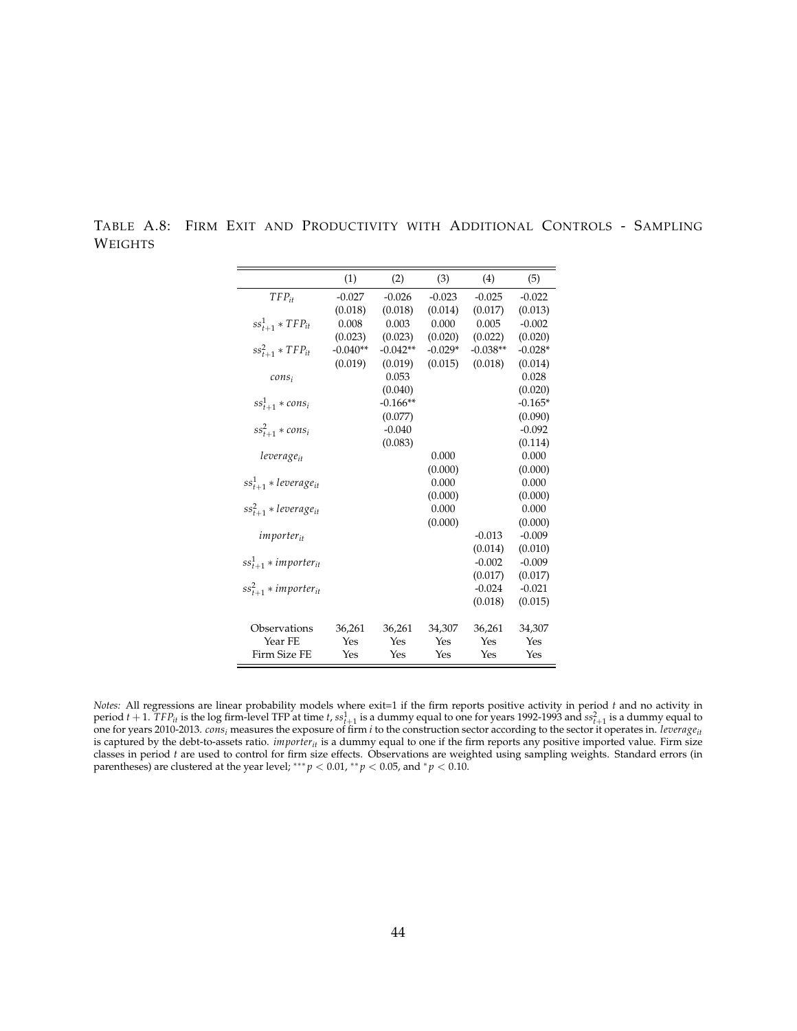|                              | (1)        | (2)        | (3)       | (4)        | (5)       |
|------------------------------|------------|------------|-----------|------------|-----------|
| $TFP_{it}$                   | $-0.027$   | $-0.026$   | $-0.023$  | $-0.025$   | $-0.022$  |
|                              | (0.018)    | (0.018)    | (0.014)   | (0.017)    | (0.013)   |
| $ss_{t+1}^1 * TFP_{it}$      | 0.008      | 0.003      | 0.000     | 0.005      | $-0.002$  |
|                              | (0.023)    | (0.023)    | (0.020)   | (0.022)    | (0.020)   |
| $ss_{t+1}^2 * TFP_{it}$      | $-0.040**$ | $-0.042**$ | $-0.029*$ | $-0.038**$ | $-0.028*$ |
|                              | (0.019)    | (0.019)    | (0.015)   | (0.018)    | (0.014)   |
| $cons_i$                     |            | 0.053      |           |            | 0.028     |
|                              |            | (0.040)    |           |            | (0.020)   |
| $ss_{t+1}^1 * cons_i$        |            | $-0.166**$ |           |            | $-0.165*$ |
|                              |            | (0.077)    |           |            | (0.090)   |
| $ss_{t+1}^2 * cons_i$        |            | $-0.040$   |           |            | $-0.092$  |
|                              |            | (0.083)    |           |            | (0.114)   |
| leverageit                   |            |            | 0.000     |            | 0.000     |
|                              |            |            | (0.000)   |            | (0.000)   |
| $ss_{t+1}^1 * leverage_{it}$ |            |            | 0.000     |            | 0.000     |
|                              |            |            | (0.000)   |            | (0.000)   |
| $ss_{t+1}^2 * leverage_{it}$ |            |            | 0.000     |            | 0.000     |
|                              |            |            | (0.000)   |            | (0.000)   |
| <i>importer<sub>it</sub></i> |            |            |           | $-0.013$   | $-0.009$  |
|                              |            |            |           | (0.014)    | (0.010)   |
| $ss_{t+1}^1 * importer_{it}$ |            |            |           | $-0.002$   | $-0.009$  |
|                              |            |            |           | (0.017)    | (0.017)   |
| $ss_{t+1}^2 * importer_{it}$ |            |            |           | $-0.024$   | $-0.021$  |
|                              |            |            |           | (0.018)    | (0.015)   |
|                              |            |            |           |            |           |
| Observations                 | 36,261     | 36,261     | 34,307    | 36,261     | 34,307    |
| Year FE                      | Yes        | Yes        | Yes       | Yes        | Yes       |
| Firm Size FE                 | Yes        | Yes        | Yes       | Yes        | Yes       |

TABLE A.8: FIRM EXIT AND PRODUCTIVITY WITH ADDITIONAL CONTROLS - SAMPLING WEIGHTS

*Notes:* All regressions are linear probability models where exit=1 if the firm reports positive activity in period *t* and no activity in period  $t + 1$ .  $TFP_{it}$  is the log firm-level TFP at time  $t$ ,  $ss^1_{t+1}$  is a dummy equal to one for years 1992-1993 and  $ss^2_{t+1}$  is a dummy equal to one for years 2010-2013. *consi* measures the exposure of firm *i* to the construction sector according to the sector it operates in. *leverageit* is captured by the debt-to-assets ratio. *importer<sub>it</sub>* is a dummy equal to one if the firm reports any positive imported value. Firm size classes in period *t* are used to control for firm size effects. Observations are weighted using sampling weights. Standard errors (in parentheses) are clustered at the year level; \*\*\*  $p < 0.01$ , \*\*  $p < 0.05$ , and \*  $p < 0.10$ .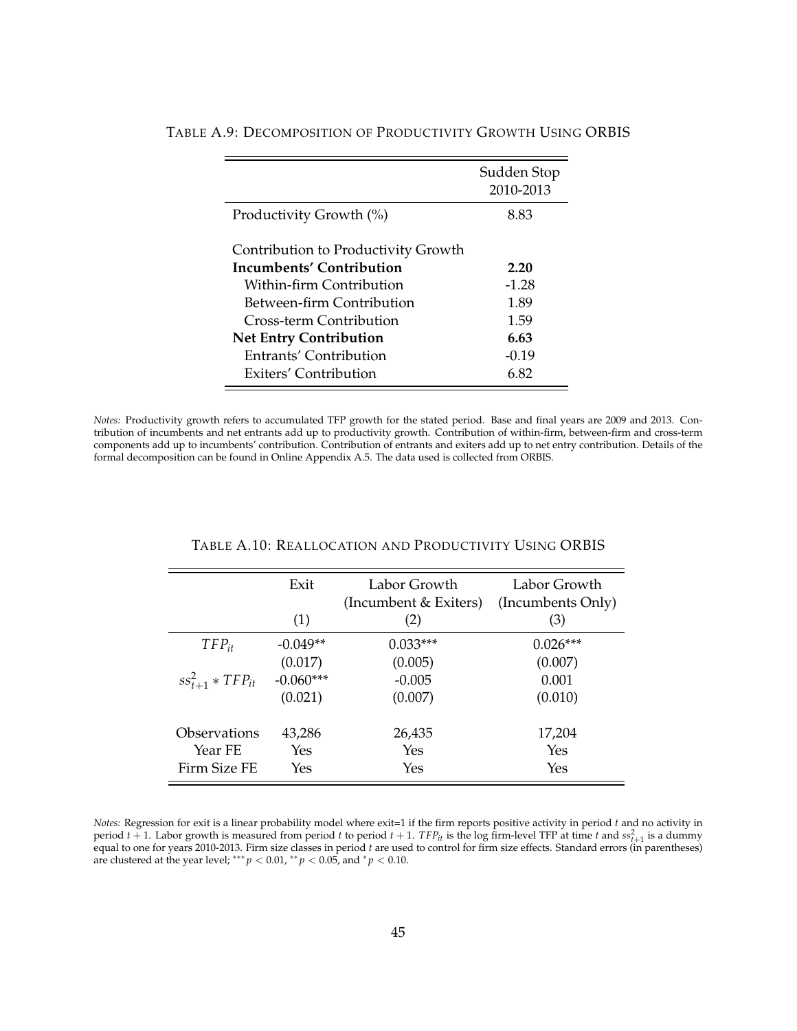|                                     | Sudden Stop<br>2010-2013 |
|-------------------------------------|--------------------------|
| Productivity Growth (%)             | 8.83                     |
| Contribution to Productivity Growth |                          |
| Incumbents' Contribution            | 2.20                     |
| Within-firm Contribution            | $-1.28$                  |
| Between-firm Contribution           | 1.89                     |
| Cross-term Contribution             | 1.59                     |
| <b>Net Entry Contribution</b>       | 6.63                     |
| Entrants' Contribution              | $-0.19$                  |
| Exiters' Contribution               | 6.82                     |

#### TABLE A.9: DECOMPOSITION OF PRODUCTIVITY GROWTH USING ORBIS

*Notes:* Productivity growth refers to accumulated TFP growth for the stated period. Base and final years are 2009 and 2013. Contribution of incumbents and net entrants add up to productivity growth. Contribution of within-firm, between-firm and cross-term components add up to incumbents' contribution. Contribution of entrants and exiters add up to net entry contribution. Details of the formal decomposition can be found in Online Appendix A.5. The data used is collected from ORBIS.

|                         | Exit        | Labor Growth<br>(Incumbent & Exiters) | Labor Growth<br>(Incumbents Only) |
|-------------------------|-------------|---------------------------------------|-----------------------------------|
|                         | (1)         | (2)                                   | (3)                               |
| $TFP_{it}$              | $-0.049**$  | $0.033***$                            | $0.026***$                        |
|                         | (0.017)     | (0.005)                               | (0.007)                           |
| $ss_{t+1}^2 * TFP_{it}$ | $-0.060***$ | $-0.005$                              | 0.001                             |
|                         | (0.021)     | (0.007)                               | (0.010)                           |
| Observations            | 43,286      | 26,435                                | 17,204                            |
| Year FE                 | Yes         | Yes                                   | Yes                               |
| Firm Size FE            | Yes         | Yes                                   | Yes                               |

#### TABLE A.10: REALLOCATION AND PRODUCTIVITY USING ORBIS

*Notes:* Regression for exit is a linear probability model where exit=1 if the firm reports positive activity in period *t* and no activity in period  $t + 1$ . Labor growth is measured from period  $t$  to period  $t + 1$ .  $TFP_{it}$  is the log firm-level TFP at time  $t$  and  $ss_{t+1}^2$  is a dummy equal to one for years 2010-2013. Firm size classes in period *t* are used to control for firm size effects. Standard errors (in parentheses) are clustered at the year level; \*\*\*  $p < 0.01$ , \*\*  $p < 0.05$ , and \*  $p < 0.10$ .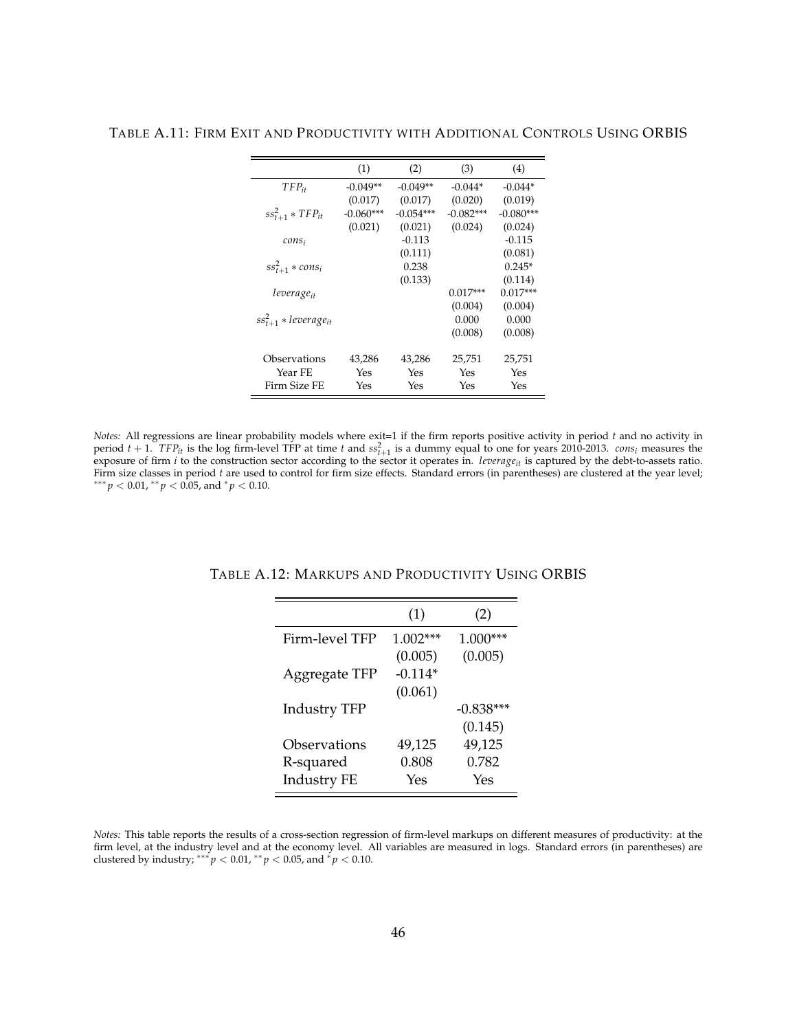|                              | (1)         | (2)         | (3)         | (4)         |
|------------------------------|-------------|-------------|-------------|-------------|
| $TFP_{it}$                   | $-0.049**$  | $-0.049**$  | $-0.044*$   | $-0.044*$   |
|                              | (0.017)     | (0.017)     | (0.020)     | (0.019)     |
| $ss_{t+1}^2 * TFP_{it}$      | $-0.060***$ | $-0.054***$ | $-0.082***$ | $-0.080***$ |
|                              | (0.021)     | (0.021)     | (0.024)     | (0.024)     |
| $cons_i$                     |             | $-0.113$    |             | $-0.115$    |
|                              |             | (0.111)     |             | (0.081)     |
| $ss_{t+1}^2 * cons_i$        |             | 0.238       |             | $0.245*$    |
|                              |             | (0.133)     |             | (0.114)     |
| leverage <sub>it</sub>       |             |             | $0.017***$  | $0.017***$  |
|                              |             |             | (0.004)     | (0.004)     |
| $ss_{t+1}^2 * leverage_{it}$ |             |             | 0.000       | 0.000       |
|                              |             |             | (0.008)     | (0.008)     |
|                              |             |             |             |             |
| Observations                 | 43,286      | 43,286      | 25,751      | 25,751      |
| Year FE                      | Yes         | Yes         | Yes         | Yes         |
| Firm Size FE                 | Yes         | Yes         | Yes         | Yes         |

TABLE A.11: FIRM EXIT AND PRODUCTIVITY WITH ADDITIONAL CONTROLS USING ORBIS

*Notes:* All regressions are linear probability models where exit=1 if the firm reports positive activity in period *t* and no activity in period  $t + 1$ .  $TF_{it}$  is the log firm-level TFP at time  $t$  and  $ss_{t+1}^2$  is a dummy equal to one for years 2010-2013. *cons<sub>i</sub>* measures the exposure of firm *i* to the construction sector according to the sector it operates in. *leverage<sub>it</sub>* is captured by the debt-to-assets ratio. Firm size classes in period *t* are used to control for firm size effects. Standard errors (in parentheses) are clustered at the year level;  $*** p < 0.01, ** p < 0.05,$  and  $* p < 0.10$ .

|                     | (1)        | (2)          |
|---------------------|------------|--------------|
| Firm-level TFP      | $1.002***$ | 1.000<br>*** |
|                     | (0.005)    | (0.005)      |
| Aggregate TFP       | $-0.114*$  |              |
|                     | (0.061)    |              |
| <b>Industry TFP</b> |            | $-0.838***$  |
|                     |            | (0.145)      |
| Observations        | 49,125     | 49,125       |
| R-squared           | 0.808      | 0.782        |
| <b>Industry FE</b>  | Yes        | Yes          |

TABLE A.12: MARKUPS AND PRODUCTIVITY USING ORBIS

*Notes:* This table reports the results of a cross-section regression of firm-level markups on different measures of productivity: at the firm level, at the industry level and at the economy level. All variables are measured in logs. Standard errors (in parentheses) are clustered by industry; \*\*\*  $p < 0.01$ , \*\*  $p < 0.05$ , and  $p < 0.10$ .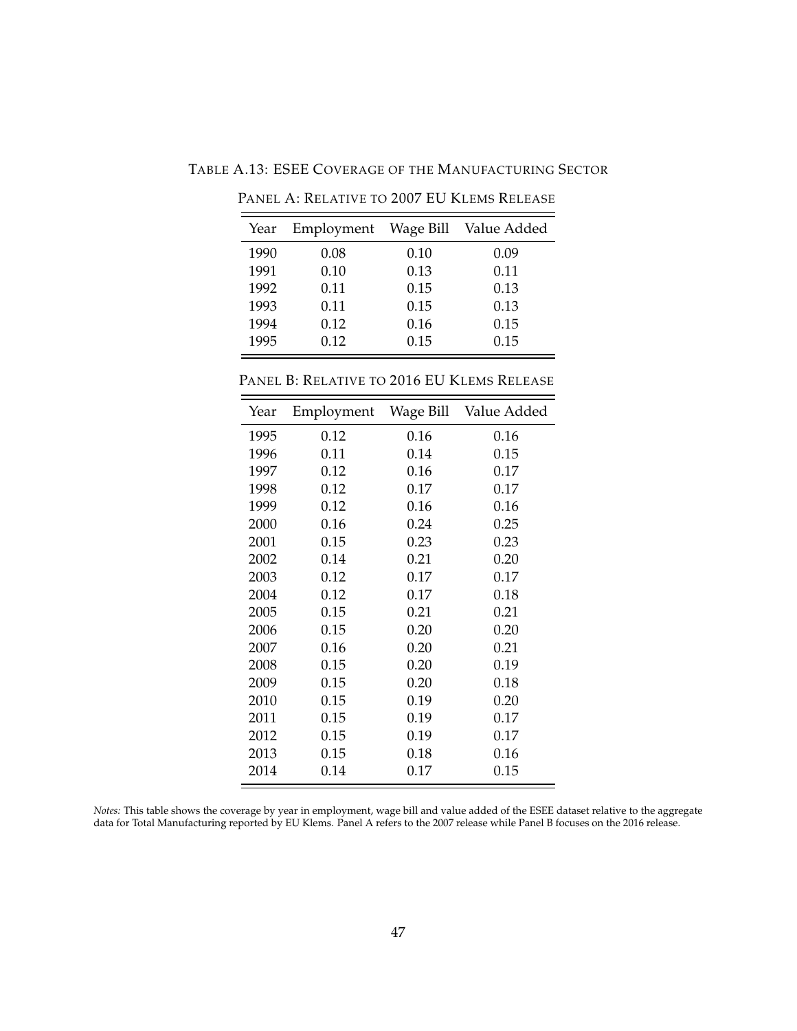TABLE A.13: ESEE COVERAGE OF THE MANUFACTURING SECTOR

| Year |      |      | Employment Wage Bill Value Added |
|------|------|------|----------------------------------|
| 1990 | 0.08 | 0.10 | 0.09                             |
| 1991 | 0.10 | 0.13 | 0.11                             |
| 1992 | 0.11 | 0.15 | 0.13                             |
| 1993 | 0.11 | 0.15 | 0.13                             |
| 1994 | 0.12 | 0.16 | 0.15                             |
| 1995 | 0.12 | 0.15 | 0.15                             |

PANEL A: RELATIVE TO 2007 EU KLEMS RELEASE

<u> 1989 - Johann Barn, amerikansk politiker (d. 1989)</u>

PANEL B: RELATIVE TO 2016 EU KLEMS RELEASE

| Year | Employment | Wage Bill | Value Added |
|------|------------|-----------|-------------|
| 1995 | 0.12       | 0.16      | 0.16        |
| 1996 | 0.11       | 0.14      | 0.15        |
| 1997 | 0.12       | 0.16      | 0.17        |
| 1998 | 0.12       | 0.17      | 0.17        |
| 1999 | 0.12       | 0.16      | 0.16        |
| 2000 | 0.16       | 0.24      | 0.25        |
| 2001 | 0.15       | 0.23      | 0.23        |
| 2002 | 0.14       | 0.21      | 0.20        |
| 2003 | 0.12       | 0.17      | 0.17        |
| 2004 | 0.12       | 0.17      | 0.18        |
| 2005 | 0.15       | 0.21      | 0.21        |
| 2006 | 0.15       | 0.20      | 0.20        |
| 2007 | 0.16       | 0.20      | 0.21        |
| 2008 | 0.15       | 0.20      | 0.19        |
| 2009 | 0.15       | 0.20      | 0.18        |
| 2010 | 0.15       | 0.19      | 0.20        |
| 2011 | 0.15       | 0.19      | 0.17        |
| 2012 | 0.15       | 0.19      | 0.17        |
| 2013 | 0.15       | 0.18      | 0.16        |
| 2014 | 0.14       | 0.17      | 0.15        |

*Notes:* This table shows the coverage by year in employment, wage bill and value added of the ESEE dataset relative to the aggregate data for Total Manufacturing reported by EU Klems. Panel A refers to the 2007 release while Panel B focuses on the 2016 release.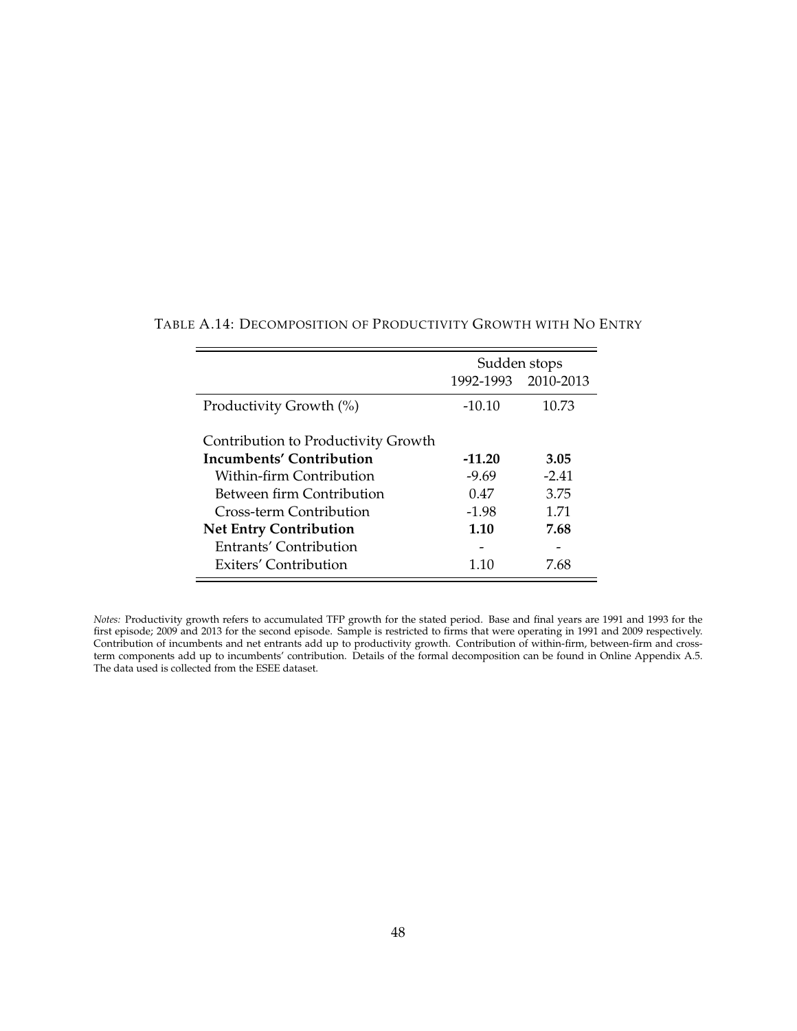|                                     | Sudden stops |                     |
|-------------------------------------|--------------|---------------------|
|                                     |              | 1992-1993 2010-2013 |
| Productivity Growth (%)             | $-10.10$     | 10.73               |
| Contribution to Productivity Growth |              |                     |
| Incumbents' Contribution            | $-11.20$     | 3.05                |
| Within-firm Contribution            | $-9.69$      | $-2.41$             |
| Between firm Contribution           | 0.47         | 3.75                |
| Cross-term Contribution             | $-1.98$      | 1.71                |
| <b>Net Entry Contribution</b>       | 1.10         | 7.68                |
| Entrants' Contribution              |              |                     |
| Exiters' Contribution               | 1.10         | 7.68                |

# TABLE A.14: DECOMPOSITION OF PRODUCTIVITY GROWTH WITH NO ENTRY

*Notes:* Productivity growth refers to accumulated TFP growth for the stated period. Base and final years are 1991 and 1993 for the first episode; 2009 and 2013 for the second episode. Sample is restricted to firms that were operating in 1991 and 2009 respectively. Contribution of incumbents and net entrants add up to productivity growth. Contribution of within-firm, between-firm and crossterm components add up to incumbents' contribution. Details of the formal decomposition can be found in Online Appendix A.5. The data used is collected from the ESEE dataset.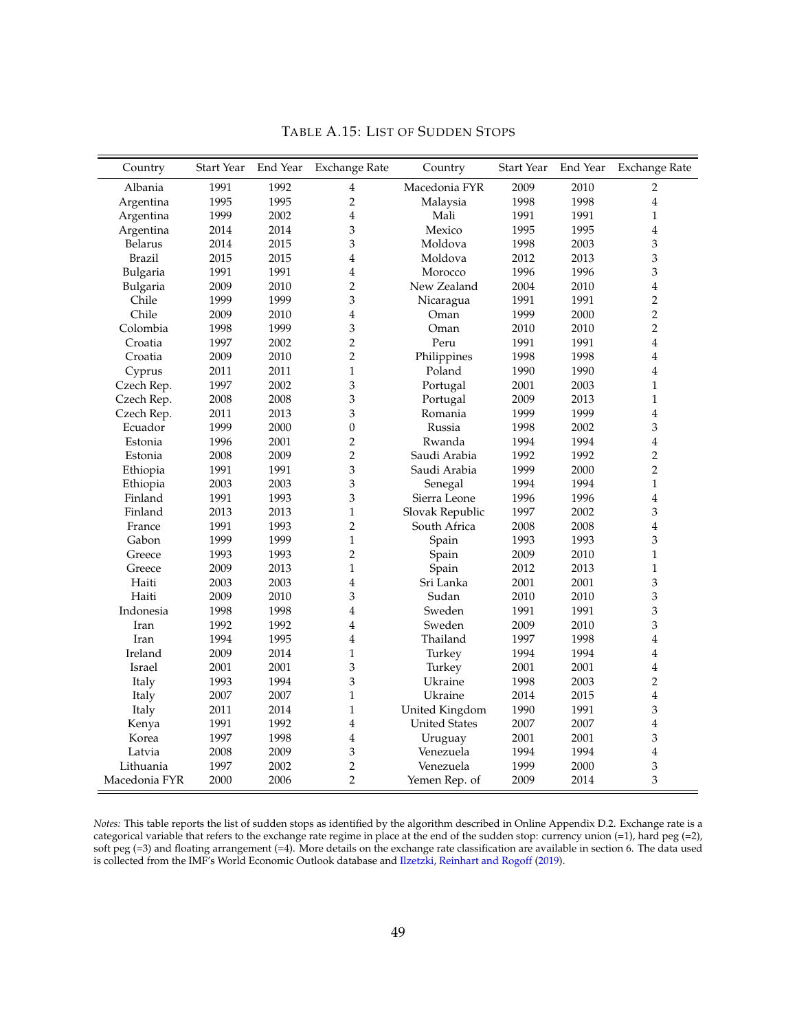| Country        | Start Year | End Year | <b>Exchange Rate</b> | Country              | <b>Start Year</b> | End Year | <b>Exchange Rate</b> |
|----------------|------------|----------|----------------------|----------------------|-------------------|----------|----------------------|
| Albania        | 1991       | 1992     | 4                    | Macedonia FYR        | 2009              | 2010     | 2                    |
| Argentina      | 1995       | 1995     | $\overline{2}$       | Malaysia             | 1998              | 1998     | $\overline{4}$       |
| Argentina      | 1999       | 2002     | $\overline{4}$       | Mali                 | 1991              | 1991     | $\mathbf{1}$         |
| Argentina      | 2014       | 2014     | 3                    | Mexico               | 1995              | 1995     | $\overline{4}$       |
| <b>Belarus</b> | 2014       | 2015     | 3                    | Moldova              | 1998              | 2003     | 3                    |
| <b>Brazil</b>  | 2015       | 2015     | 4                    | Moldova              | 2012              | 2013     | 3                    |
| Bulgaria       | 1991       | 1991     | 4                    | Morocco              | 1996              | 1996     | 3                    |
| Bulgaria       | 2009       | 2010     | $\overline{2}$       | New Zealand          | 2004              | 2010     | $\overline{4}$       |
| Chile          | 1999       | 1999     | 3                    | Nicaragua            | 1991              | 1991     | $\overline{c}$       |
| Chile          | 2009       | 2010     | 4                    | Oman                 | 1999              | 2000     | $\overline{2}$       |
| Colombia       | 1998       | 1999     | 3                    | Oman                 | 2010              | 2010     | $\overline{2}$       |
| Croatia        | 1997       | 2002     | $\overline{2}$       | Peru                 | 1991              | 1991     | $\overline{4}$       |
| Croatia        | 2009       | 2010     | $\overline{2}$       | Philippines          | 1998              | 1998     | $\overline{4}$       |
| Cyprus         | 2011       | 2011     | $\mathbf{1}$         | Poland               | 1990              | 1990     | $\overline{4}$       |
| Czech Rep.     | 1997       | 2002     | 3                    | Portugal             | 2001              | 2003     | $\mathbf{1}$         |
| Czech Rep.     | 2008       | 2008     | 3                    | Portugal             | 2009              | 2013     | $\mathbf{1}$         |
| Czech Rep.     | 2011       | 2013     | 3                    | Romania              | 1999              | 1999     | $\overline{4}$       |
| Ecuador        | 1999       | 2000     | $\boldsymbol{0}$     | Russia               | 1998              | 2002     | 3                    |
| Estonia        | 1996       | 2001     | $\overline{2}$       | Rwanda               | 1994              | 1994     | $\overline{4}$       |
| Estonia        | 2008       | 2009     | $\overline{2}$       | Saudi Arabia         | 1992              | 1992     | $\overline{c}$       |
| Ethiopia       | 1991       | 1991     | 3                    | Saudi Arabia         | 1999              | 2000     | $\overline{2}$       |
| Ethiopia       | 2003       | 2003     | 3                    | Senegal              | 1994              | 1994     | $\mathbf{1}$         |
| Finland        | 1991       | 1993     | 3                    | Sierra Leone         | 1996              | 1996     | $\overline{4}$       |
| Finland        | 2013       | 2013     | $\mathbf{1}$         | Slovak Republic      | 1997              | 2002     | 3                    |
| France         | 1991       | 1993     | $\overline{2}$       | South Africa         | 2008              | 2008     | $\overline{4}$       |
| Gabon          | 1999       | 1999     | $\mathbf{1}$         | Spain                | 1993              | 1993     | 3                    |
| Greece         | 1993       | 1993     | $\overline{2}$       | Spain                | 2009              | 2010     | $\mathbf{1}$         |
| Greece         | 2009       | 2013     | $\mathbf{1}$         | Spain                | 2012              | 2013     | $\mathbf 1$          |
| Haiti          | 2003       | 2003     | $\overline{4}$       | Sri Lanka            | 2001              | 2001     | 3                    |
| Haiti          | 2009       | 2010     | 3                    | Sudan                | 2010              | 2010     | 3                    |
| Indonesia      | 1998       | 1998     | 4                    | Sweden               | 1991              | 1991     | 3                    |
| Iran           | 1992       | 1992     | 4                    | Sweden               | 2009              | 2010     | 3                    |
| Iran           | 1994       | 1995     | $\overline{4}$       | Thailand             | 1997              | 1998     | $\overline{4}$       |
| Ireland        | 2009       | 2014     | $\mathbf{1}$         | Turkey               | 1994              | 1994     | $\overline{4}$       |
| Israel         | 2001       | 2001     | 3                    | Turkey               | 2001              | 2001     | $\overline{4}$       |
| Italy          | 1993       | 1994     | 3                    | Ukraine              | 1998              | 2003     | $\overline{2}$       |
| Italy          | 2007       | 2007     | $\mathbf{1}$         | Ukraine              | 2014              | 2015     | $\overline{4}$       |
| Italy          | 2011       | 2014     | $\mathbf{1}$         | United Kingdom       | 1990              | 1991     | 3                    |
| Kenya          | 1991       | 1992     | $\overline{4}$       | <b>United States</b> | 2007              | 2007     | $\overline{4}$       |
| Korea          | 1997       | 1998     | $\overline{4}$       | Uruguay              | 2001              | 2001     | 3                    |
| Latvia         | 2008       | 2009     | 3                    | Venezuela            | 1994              | 1994     | $\overline{4}$       |
| Lithuania      | 1997       | 2002     | $\overline{c}$       | Venezuela            | 1999              | 2000     | 3                    |
| Macedonia FYR  | 2000       | 2006     | $\overline{2}$       | Yemen Rep. of        | 2009              | 2014     | 3                    |

TABLE A.15: LIST OF SUDDEN STOPS

*Notes:* This table reports the list of sudden stops as identified by the algorithm described in Online Appendix D.2. Exchange rate is a categorical variable that refers to the exchange rate regime in place at the end of the sudden stop: currency union (=1), hard peg (=2), soft peg (=3) and floating arrangement (=4). More details on the exchange rate classification are available in section 6. The data used is collected from the IMF's World Economic Outlook database and Ilzetzki, Reinhart and Rogoff (2019).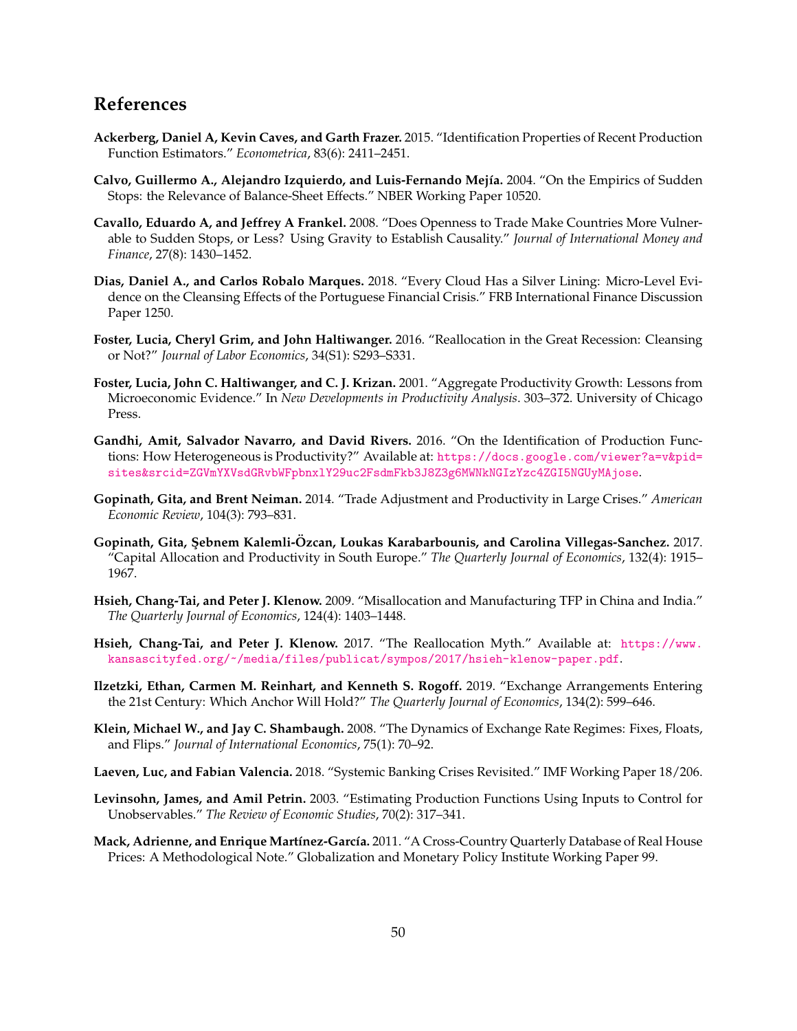# **References**

- **Ackerberg, Daniel A, Kevin Caves, and Garth Frazer.** 2015. "Identification Properties of Recent Production Function Estimators." *Econometrica*, 83(6): 2411–2451.
- **Calvo, Guillermo A., Alejandro Izquierdo, and Luis-Fernando Mej´ıa.** 2004. "On the Empirics of Sudden Stops: the Relevance of Balance-Sheet Effects." NBER Working Paper 10520.
- **Cavallo, Eduardo A, and Jeffrey A Frankel.** 2008. "Does Openness to Trade Make Countries More Vulnerable to Sudden Stops, or Less? Using Gravity to Establish Causality." *Journal of International Money and Finance*, 27(8): 1430–1452.
- **Dias, Daniel A., and Carlos Robalo Marques.** 2018. "Every Cloud Has a Silver Lining: Micro-Level Evidence on the Cleansing Effects of the Portuguese Financial Crisis." FRB International Finance Discussion Paper 1250.
- **Foster, Lucia, Cheryl Grim, and John Haltiwanger.** 2016. "Reallocation in the Great Recession: Cleansing or Not?" *Journal of Labor Economics*, 34(S1): S293–S331.
- **Foster, Lucia, John C. Haltiwanger, and C. J. Krizan.** 2001. "Aggregate Productivity Growth: Lessons from Microeconomic Evidence." In *New Developments in Productivity Analysis*. 303–372. University of Chicago Press.
- **Gandhi, Amit, Salvador Navarro, and David Rivers.** 2016. "On the Identification of Production Functions: How Heterogeneous is Productivity?" Available at: https://docs.google.com/viewer?a=v&pid= sites&srcid=ZGVmYXVsdGRvbWFpbnxlY29uc2FsdmFkb3J8Z3g6MWNkNGIzYzc4ZGI5NGUyMAjose.
- **Gopinath, Gita, and Brent Neiman.** 2014. "Trade Adjustment and Productivity in Large Crises." *American Economic Review*, 104(3): 793–831.
- **Gopinath, Gita, S¸ ebnem Kalemli-Ozcan, Loukas Karabarbounis, and Carolina Villegas-Sanchez. ¨** 2017. "Capital Allocation and Productivity in South Europe." *The Quarterly Journal of Economics*, 132(4): 1915– 1967.
- **Hsieh, Chang-Tai, and Peter J. Klenow.** 2009. "Misallocation and Manufacturing TFP in China and India." *The Quarterly Journal of Economics*, 124(4): 1403–1448.
- **Hsieh, Chang-Tai, and Peter J. Klenow.** 2017. "The Reallocation Myth." Available at: https://www. kansascityfed.org/~/media/files/publicat/sympos/2017/hsieh-klenow-paper.pdf.
- **Ilzetzki, Ethan, Carmen M. Reinhart, and Kenneth S. Rogoff.** 2019. "Exchange Arrangements Entering the 21st Century: Which Anchor Will Hold?" *The Quarterly Journal of Economics*, 134(2): 599–646.
- **Klein, Michael W., and Jay C. Shambaugh.** 2008. "The Dynamics of Exchange Rate Regimes: Fixes, Floats, and Flips." *Journal of International Economics*, 75(1): 70–92.
- **Laeven, Luc, and Fabian Valencia.** 2018. "Systemic Banking Crises Revisited." IMF Working Paper 18/206.
- **Levinsohn, James, and Amil Petrin.** 2003. "Estimating Production Functions Using Inputs to Control for Unobservables." *The Review of Economic Studies*, 70(2): 317–341.
- **Mack, Adrienne, and Enrique Martínez-García.** 2011. "A Cross-Country Quarterly Database of Real House Prices: A Methodological Note." Globalization and Monetary Policy Institute Working Paper 99.